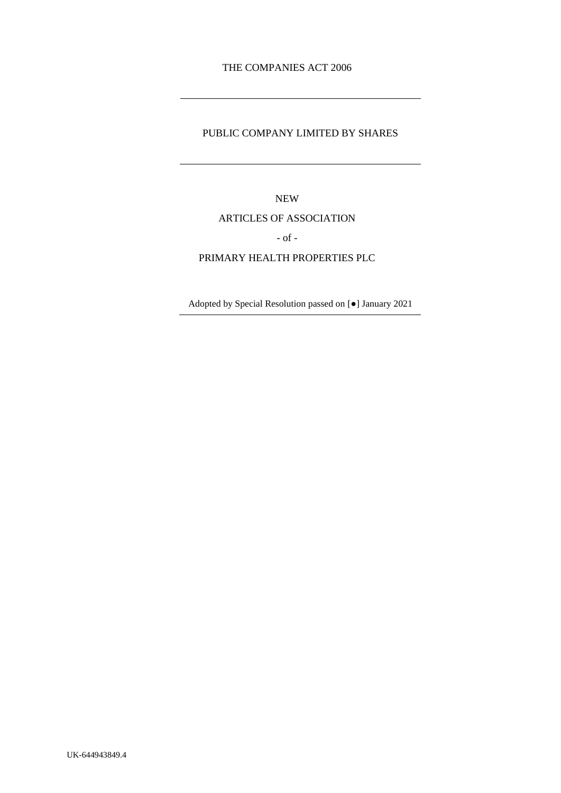# THE COMPANIES ACT 2006

## PUBLIC COMPANY LIMITED BY SHARES

NEW

### ARTICLES OF ASSOCIATION

- of -

## PRIMARY HEALTH PROPERTIES PLC

Adopted by Special Resolution passed on [●] January 2021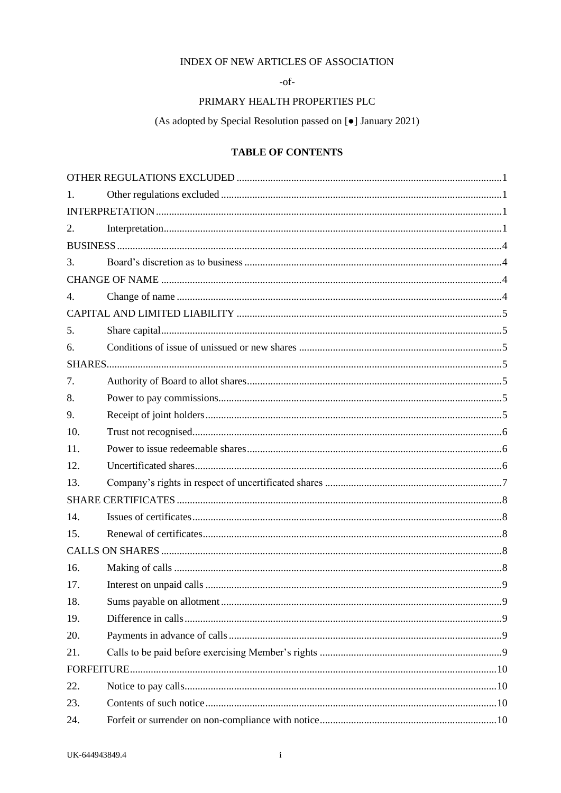# INDEX OF NEW ARTICLES OF ASSOCIATION

 $-of-$ 

# PRIMARY HEALTH PROPERTIES PLC

(As adopted by Special Resolution passed on [ $\bullet$ ] January 2021)

# **TABLE OF CONTENTS**

| $\mathbf{1}$ . |  |
|----------------|--|
|                |  |
| 2.             |  |
|                |  |
| 3.             |  |
|                |  |
| $\mathbf{4}$ . |  |
|                |  |
| 5.             |  |
| 6.             |  |
|                |  |
| 7.             |  |
| 8.             |  |
| 9.             |  |
| 10.            |  |
| 11.            |  |
| 12.            |  |
| 13.            |  |
|                |  |
| 14.            |  |
| 15.            |  |
|                |  |
| 16.            |  |
| 17.            |  |
| 18.            |  |
| 19.            |  |
| 20.            |  |
| 21.            |  |
|                |  |
| 22.            |  |
| 23.            |  |
| 24.            |  |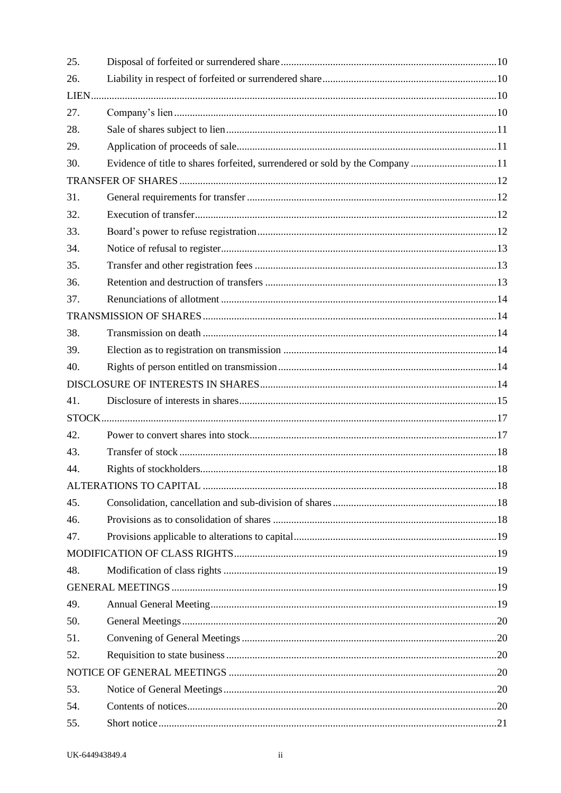| 25. |                                                                              |  |
|-----|------------------------------------------------------------------------------|--|
| 26. |                                                                              |  |
|     |                                                                              |  |
| 27. |                                                                              |  |
| 28. |                                                                              |  |
| 29. |                                                                              |  |
| 30. | Evidence of title to shares forfeited, surrendered or sold by the Company 11 |  |
|     |                                                                              |  |
| 31. |                                                                              |  |
| 32. |                                                                              |  |
| 33. |                                                                              |  |
| 34. |                                                                              |  |
| 35. |                                                                              |  |
| 36. |                                                                              |  |
| 37. |                                                                              |  |
|     |                                                                              |  |
| 38. |                                                                              |  |
| 39. |                                                                              |  |
| 40. |                                                                              |  |
|     |                                                                              |  |
| 41. |                                                                              |  |
|     |                                                                              |  |
| 42. |                                                                              |  |
| 43. |                                                                              |  |
| 44. |                                                                              |  |
|     |                                                                              |  |
| 45. |                                                                              |  |
| 46. |                                                                              |  |
| 47. |                                                                              |  |
|     |                                                                              |  |
| 48. |                                                                              |  |
|     |                                                                              |  |
| 49. |                                                                              |  |
| 50. |                                                                              |  |
| 51. |                                                                              |  |
| 52. |                                                                              |  |
|     |                                                                              |  |
| 53. |                                                                              |  |
| 54. |                                                                              |  |
| 55. |                                                                              |  |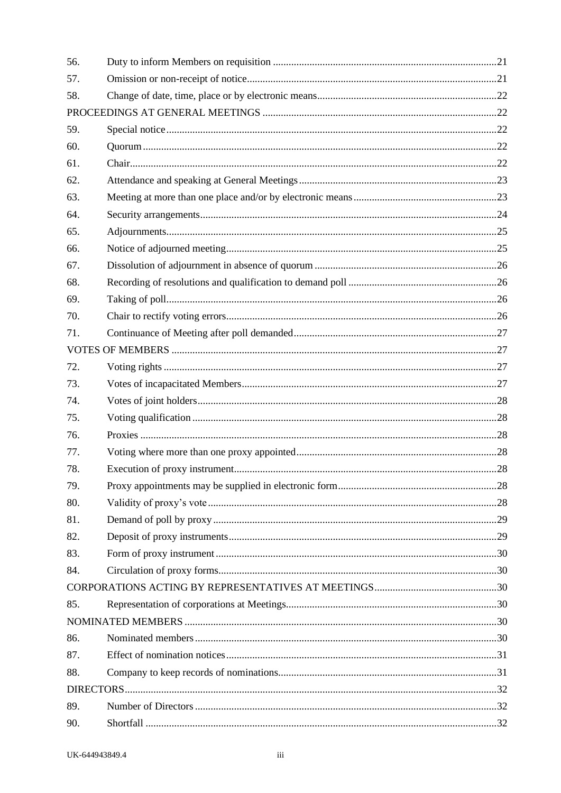| 56. |  |
|-----|--|
| 57. |  |
| 58. |  |
|     |  |
| 59. |  |
| 60. |  |
| 61. |  |
| 62. |  |
| 63. |  |
| 64. |  |
| 65. |  |
| 66. |  |
| 67. |  |
| 68. |  |
| 69. |  |
| 70. |  |
| 71. |  |
|     |  |
| 72. |  |
| 73. |  |
| 74. |  |
| 75. |  |
| 76. |  |
| 77. |  |
| 78. |  |
| 79. |  |
| 80. |  |
| 81. |  |
| 82. |  |
| 83. |  |
| 84. |  |
|     |  |
| 85. |  |
|     |  |
| 86. |  |
| 87. |  |
| 88. |  |
|     |  |
| 89. |  |
| 90. |  |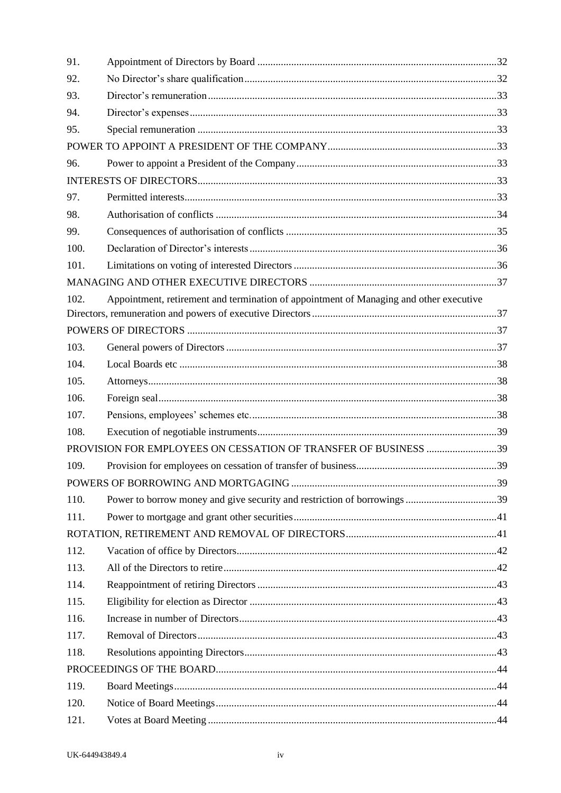| 91.  |                                                                                        |  |
|------|----------------------------------------------------------------------------------------|--|
| 92.  |                                                                                        |  |
| 93.  |                                                                                        |  |
| 94.  |                                                                                        |  |
| 95.  |                                                                                        |  |
|      |                                                                                        |  |
| 96.  |                                                                                        |  |
|      |                                                                                        |  |
| 97.  |                                                                                        |  |
| 98.  |                                                                                        |  |
| 99.  |                                                                                        |  |
| 100. |                                                                                        |  |
| 101. |                                                                                        |  |
|      |                                                                                        |  |
| 102. | Appointment, retirement and termination of appointment of Managing and other executive |  |
|      |                                                                                        |  |
|      |                                                                                        |  |
| 103. |                                                                                        |  |
| 104. |                                                                                        |  |
| 105. |                                                                                        |  |
| 106. |                                                                                        |  |
| 107. |                                                                                        |  |
| 108. |                                                                                        |  |
|      |                                                                                        |  |
| 109. |                                                                                        |  |
|      |                                                                                        |  |
| 110. | Power to borrow money and give security and restriction of borrowings 39               |  |
| 111. |                                                                                        |  |
|      |                                                                                        |  |
| 112. |                                                                                        |  |
| 113. |                                                                                        |  |
| 114. |                                                                                        |  |
| 115. |                                                                                        |  |
| 116. |                                                                                        |  |
| 117. |                                                                                        |  |
| 118. |                                                                                        |  |
|      |                                                                                        |  |
| 119. |                                                                                        |  |
| 120. |                                                                                        |  |
| 121. |                                                                                        |  |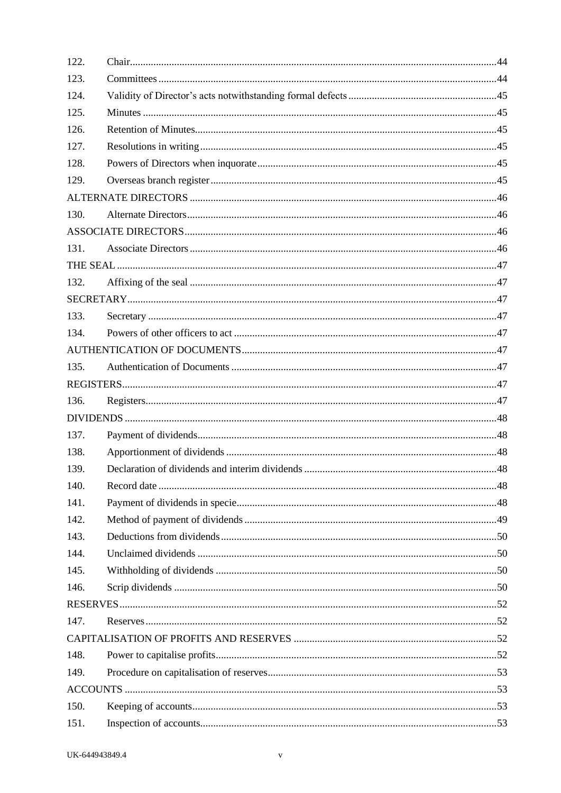| 122. |  |
|------|--|
| 123. |  |
| 124. |  |
| 125. |  |
| 126. |  |
| 127. |  |
| 128. |  |
| 129. |  |
|      |  |
| 130. |  |
|      |  |
| 131. |  |
|      |  |
| 132. |  |
|      |  |
| 133. |  |
| 134. |  |
|      |  |
| 135. |  |
|      |  |
| 136. |  |
|      |  |
| 137. |  |
| 138. |  |
| 139. |  |
| 140. |  |
| 141. |  |
| 142. |  |
| 143. |  |
| 144. |  |
| 145. |  |
| 146. |  |
|      |  |
| 147. |  |
|      |  |
| 148. |  |
| 149. |  |
|      |  |
| 150. |  |
| 151. |  |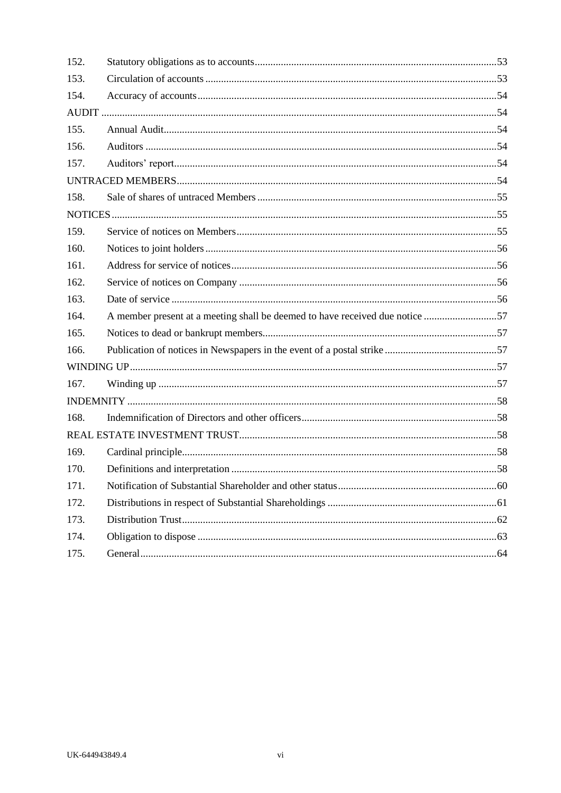| 152. |                                                                              |  |
|------|------------------------------------------------------------------------------|--|
| 153. |                                                                              |  |
| 154. |                                                                              |  |
|      |                                                                              |  |
| 155. |                                                                              |  |
| 156. |                                                                              |  |
| 157. |                                                                              |  |
|      |                                                                              |  |
| 158. |                                                                              |  |
|      |                                                                              |  |
| 159. |                                                                              |  |
| 160. |                                                                              |  |
| 161. |                                                                              |  |
| 162. |                                                                              |  |
| 163. |                                                                              |  |
| 164. | A member present at a meeting shall be deemed to have received due notice 57 |  |
| 165. |                                                                              |  |
| 166. |                                                                              |  |
|      |                                                                              |  |
| 167. |                                                                              |  |
|      |                                                                              |  |
| 168. |                                                                              |  |
|      |                                                                              |  |
| 169. |                                                                              |  |
| 170. |                                                                              |  |
| 171. |                                                                              |  |
| 172. |                                                                              |  |
| 173. |                                                                              |  |
| 174. |                                                                              |  |
| 175. |                                                                              |  |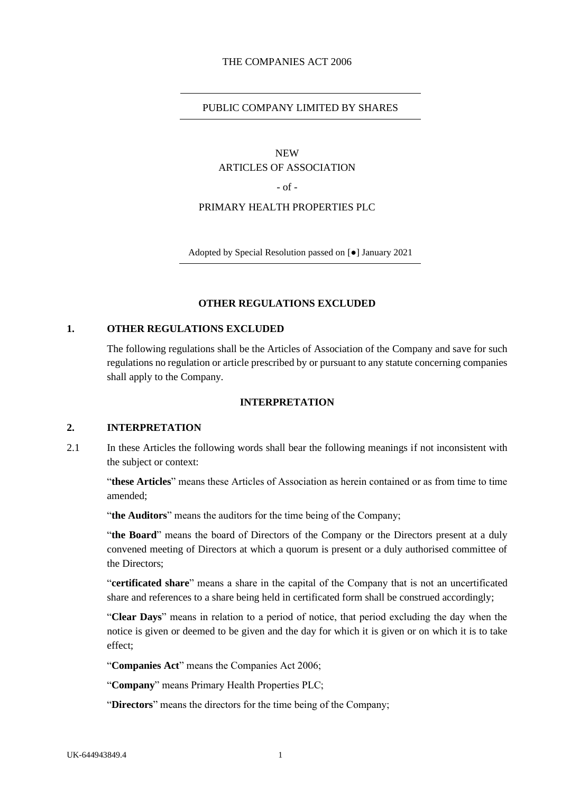#### THE COMPANIES ACT 2006

#### PUBLIC COMPANY LIMITED BY SHARES

#### NEW ARTICLES OF ASSOCIATION

 $-$  of  $-$ 

#### PRIMARY HEALTH PROPERTIES PLC

Adopted by Special Resolution passed on [●] January 2021

### **OTHER REGULATIONS EXCLUDED**

## <span id="page-7-1"></span><span id="page-7-0"></span>**1. OTHER REGULATIONS EXCLUDED**

The following regulations shall be the Articles of Association of the Company and save for such regulations no regulation or article prescribed by or pursuant to any statute concerning companies shall apply to the Company.

#### **INTERPRETATION**

# <span id="page-7-3"></span><span id="page-7-2"></span>**2. INTERPRETATION**

2.1 In these Articles the following words shall bear the following meanings if not inconsistent with the subject or context:

"**these Articles**" means these Articles of Association as herein contained or as from time to time amended;

"**the Auditors**" means the auditors for the time being of the Company;

"**the Board**" means the board of Directors of the Company or the Directors present at a duly convened meeting of Directors at which a quorum is present or a duly authorised committee of the Directors:

"**certificated share**" means a share in the capital of the Company that is not an uncertificated share and references to a share being held in certificated form shall be construed accordingly;

"**Clear Days**" means in relation to a period of notice, that period excluding the day when the notice is given or deemed to be given and the day for which it is given or on which it is to take effect;

"**Companies Act**" means the Companies Act 2006;

"**Company**" means Primary Health Properties PLC;

"**Directors**" means the directors for the time being of the Company;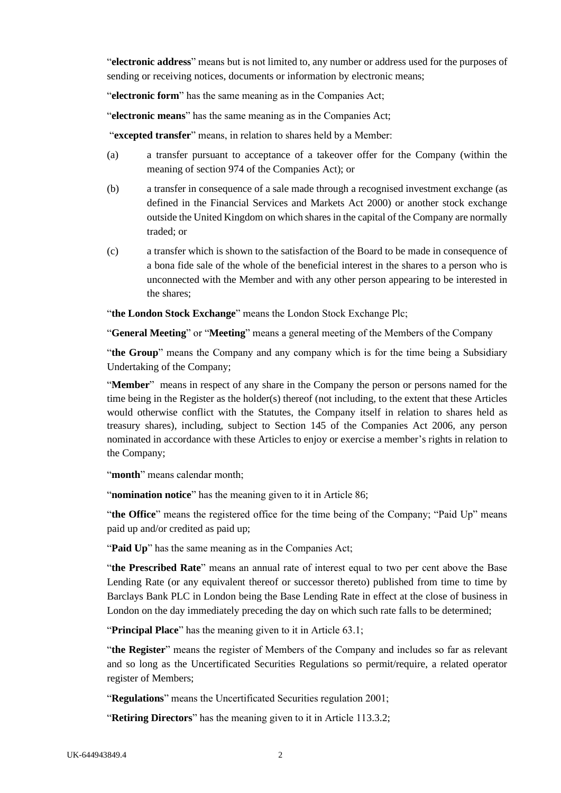"**electronic address**" means but is not limited to, any number or address used for the purposes of sending or receiving notices, documents or information by electronic means;

"**electronic form**" has the same meaning as in the Companies Act;

"**electronic means**" has the same meaning as in the Companies Act;

"**excepted transfer**" means, in relation to shares held by a Member:

- (a) a transfer pursuant to acceptance of a takeover offer for the Company (within the meaning of section 974 of the Companies Act); or
- (b) a transfer in consequence of a sale made through a recognised investment exchange (as defined in the Financial Services and Markets Act 2000) or another stock exchange outside the United Kingdom on which shares in the capital of the Company are normally traded; or
- (c) a transfer which is shown to the satisfaction of the Board to be made in consequence of a bona fide sale of the whole of the beneficial interest in the shares to a person who is unconnected with the Member and with any other person appearing to be interested in the shares;

"the London Stock Exchange" means the London Stock Exchange Plc;

"**General Meeting**" or "**Meeting**" means a general meeting of the Members of the Company

"**the Group**" means the Company and any company which is for the time being a Subsidiary Undertaking of the Company;

"**Member**" means in respect of any share in the Company the person or persons named for the time being in the Register as the holder(s) thereof (not including, to the extent that these Articles would otherwise conflict with the Statutes, the Company itself in relation to shares held as treasury shares), including, subject to Section 145 of the Companies Act 2006, any person nominated in accordance with these Articles to enjoy or exercise a member's rights in relation to the Company;

"**month**" means calendar month;

"**nomination notice**" has the meaning given to it in Article 86;

"**the Office**" means the registered office for the time being of the Company; "Paid Up" means paid up and/or credited as paid up;

"Paid Up" has the same meaning as in the Companies Act;

"**the Prescribed Rate**" means an annual rate of interest equal to two per cent above the Base Lending Rate (or any equivalent thereof or successor thereto) published from time to time by Barclays Bank PLC in London being the Base Lending Rate in effect at the close of business in London on the day immediately preceding the day on which such rate falls to be determined;

"**Principal Place**" has the meaning given to it in Article 63.1;

"**the Register**" means the register of Members of the Company and includes so far as relevant and so long as the Uncertificated Securities Regulations so permit/require, a related operator register of Members;

"**Regulations**" means the Uncertificated Securities regulation 2001;

"**Retiring Directors**" has the meaning given to it in Article 113.3.2;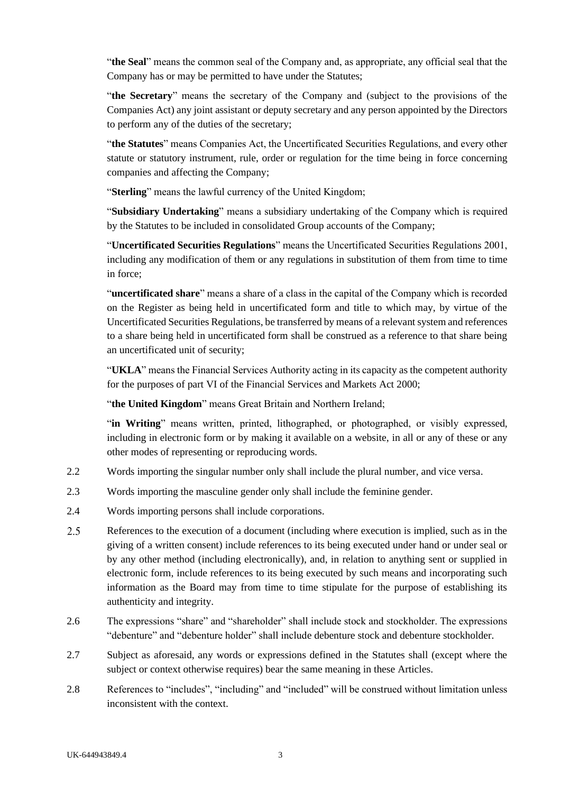"**the Seal**" means the common seal of the Company and, as appropriate, any official seal that the Company has or may be permitted to have under the Statutes;

"**the Secretary**" means the secretary of the Company and (subject to the provisions of the Companies Act) any joint assistant or deputy secretary and any person appointed by the Directors to perform any of the duties of the secretary;

"**the Statutes**" means Companies Act, the Uncertificated Securities Regulations, and every other statute or statutory instrument, rule, order or regulation for the time being in force concerning companies and affecting the Company;

"**Sterling**" means the lawful currency of the United Kingdom;

"**Subsidiary Undertaking**" means a subsidiary undertaking of the Company which is required by the Statutes to be included in consolidated Group accounts of the Company;

"**Uncertificated Securities Regulations**" means the Uncertificated Securities Regulations 2001, including any modification of them or any regulations in substitution of them from time to time in force;

"**uncertificated share**" means a share of a class in the capital of the Company which is recorded on the Register as being held in uncertificated form and title to which may, by virtue of the Uncertificated Securities Regulations, be transferred by means of a relevant system and references to a share being held in uncertificated form shall be construed as a reference to that share being an uncertificated unit of security;

"**UKLA**" means the Financial Services Authority acting in its capacity as the competent authority for the purposes of part VI of the Financial Services and Markets Act 2000;

"the United Kingdom" means Great Britain and Northern Ireland;

"**in Writing**" means written, printed, lithographed, or photographed, or visibly expressed, including in electronic form or by making it available on a website, in all or any of these or any other modes of representing or reproducing words.

- 2.2 Words importing the singular number only shall include the plural number, and vice versa.
- 2.3 Words importing the masculine gender only shall include the feminine gender.
- 2.4 Words importing persons shall include corporations.
- $2.5$ References to the execution of a document (including where execution is implied, such as in the giving of a written consent) include references to its being executed under hand or under seal or by any other method (including electronically), and, in relation to anything sent or supplied in electronic form, include references to its being executed by such means and incorporating such information as the Board may from time to time stipulate for the purpose of establishing its authenticity and integrity.
- 2.6 The expressions "share" and "shareholder" shall include stock and stockholder. The expressions "debenture" and "debenture holder" shall include debenture stock and debenture stockholder.
- 2.7 Subject as aforesaid, any words or expressions defined in the Statutes shall (except where the subject or context otherwise requires) bear the same meaning in these Articles.
- 2.8 References to "includes", "including" and "included" will be construed without limitation unless inconsistent with the context.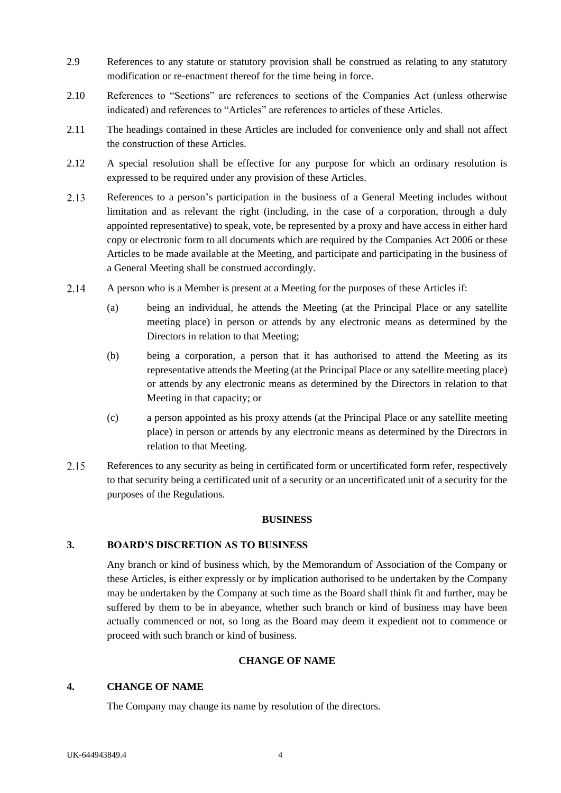- 2.9 References to any statute or statutory provision shall be construed as relating to any statutory modification or re-enactment thereof for the time being in force.
- 2.10 References to "Sections" are references to sections of the Companies Act (unless otherwise indicated) and references to "Articles" are references to articles of these Articles.
- 2.11 The headings contained in these Articles are included for convenience only and shall not affect the construction of these Articles.
- 2.12 A special resolution shall be effective for any purpose for which an ordinary resolution is expressed to be required under any provision of these Articles.
- 2.13 References to a person's participation in the business of a General Meeting includes without limitation and as relevant the right (including, in the case of a corporation, through a duly appointed representative) to speak, vote, be represented by a proxy and have access in either hard copy or electronic form to all documents which are required by the Companies Act 2006 or these Articles to be made available at the Meeting, and participate and participating in the business of a General Meeting shall be construed accordingly.
- $2.14$ A person who is a Member is present at a Meeting for the purposes of these Articles if:
	- (a) being an individual, he attends the Meeting (at the Principal Place or any satellite meeting place) in person or attends by any electronic means as determined by the Directors in relation to that Meeting;
	- (b) being a corporation, a person that it has authorised to attend the Meeting as its representative attends the Meeting (at the Principal Place or any satellite meeting place) or attends by any electronic means as determined by the Directors in relation to that Meeting in that capacity; or
	- (c) a person appointed as his proxy attends (at the Principal Place or any satellite meeting place) in person or attends by any electronic means as determined by the Directors in relation to that Meeting.
- $2.15$ References to any security as being in certificated form or uncertificated form refer, respectively to that security being a certificated unit of a security or an uncertificated unit of a security for the purposes of the Regulations.

#### **BUSINESS**

# <span id="page-10-1"></span><span id="page-10-0"></span>**3. BOARD'S DISCRETION AS TO BUSINESS**

Any branch or kind of business which, by the Memorandum of Association of the Company or these Articles, is either expressly or by implication authorised to be undertaken by the Company may be undertaken by the Company at such time as the Board shall think fit and further, may be suffered by them to be in abeyance, whether such branch or kind of business may have been actually commenced or not, so long as the Board may deem it expedient not to commence or proceed with such branch or kind of business.

# **CHANGE OF NAME**

# <span id="page-10-3"></span><span id="page-10-2"></span>**4. CHANGE OF NAME**

The Company may change its name by resolution of the directors.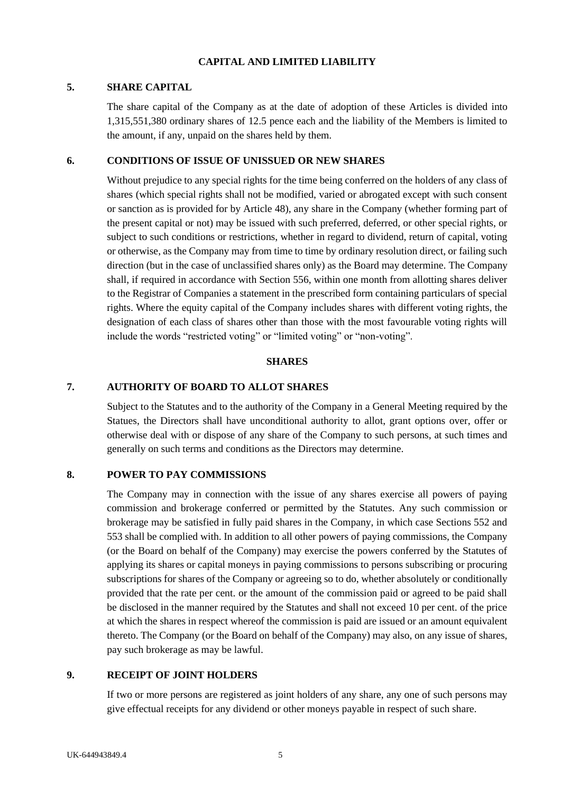#### **CAPITAL AND LIMITED LIABILITY**

#### <span id="page-11-1"></span><span id="page-11-0"></span>**5. SHARE CAPITAL**

The share capital of the Company as at the date of adoption of these Articles is divided into 1,315,551,380 ordinary shares of 12.5 pence each and the liability of the Members is limited to the amount, if any, unpaid on the shares held by them.

#### <span id="page-11-2"></span>**6. CONDITIONS OF ISSUE OF UNISSUED OR NEW SHARES**

Without prejudice to any special rights for the time being conferred on the holders of any class of shares (which special rights shall not be modified, varied or abrogated except with such consent or sanction as is provided for by Article [48\)](#page-25-2), any share in the Company (whether forming part of the present capital or not) may be issued with such preferred, deferred, or other special rights, or subject to such conditions or restrictions, whether in regard to dividend, return of capital, voting or otherwise, as the Company may from time to time by ordinary resolution direct, or failing such direction (but in the case of unclassified shares only) as the Board may determine. The Company shall, if required in accordance with Section 556, within one month from allotting shares deliver to the Registrar of Companies a statement in the prescribed form containing particulars of special rights. Where the equity capital of the Company includes shares with different voting rights, the designation of each class of shares other than those with the most favourable voting rights will include the words "restricted voting" or "limited voting" or "non-voting".

#### **SHARES**

## <span id="page-11-4"></span><span id="page-11-3"></span>**7. AUTHORITY OF BOARD TO ALLOT SHARES**

Subject to the Statutes and to the authority of the Company in a General Meeting required by the Statues, the Directors shall have unconditional authority to allot, grant options over, offer or otherwise deal with or dispose of any share of the Company to such persons, at such times and generally on such terms and conditions as the Directors may determine.

#### <span id="page-11-5"></span>**8. POWER TO PAY COMMISSIONS**

The Company may in connection with the issue of any shares exercise all powers of paying commission and brokerage conferred or permitted by the Statutes. Any such commission or brokerage may be satisfied in fully paid shares in the Company, in which case Sections 552 and 553 shall be complied with. In addition to all other powers of paying commissions, the Company (or the Board on behalf of the Company) may exercise the powers conferred by the Statutes of applying its shares or capital moneys in paying commissions to persons subscribing or procuring subscriptions for shares of the Company or agreeing so to do, whether absolutely or conditionally provided that the rate per cent. or the amount of the commission paid or agreed to be paid shall be disclosed in the manner required by the Statutes and shall not exceed 10 per cent. of the price at which the shares in respect whereof the commission is paid are issued or an amount equivalent thereto. The Company (or the Board on behalf of the Company) may also, on any issue of shares, pay such brokerage as may be lawful.

## <span id="page-11-6"></span>**9. RECEIPT OF JOINT HOLDERS**

If two or more persons are registered as joint holders of any share, any one of such persons may give effectual receipts for any dividend or other moneys payable in respect of such share.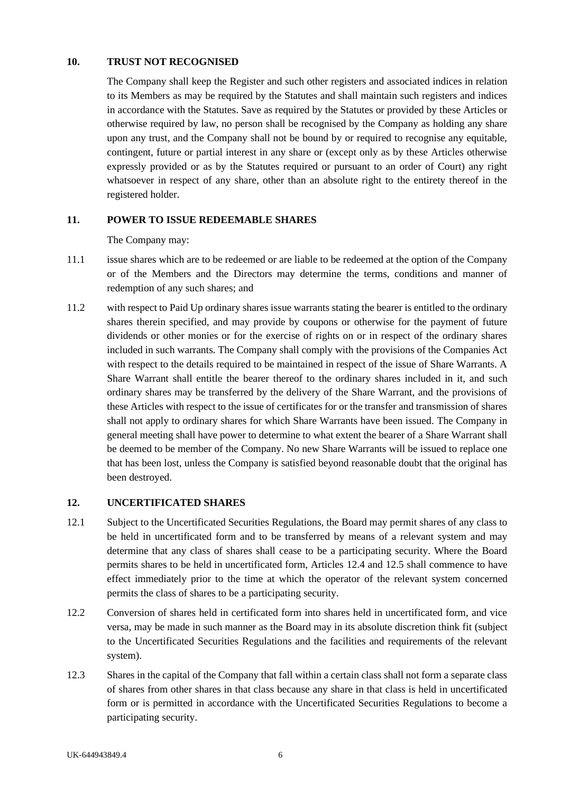### <span id="page-12-0"></span>**10. TRUST NOT RECOGNISED**

The Company shall keep the Register and such other registers and associated indices in relation to its Members as may be required by the Statutes and shall maintain such registers and indices in accordance with the Statutes. Save as required by the Statutes or provided by these Articles or otherwise required by law, no person shall be recognised by the Company as holding any share upon any trust, and the Company shall not be bound by or required to recognise any equitable, contingent, future or partial interest in any share or (except only as by these Articles otherwise expressly provided or as by the Statutes required or pursuant to an order of Court) any right whatsoever in respect of any share, other than an absolute right to the entirety thereof in the registered holder.

# <span id="page-12-1"></span>**11. POWER TO ISSUE REDEEMABLE SHARES**

The Company may:

- 11.1 issue shares which are to be redeemed or are liable to be redeemed at the option of the Company or of the Members and the Directors may determine the terms, conditions and manner of redemption of any such shares; and
- 11.2 with respect to Paid Up ordinary shares issue warrants stating the bearer is entitled to the ordinary shares therein specified, and may provide by coupons or otherwise for the payment of future dividends or other monies or for the exercise of rights on or in respect of the ordinary shares included in such warrants. The Company shall comply with the provisions of the Companies Act with respect to the details required to be maintained in respect of the issue of Share Warrants. A Share Warrant shall entitle the bearer thereof to the ordinary shares included in it, and such ordinary shares may be transferred by the delivery of the Share Warrant, and the provisions of these Articles with respect to the issue of certificates for or the transfer and transmission of shares shall not apply to ordinary shares for which Share Warrants have been issued. The Company in general meeting shall have power to determine to what extent the bearer of a Share Warrant shall be deemed to be member of the Company. No new Share Warrants will be issued to replace one that has been lost, unless the Company is satisfied beyond reasonable doubt that the original has been destroyed.

#### <span id="page-12-2"></span>**12. UNCERTIFICATED SHARES**

- 12.1 Subject to the Uncertificated Securities Regulations, the Board may permit shares of any class to be held in uncertificated form and to be transferred by means of a relevant system and may determine that any class of shares shall cease to be a participating security. Where the Board permits shares to be held in uncertificated form, Articles [12.4](#page-13-1) and [12.5](#page-13-2) shall commence to have effect immediately prior to the time at which the operator of the relevant system concerned permits the class of shares to be a participating security.
- 12.2 Conversion of shares held in certificated form into shares held in uncertificated form, and vice versa, may be made in such manner as the Board may in its absolute discretion think fit (subject to the Uncertificated Securities Regulations and the facilities and requirements of the relevant system).
- 12.3 Shares in the capital of the Company that fall within a certain class shall not form a separate class of shares from other shares in that class because any share in that class is held in uncertificated form or is permitted in accordance with the Uncertificated Securities Regulations to become a participating security.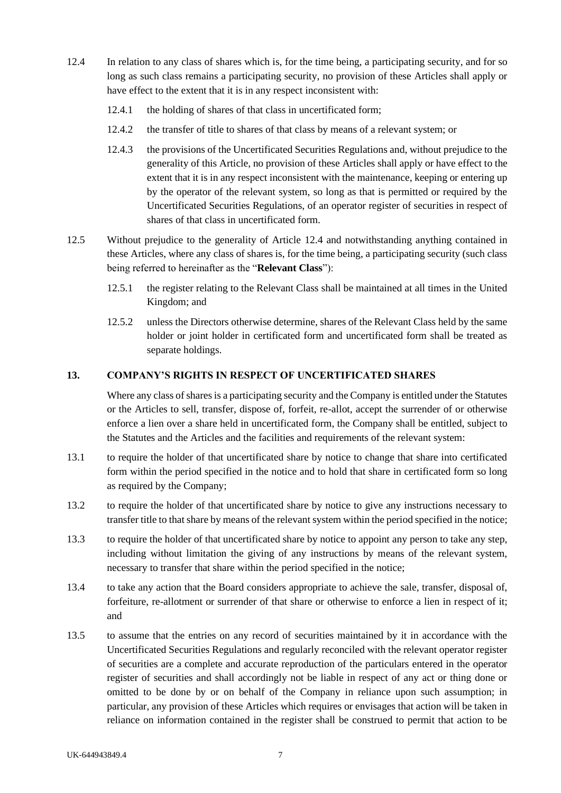- <span id="page-13-1"></span>12.4 In relation to any class of shares which is, for the time being, a participating security, and for so long as such class remains a participating security, no provision of these Articles shall apply or have effect to the extent that it is in any respect inconsistent with:
	- 12.4.1 the holding of shares of that class in uncertificated form;
	- 12.4.2 the transfer of title to shares of that class by means of a relevant system; or
	- 12.4.3 the provisions of the Uncertificated Securities Regulations and, without prejudice to the generality of this Article, no provision of these Articles shall apply or have effect to the extent that it is in any respect inconsistent with the maintenance, keeping or entering up by the operator of the relevant system, so long as that is permitted or required by the Uncertificated Securities Regulations, of an operator register of securities in respect of shares of that class in uncertificated form.
- <span id="page-13-2"></span>12.5 Without prejudice to the generality of Article [12.4](#page-13-1) and notwithstanding anything contained in these Articles, where any class of shares is, for the time being, a participating security (such class being referred to hereinafter as the "**Relevant Class**"):
	- 12.5.1 the register relating to the Relevant Class shall be maintained at all times in the United Kingdom; and
	- 12.5.2 unless the Directors otherwise determine, shares of the Relevant Class held by the same holder or joint holder in certificated form and uncertificated form shall be treated as separate holdings.

#### <span id="page-13-0"></span>**13. COMPANY'S RIGHTS IN RESPECT OF UNCERTIFICATED SHARES**

Where any class of shares is a participating security and the Company is entitled under the Statutes or the Articles to sell, transfer, dispose of, forfeit, re-allot, accept the surrender of or otherwise enforce a lien over a share held in uncertificated form, the Company shall be entitled, subject to the Statutes and the Articles and the facilities and requirements of the relevant system:

- 13.1 to require the holder of that uncertificated share by notice to change that share into certificated form within the period specified in the notice and to hold that share in certificated form so long as required by the Company;
- 13.2 to require the holder of that uncertificated share by notice to give any instructions necessary to transfer title to that share by means of the relevant system within the period specified in the notice;
- <span id="page-13-3"></span>13.3 to require the holder of that uncertificated share by notice to appoint any person to take any step, including without limitation the giving of any instructions by means of the relevant system, necessary to transfer that share within the period specified in the notice;
- 13.4 to take any action that the Board considers appropriate to achieve the sale, transfer, disposal of, forfeiture, re-allotment or surrender of that share or otherwise to enforce a lien in respect of it; and
- 13.5 to assume that the entries on any record of securities maintained by it in accordance with the Uncertificated Securities Regulations and regularly reconciled with the relevant operator register of securities are a complete and accurate reproduction of the particulars entered in the operator register of securities and shall accordingly not be liable in respect of any act or thing done or omitted to be done by or on behalf of the Company in reliance upon such assumption; in particular, any provision of these Articles which requires or envisages that action will be taken in reliance on information contained in the register shall be construed to permit that action to be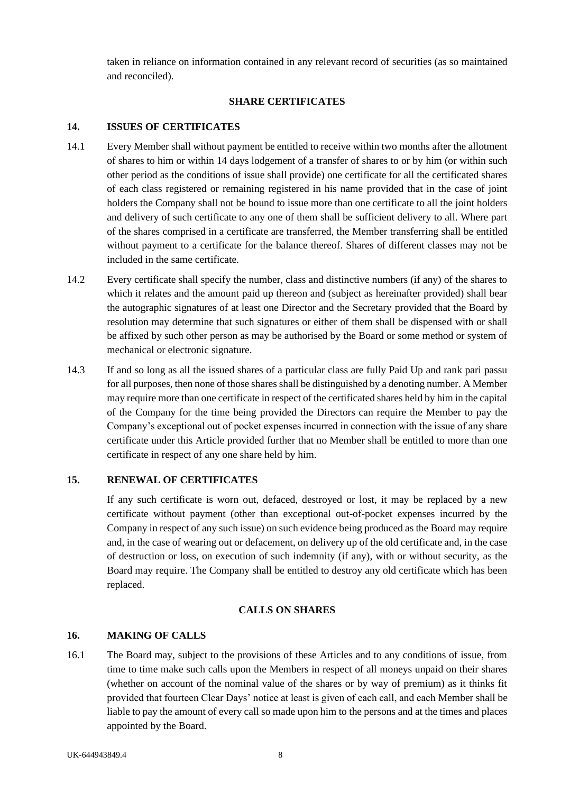taken in reliance on information contained in any relevant record of securities (as so maintained and reconciled).

## **SHARE CERTIFICATES**

# <span id="page-14-1"></span><span id="page-14-0"></span>**14. ISSUES OF CERTIFICATES**

- 14.1 Every Member shall without payment be entitled to receive within two months after the allotment of shares to him or within 14 days lodgement of a transfer of shares to or by him (or within such other period as the conditions of issue shall provide) one certificate for all the certificated shares of each class registered or remaining registered in his name provided that in the case of joint holders the Company shall not be bound to issue more than one certificate to all the joint holders and delivery of such certificate to any one of them shall be sufficient delivery to all. Where part of the shares comprised in a certificate are transferred, the Member transferring shall be entitled without payment to a certificate for the balance thereof. Shares of different classes may not be included in the same certificate.
- 14.2 Every certificate shall specify the number, class and distinctive numbers (if any) of the shares to which it relates and the amount paid up thereon and (subject as hereinafter provided) shall bear the autographic signatures of at least one Director and the Secretary provided that the Board by resolution may determine that such signatures or either of them shall be dispensed with or shall be affixed by such other person as may be authorised by the Board or some method or system of mechanical or electronic signature.
- 14.3 If and so long as all the issued shares of a particular class are fully Paid Up and rank pari passu for all purposes, then none of those shares shall be distinguished by a denoting number. A Member may require more than one certificate in respect of the certificated shares held by him in the capital of the Company for the time being provided the Directors can require the Member to pay the Company's exceptional out of pocket expenses incurred in connection with the issue of any share certificate under this Article provided further that no Member shall be entitled to more than one certificate in respect of any one share held by him.

# <span id="page-14-2"></span>**15. RENEWAL OF CERTIFICATES**

If any such certificate is worn out, defaced, destroyed or lost, it may be replaced by a new certificate without payment (other than exceptional out-of-pocket expenses incurred by the Company in respect of any such issue) on such evidence being produced as the Board may require and, in the case of wearing out or defacement, on delivery up of the old certificate and, in the case of destruction or loss, on execution of such indemnity (if any), with or without security, as the Board may require. The Company shall be entitled to destroy any old certificate which has been replaced.

# **CALLS ON SHARES**

# <span id="page-14-4"></span><span id="page-14-3"></span>**16. MAKING OF CALLS**

16.1 The Board may, subject to the provisions of these Articles and to any conditions of issue, from time to time make such calls upon the Members in respect of all moneys unpaid on their shares (whether on account of the nominal value of the shares or by way of premium) as it thinks fit provided that fourteen Clear Days' notice at least is given of each call, and each Member shall be liable to pay the amount of every call so made upon him to the persons and at the times and places appointed by the Board.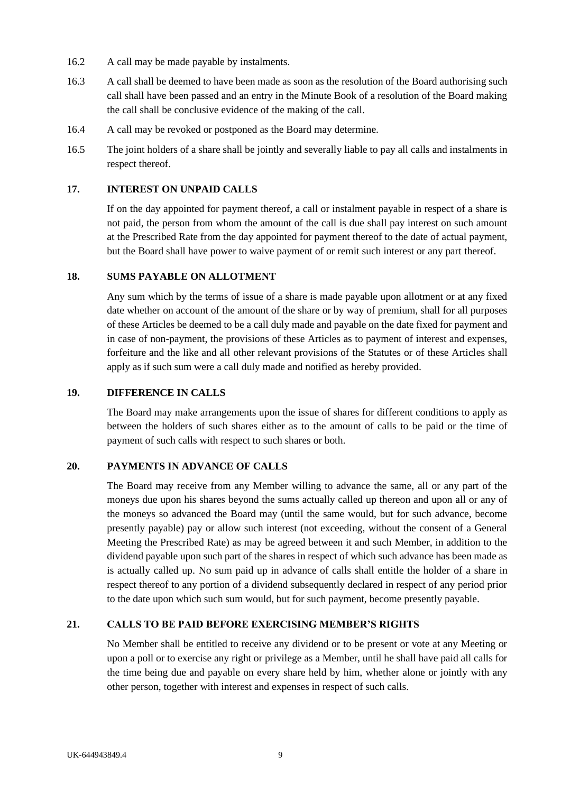- 16.2 A call may be made payable by instalments.
- 16.3 A call shall be deemed to have been made as soon as the resolution of the Board authorising such call shall have been passed and an entry in the Minute Book of a resolution of the Board making the call shall be conclusive evidence of the making of the call.
- 16.4 A call may be revoked or postponed as the Board may determine.
- 16.5 The joint holders of a share shall be jointly and severally liable to pay all calls and instalments in respect thereof.

## <span id="page-15-0"></span>**17. INTEREST ON UNPAID CALLS**

If on the day appointed for payment thereof, a call or instalment payable in respect of a share is not paid, the person from whom the amount of the call is due shall pay interest on such amount at the Prescribed Rate from the day appointed for payment thereof to the date of actual payment, but the Board shall have power to waive payment of or remit such interest or any part thereof.

## <span id="page-15-1"></span>**18. SUMS PAYABLE ON ALLOTMENT**

Any sum which by the terms of issue of a share is made payable upon allotment or at any fixed date whether on account of the amount of the share or by way of premium, shall for all purposes of these Articles be deemed to be a call duly made and payable on the date fixed for payment and in case of non-payment, the provisions of these Articles as to payment of interest and expenses, forfeiture and the like and all other relevant provisions of the Statutes or of these Articles shall apply as if such sum were a call duly made and notified as hereby provided.

### <span id="page-15-2"></span>**19. DIFFERENCE IN CALLS**

The Board may make arrangements upon the issue of shares for different conditions to apply as between the holders of such shares either as to the amount of calls to be paid or the time of payment of such calls with respect to such shares or both.

#### <span id="page-15-3"></span>**20. PAYMENTS IN ADVANCE OF CALLS**

The Board may receive from any Member willing to advance the same, all or any part of the moneys due upon his shares beyond the sums actually called up thereon and upon all or any of the moneys so advanced the Board may (until the same would, but for such advance, become presently payable) pay or allow such interest (not exceeding, without the consent of a General Meeting the Prescribed Rate) as may be agreed between it and such Member, in addition to the dividend payable upon such part of the shares in respect of which such advance has been made as is actually called up. No sum paid up in advance of calls shall entitle the holder of a share in respect thereof to any portion of a dividend subsequently declared in respect of any period prior to the date upon which such sum would, but for such payment, become presently payable.

# <span id="page-15-4"></span>**21. CALLS TO BE PAID BEFORE EXERCISING MEMBER'S RIGHTS**

No Member shall be entitled to receive any dividend or to be present or vote at any Meeting or upon a poll or to exercise any right or privilege as a Member, until he shall have paid all calls for the time being due and payable on every share held by him, whether alone or jointly with any other person, together with interest and expenses in respect of such calls.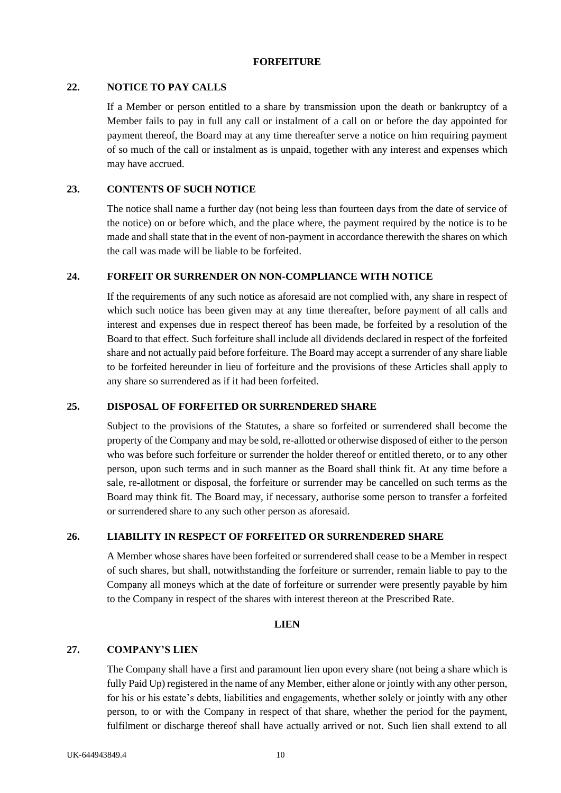#### **FORFEITURE**

## <span id="page-16-1"></span><span id="page-16-0"></span>**22. NOTICE TO PAY CALLS**

If a Member or person entitled to a share by transmission upon the death or bankruptcy of a Member fails to pay in full any call or instalment of a call on or before the day appointed for payment thereof, the Board may at any time thereafter serve a notice on him requiring payment of so much of the call or instalment as is unpaid, together with any interest and expenses which may have accrued.

### <span id="page-16-2"></span>**23. CONTENTS OF SUCH NOTICE**

The notice shall name a further day (not being less than fourteen days from the date of service of the notice) on or before which, and the place where, the payment required by the notice is to be made and shall state that in the event of non-payment in accordance therewith the shares on which the call was made will be liable to be forfeited.

## <span id="page-16-3"></span>**24. FORFEIT OR SURRENDER ON NON-COMPLIANCE WITH NOTICE**

If the requirements of any such notice as aforesaid are not complied with, any share in respect of which such notice has been given may at any time thereafter, before payment of all calls and interest and expenses due in respect thereof has been made, be forfeited by a resolution of the Board to that effect. Such forfeiture shall include all dividends declared in respect of the forfeited share and not actually paid before forfeiture. The Board may accept a surrender of any share liable to be forfeited hereunder in lieu of forfeiture and the provisions of these Articles shall apply to any share so surrendered as if it had been forfeited.

#### <span id="page-16-4"></span>**25. DISPOSAL OF FORFEITED OR SURRENDERED SHARE**

Subject to the provisions of the Statutes, a share so forfeited or surrendered shall become the property of the Company and may be sold, re-allotted or otherwise disposed of either to the person who was before such forfeiture or surrender the holder thereof or entitled thereto, or to any other person, upon such terms and in such manner as the Board shall think fit. At any time before a sale, re-allotment or disposal, the forfeiture or surrender may be cancelled on such terms as the Board may think fit. The Board may, if necessary, authorise some person to transfer a forfeited or surrendered share to any such other person as aforesaid.

#### <span id="page-16-5"></span>**26. LIABILITY IN RESPECT OF FORFEITED OR SURRENDERED SHARE**

A Member whose shares have been forfeited or surrendered shall cease to be a Member in respect of such shares, but shall, notwithstanding the forfeiture or surrender, remain liable to pay to the Company all moneys which at the date of forfeiture or surrender were presently payable by him to the Company in respect of the shares with interest thereon at the Prescribed Rate.

#### **LIEN**

#### <span id="page-16-7"></span><span id="page-16-6"></span>**27. COMPANY'S LIEN**

The Company shall have a first and paramount lien upon every share (not being a share which is fully Paid Up) registered in the name of any Member, either alone or jointly with any other person, for his or his estate's debts, liabilities and engagements, whether solely or jointly with any other person, to or with the Company in respect of that share, whether the period for the payment, fulfilment or discharge thereof shall have actually arrived or not. Such lien shall extend to all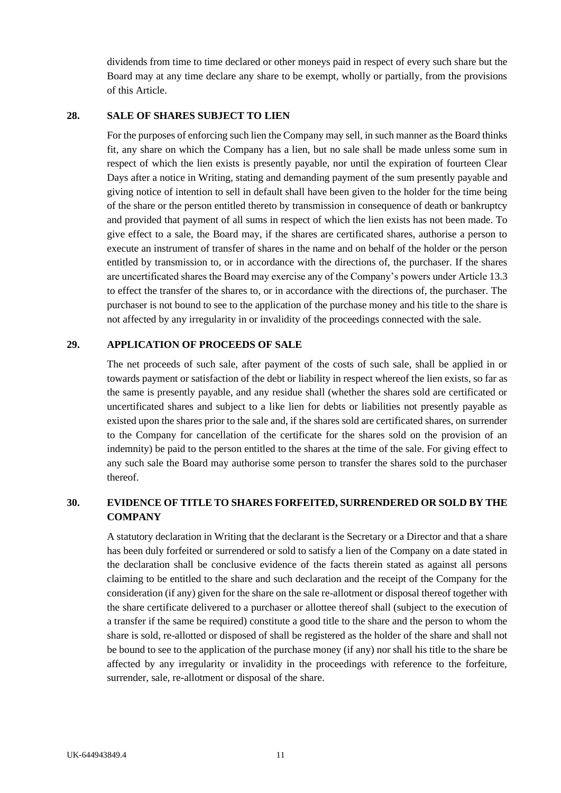dividends from time to time declared or other moneys paid in respect of every such share but the Board may at any time declare any share to be exempt, wholly or partially, from the provisions of this Article.

### <span id="page-17-0"></span>**28. SALE OF SHARES SUBJECT TO LIEN**

For the purposes of enforcing such lien the Company may sell, in such manner as the Board thinks fit, any share on which the Company has a lien, but no sale shall be made unless some sum in respect of which the lien exists is presently payable, nor until the expiration of fourteen Clear Days after a notice in Writing, stating and demanding payment of the sum presently payable and giving notice of intention to sell in default shall have been given to the holder for the time being of the share or the person entitled thereto by transmission in consequence of death or bankruptcy and provided that payment of all sums in respect of which the lien exists has not been made. To give effect to a sale, the Board may, if the shares are certificated shares, authorise a person to execute an instrument of transfer of shares in the name and on behalf of the holder or the person entitled by transmission to, or in accordance with the directions of, the purchaser. If the shares are uncertificated shares the Board may exercise any of the Company's powers under Articl[e 13.3](#page-13-3) to effect the transfer of the shares to, or in accordance with the directions of, the purchaser. The purchaser is not bound to see to the application of the purchase money and his title to the share is not affected by any irregularity in or invalidity of the proceedings connected with the sale.

#### <span id="page-17-1"></span>**29. APPLICATION OF PROCEEDS OF SALE**

The net proceeds of such sale, after payment of the costs of such sale, shall be applied in or towards payment or satisfaction of the debt or liability in respect whereof the lien exists, so far as the same is presently payable, and any residue shall (whether the shares sold are certificated or uncertificated shares and subject to a like lien for debts or liabilities not presently payable as existed upon the shares prior to the sale and, if the shares sold are certificated shares, on surrender to the Company for cancellation of the certificate for the shares sold on the provision of an indemnity) be paid to the person entitled to the shares at the time of the sale. For giving effect to any such sale the Board may authorise some person to transfer the shares sold to the purchaser thereof.

# <span id="page-17-2"></span>**30. EVIDENCE OF TITLE TO SHARES FORFEITED, SURRENDERED OR SOLD BY THE COMPANY**

A statutory declaration in Writing that the declarant is the Secretary or a Director and that a share has been duly forfeited or surrendered or sold to satisfy a lien of the Company on a date stated in the declaration shall be conclusive evidence of the facts therein stated as against all persons claiming to be entitled to the share and such declaration and the receipt of the Company for the consideration (if any) given for the share on the sale re-allotment or disposal thereof together with the share certificate delivered to a purchaser or allottee thereof shall (subject to the execution of a transfer if the same be required) constitute a good title to the share and the person to whom the share is sold, re-allotted or disposed of shall be registered as the holder of the share and shall not be bound to see to the application of the purchase money (if any) nor shall his title to the share be affected by any irregularity or invalidity in the proceedings with reference to the forfeiture, surrender, sale, re-allotment or disposal of the share.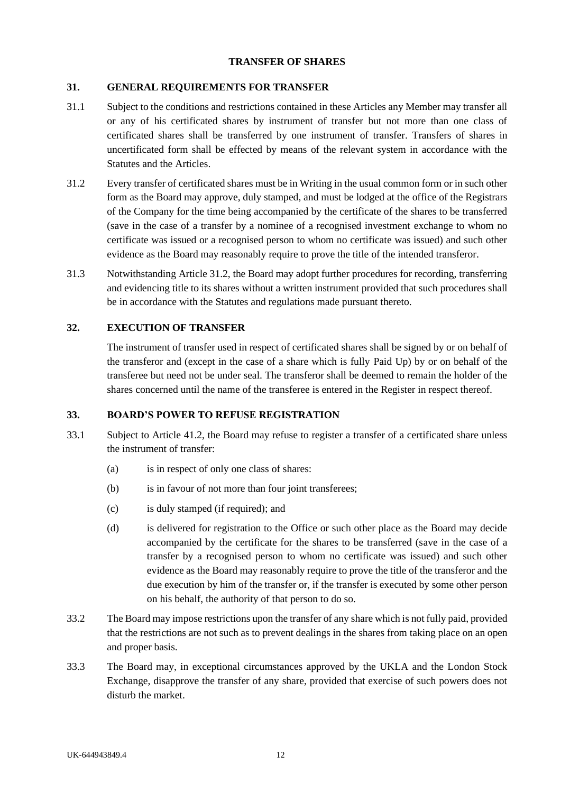### **TRANSFER OF SHARES**

## <span id="page-18-1"></span><span id="page-18-0"></span>**31. GENERAL REQUIREMENTS FOR TRANSFER**

- 31.1 Subject to the conditions and restrictions contained in these Articles any Member may transfer all or any of his certificated shares by instrument of transfer but not more than one class of certificated shares shall be transferred by one instrument of transfer. Transfers of shares in uncertificated form shall be effected by means of the relevant system in accordance with the Statutes and the Articles.
- <span id="page-18-4"></span>31.2 Every transfer of certificated shares must be in Writing in the usual common form or in such other form as the Board may approve, duly stamped, and must be lodged at the office of the Registrars of the Company for the time being accompanied by the certificate of the shares to be transferred (save in the case of a transfer by a nominee of a recognised investment exchange to whom no certificate was issued or a recognised person to whom no certificate was issued) and such other evidence as the Board may reasonably require to prove the title of the intended transferor.
- 31.3 Notwithstanding Articl[e 31.2,](#page-18-4) the Board may adopt further procedures for recording, transferring and evidencing title to its shares without a written instrument provided that such procedures shall be in accordance with the Statutes and regulations made pursuant thereto.

## <span id="page-18-2"></span>**32. EXECUTION OF TRANSFER**

The instrument of transfer used in respect of certificated shares shall be signed by or on behalf of the transferor and (except in the case of a share which is fully Paid Up) by or on behalf of the transferee but need not be under seal. The transferor shall be deemed to remain the holder of the shares concerned until the name of the transferee is entered in the Register in respect thereof.

#### <span id="page-18-3"></span>**33. BOARD'S POWER TO REFUSE REGISTRATION**

- <span id="page-18-5"></span>33.1 Subject to Article [41.2,](#page-21-1) the Board may refuse to register a transfer of a certificated share unless the instrument of transfer:
	- (a) is in respect of only one class of shares:
	- (b) is in favour of not more than four joint transferees;
	- (c) is duly stamped (if required); and
	- (d) is delivered for registration to the Office or such other place as the Board may decide accompanied by the certificate for the shares to be transferred (save in the case of a transfer by a recognised person to whom no certificate was issued) and such other evidence as the Board may reasonably require to prove the title of the transferor and the due execution by him of the transfer or, if the transfer is executed by some other person on his behalf, the authority of that person to do so.
- 33.2 The Board may impose restrictions upon the transfer of any share which is not fully paid, provided that the restrictions are not such as to prevent dealings in the shares from taking place on an open and proper basis.
- 33.3 The Board may, in exceptional circumstances approved by the UKLA and the London Stock Exchange, disapprove the transfer of any share, provided that exercise of such powers does not disturb the market.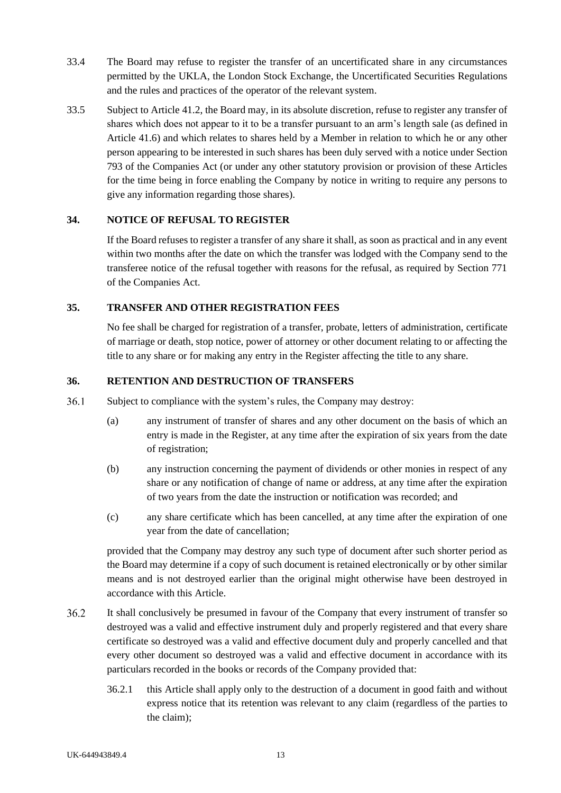- 33.4 The Board may refuse to register the transfer of an uncertificated share in any circumstances permitted by the UKLA, the London Stock Exchange, the Uncertificated Securities Regulations and the rules and practices of the operator of the relevant system.
- <span id="page-19-3"></span>33.5 Subject to Article [41.2,](#page-21-1) the Board may, in its absolute discretion, refuse to register any transfer of shares which does not appear to it to be a transfer pursuant to an arm's length sale (as defined in Article [41.6\)](#page-23-2) and which relates to shares held by a Member in relation to which he or any other person appearing to be interested in such shares has been duly served with a notice under Section 793 of the Companies Act (or under any other statutory provision or provision of these Articles for the time being in force enabling the Company by notice in writing to require any persons to give any information regarding those shares).

## <span id="page-19-0"></span>**34. NOTICE OF REFUSAL TO REGISTER**

If the Board refuses to register a transfer of any share it shall, as soon as practical and in any event within two months after the date on which the transfer was lodged with the Company send to the transferee notice of the refusal together with reasons for the refusal, as required by Section 771 of the Companies Act.

## <span id="page-19-1"></span>**35. TRANSFER AND OTHER REGISTRATION FEES**

No fee shall be charged for registration of a transfer, probate, letters of administration, certificate of marriage or death, stop notice, power of attorney or other document relating to or affecting the title to any share or for making any entry in the Register affecting the title to any share.

## <span id="page-19-2"></span>**36. RETENTION AND DESTRUCTION OF TRANSFERS**

- $36.1$ Subject to compliance with the system's rules, the Company may destroy:
	- (a) any instrument of transfer of shares and any other document on the basis of which an entry is made in the Register, at any time after the expiration of six years from the date of registration;
	- (b) any instruction concerning the payment of dividends or other monies in respect of any share or any notification of change of name or address, at any time after the expiration of two years from the date the instruction or notification was recorded; and
	- (c) any share certificate which has been cancelled, at any time after the expiration of one year from the date of cancellation;

provided that the Company may destroy any such type of document after such shorter period as the Board may determine if a copy of such document is retained electronically or by other similar means and is not destroyed earlier than the original might otherwise have been destroyed in accordance with this Article.

- $36.2$ It shall conclusively be presumed in favour of the Company that every instrument of transfer so destroyed was a valid and effective instrument duly and properly registered and that every share certificate so destroyed was a valid and effective document duly and properly cancelled and that every other document so destroyed was a valid and effective document in accordance with its particulars recorded in the books or records of the Company provided that:
	- 36.2.1 this Article shall apply only to the destruction of a document in good faith and without express notice that its retention was relevant to any claim (regardless of the parties to the claim);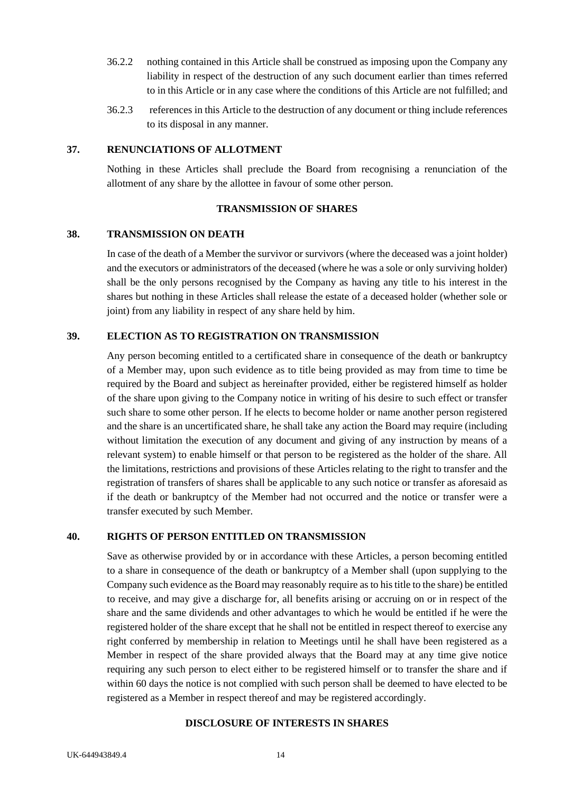- 36.2.2 nothing contained in this Article shall be construed as imposing upon the Company any liability in respect of the destruction of any such document earlier than times referred to in this Article or in any case where the conditions of this Article are not fulfilled; and
- 36.2.3 references in this Article to the destruction of any document or thing include references to its disposal in any manner.

## <span id="page-20-0"></span>**37. RENUNCIATIONS OF ALLOTMENT**

Nothing in these Articles shall preclude the Board from recognising a renunciation of the allotment of any share by the allottee in favour of some other person.

## **TRANSMISSION OF SHARES**

#### <span id="page-20-2"></span><span id="page-20-1"></span>**38. TRANSMISSION ON DEATH**

In case of the death of a Member the survivor or survivors (where the deceased was a joint holder) and the executors or administrators of the deceased (where he was a sole or only surviving holder) shall be the only persons recognised by the Company as having any title to his interest in the shares but nothing in these Articles shall release the estate of a deceased holder (whether sole or joint) from any liability in respect of any share held by him.

## <span id="page-20-3"></span>**39. ELECTION AS TO REGISTRATION ON TRANSMISSION**

Any person becoming entitled to a certificated share in consequence of the death or bankruptcy of a Member may, upon such evidence as to title being provided as may from time to time be required by the Board and subject as hereinafter provided, either be registered himself as holder of the share upon giving to the Company notice in writing of his desire to such effect or transfer such share to some other person. If he elects to become holder or name another person registered and the share is an uncertificated share, he shall take any action the Board may require (including without limitation the execution of any document and giving of any instruction by means of a relevant system) to enable himself or that person to be registered as the holder of the share. All the limitations, restrictions and provisions of these Articles relating to the right to transfer and the registration of transfers of shares shall be applicable to any such notice or transfer as aforesaid as if the death or bankruptcy of the Member had not occurred and the notice or transfer were a transfer executed by such Member.

#### <span id="page-20-4"></span>**40. RIGHTS OF PERSON ENTITLED ON TRANSMISSION**

Save as otherwise provided by or in accordance with these Articles, a person becoming entitled to a share in consequence of the death or bankruptcy of a Member shall (upon supplying to the Company such evidence as the Board may reasonably require as to his title to the share) be entitled to receive, and may give a discharge for, all benefits arising or accruing on or in respect of the share and the same dividends and other advantages to which he would be entitled if he were the registered holder of the share except that he shall not be entitled in respect thereof to exercise any right conferred by membership in relation to Meetings until he shall have been registered as a Member in respect of the share provided always that the Board may at any time give notice requiring any such person to elect either to be registered himself or to transfer the share and if within 60 days the notice is not complied with such person shall be deemed to have elected to be registered as a Member in respect thereof and may be registered accordingly.

#### <span id="page-20-5"></span>**DISCLOSURE OF INTERESTS IN SHARES**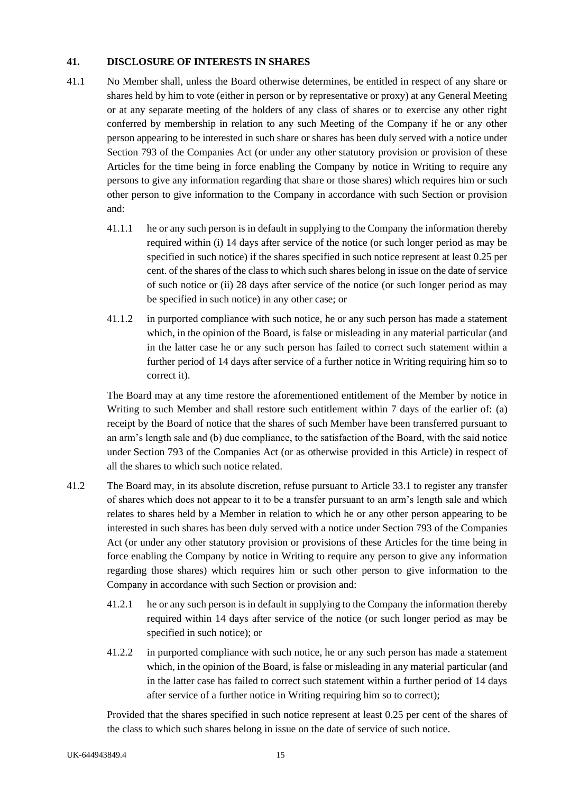## <span id="page-21-0"></span>**41. DISCLOSURE OF INTERESTS IN SHARES**

- <span id="page-21-2"></span>41.1 No Member shall, unless the Board otherwise determines, be entitled in respect of any share or shares held by him to vote (either in person or by representative or proxy) at any General Meeting or at any separate meeting of the holders of any class of shares or to exercise any other right conferred by membership in relation to any such Meeting of the Company if he or any other person appearing to be interested in such share or shares has been duly served with a notice under Section 793 of the Companies Act (or under any other statutory provision or provision of these Articles for the time being in force enabling the Company by notice in Writing to require any persons to give any information regarding that share or those shares) which requires him or such other person to give information to the Company in accordance with such Section or provision and:
	- 41.1.1 he or any such person is in default in supplying to the Company the information thereby required within (i) 14 days after service of the notice (or such longer period as may be specified in such notice) if the shares specified in such notice represent at least 0.25 per cent. of the shares of the class to which such shares belong in issue on the date of service of such notice or (ii) 28 days after service of the notice (or such longer period as may be specified in such notice) in any other case; or
	- 41.1.2 in purported compliance with such notice, he or any such person has made a statement which, in the opinion of the Board, is false or misleading in any material particular (and in the latter case he or any such person has failed to correct such statement within a further period of 14 days after service of a further notice in Writing requiring him so to correct it).

The Board may at any time restore the aforementioned entitlement of the Member by notice in Writing to such Member and shall restore such entitlement within 7 days of the earlier of: (a) receipt by the Board of notice that the shares of such Member have been transferred pursuant to an arm's length sale and (b) due compliance, to the satisfaction of the Board, with the said notice under Section 793 of the Companies Act (or as otherwise provided in this Article) in respect of all the shares to which such notice related.

- <span id="page-21-1"></span>41.2 The Board may, in its absolute discretion, refuse pursuant to Article [33.1](#page-18-5) to register any transfer of shares which does not appear to it to be a transfer pursuant to an arm's length sale and which relates to shares held by a Member in relation to which he or any other person appearing to be interested in such shares has been duly served with a notice under Section 793 of the Companies Act (or under any other statutory provision or provisions of these Articles for the time being in force enabling the Company by notice in Writing to require any person to give any information regarding those shares) which requires him or such other person to give information to the Company in accordance with such Section or provision and:
	- 41.2.1 he or any such person is in default in supplying to the Company the information thereby required within 14 days after service of the notice (or such longer period as may be specified in such notice); or
	- 41.2.2 in purported compliance with such notice, he or any such person has made a statement which, in the opinion of the Board, is false or misleading in any material particular (and in the latter case has failed to correct such statement within a further period of 14 days after service of a further notice in Writing requiring him so to correct);

Provided that the shares specified in such notice represent at least 0.25 per cent of the shares of the class to which such shares belong in issue on the date of service of such notice.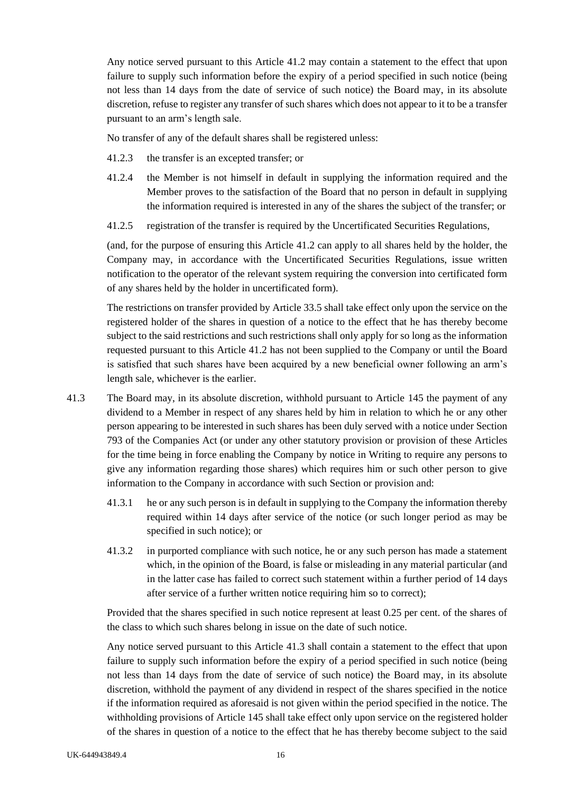Any notice served pursuant to this Article [41.2](#page-21-1) may contain a statement to the effect that upon failure to supply such information before the expiry of a period specified in such notice (being not less than 14 days from the date of service of such notice) the Board may, in its absolute discretion, refuse to register any transfer of such shares which does not appear to it to be a transfer pursuant to an arm's length sale.

No transfer of any of the default shares shall be registered unless:

- 41.2.3 the transfer is an excepted transfer; or
- 41.2.4 the Member is not himself in default in supplying the information required and the Member proves to the satisfaction of the Board that no person in default in supplying the information required is interested in any of the shares the subject of the transfer; or
- 41.2.5 registration of the transfer is required by the Uncertificated Securities Regulations,

(and, for the purpose of ensuring this Article [41.2](#page-21-1) can apply to all shares held by the holder, the Company may, in accordance with the Uncertificated Securities Regulations, issue written notification to the operator of the relevant system requiring the conversion into certificated form of any shares held by the holder in uncertificated form).

The restrictions on transfer provided by Article [33.5](#page-19-3) shall take effect only upon the service on the registered holder of the shares in question of a notice to the effect that he has thereby become subject to the said restrictions and such restrictions shall only apply for so long as the information requested pursuant to this Article [41.2](#page-21-1) has not been supplied to the Company or until the Board is satisfied that such shares have been acquired by a new beneficial owner following an arm's length sale, whichever is the earlier.

- <span id="page-22-0"></span>41.3 The Board may, in its absolute discretion, withhold pursuant to Article 145 the payment of any dividend to a Member in respect of any shares held by him in relation to which he or any other person appearing to be interested in such shares has been duly served with a notice under Section 793 of the Companies Act (or under any other statutory provision or provision of these Articles for the time being in force enabling the Company by notice in Writing to require any persons to give any information regarding those shares) which requires him or such other person to give information to the Company in accordance with such Section or provision and:
	- 41.3.1 he or any such person is in default in supplying to the Company the information thereby required within 14 days after service of the notice (or such longer period as may be specified in such notice); or
	- 41.3.2 in purported compliance with such notice, he or any such person has made a statement which, in the opinion of the Board, is false or misleading in any material particular (and in the latter case has failed to correct such statement within a further period of 14 days after service of a further written notice requiring him so to correct);

Provided that the shares specified in such notice represent at least 0.25 per cent. of the shares of the class to which such shares belong in issue on the date of such notice.

Any notice served pursuant to this Article [41.3](#page-22-0) shall contain a statement to the effect that upon failure to supply such information before the expiry of a period specified in such notice (being not less than 14 days from the date of service of such notice) the Board may, in its absolute discretion, withhold the payment of any dividend in respect of the shares specified in the notice if the information required as aforesaid is not given within the period specified in the notice. The withholding provisions of Article [145](#page-56-2) shall take effect only upon service on the registered holder of the shares in question of a notice to the effect that he has thereby become subject to the said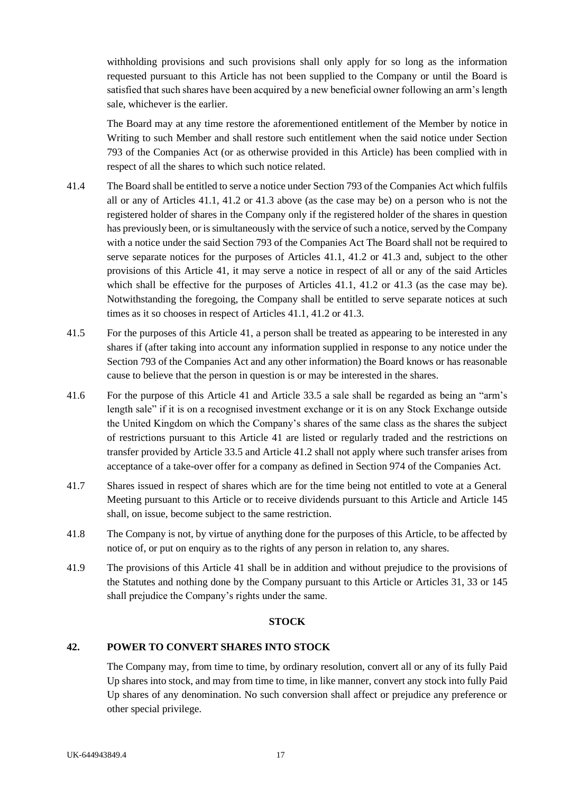withholding provisions and such provisions shall only apply for so long as the information requested pursuant to this Article has not been supplied to the Company or until the Board is satisfied that such shares have been acquired by a new beneficial owner following an arm's length sale, whichever is the earlier.

The Board may at any time restore the aforementioned entitlement of the Member by notice in Writing to such Member and shall restore such entitlement when the said notice under Section 793 of the Companies Act (or as otherwise provided in this Article) has been complied with in respect of all the shares to which such notice related.

- 41.4 The Board shall be entitled to serve a notice under Section 793 of the Companies Act which fulfils all or any of Articles [41.1,](#page-21-2) [41.2](#page-21-1) or [41.3](#page-22-0) above (as the case may be) on a person who is not the registered holder of shares in the Company only if the registered holder of the shares in question has previously been, or is simultaneously with the service of such a notice, served by the Company with a notice under the said Section 793 of the Companies Act The Board shall not be required to serve separate notices for the purposes of Articles [41.1,](#page-21-2) [41.2](#page-21-1) or [41.3](#page-22-0) and, subject to the other provisions of this Article [41,](#page-21-0) it may serve a notice in respect of all or any of the said Articles which shall be effective for the purposes of Articles [41.1,](#page-21-2) [41.2](#page-21-1) or [41.3](#page-22-0) (as the case may be). Notwithstanding the foregoing, the Company shall be entitled to serve separate notices at such times as it so chooses in respect of Articles [41.1,](#page-21-2) [41.2](#page-21-1) or [41.3.](#page-22-0)
- 41.5 For the purposes of this Article [41,](#page-21-0) a person shall be treated as appearing to be interested in any shares if (after taking into account any information supplied in response to any notice under the Section 793 of the Companies Act and any other information) the Board knows or has reasonable cause to believe that the person in question is or may be interested in the shares.
- <span id="page-23-2"></span>41.6 For the purpose of this Article [41](#page-21-0) and Article [33.5](#page-19-3) a sale shall be regarded as being an "arm's length sale" if it is on a recognised investment exchange or it is on any Stock Exchange outside the United Kingdom on which the Company's shares of the same class as the shares the subject of restrictions pursuant to this Article [41](#page-21-0) are listed or regularly traded and the restrictions on transfer provided by Article [33.5](#page-19-3) and Article [41.2](#page-21-1) shall not apply where such transfer arises from acceptance of a take-over offer for a company as defined in Section 974 of the Companies Act.
- 41.7 Shares issued in respect of shares which are for the time being not entitled to vote at a General Meeting pursuant to this Article or to receive dividends pursuant to this Article and Article [145](#page-56-2) shall, on issue, become subject to the same restriction.
- 41.8 The Company is not, by virtue of anything done for the purposes of this Article, to be affected by notice of, or put on enquiry as to the rights of any person in relation to, any shares.
- 41.9 The provisions of this Article [41](#page-21-0) shall be in addition and without prejudice to the provisions of the Statutes and nothing done by the Company pursuant to this Article or Articles [31,](#page-18-1) 33 or 145 shall prejudice the Company's rights under the same.

#### **STOCK**

## <span id="page-23-1"></span><span id="page-23-0"></span>**42. POWER TO CONVERT SHARES INTO STOCK**

The Company may, from time to time, by ordinary resolution, convert all or any of its fully Paid Up shares into stock, and may from time to time, in like manner, convert any stock into fully Paid Up shares of any denomination. No such conversion shall affect or prejudice any preference or other special privilege.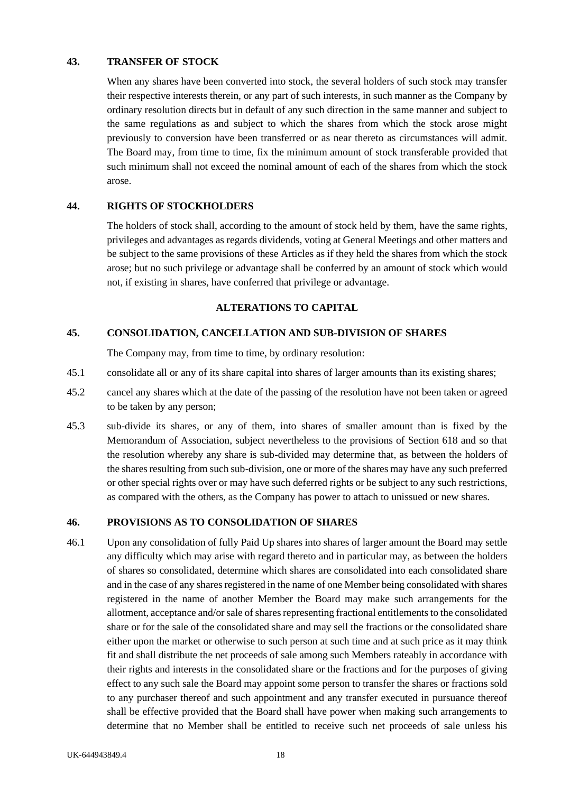## <span id="page-24-0"></span>**43. TRANSFER OF STOCK**

When any shares have been converted into stock, the several holders of such stock may transfer their respective interests therein, or any part of such interests, in such manner as the Company by ordinary resolution directs but in default of any such direction in the same manner and subject to the same regulations as and subject to which the shares from which the stock arose might previously to conversion have been transferred or as near thereto as circumstances will admit. The Board may, from time to time, fix the minimum amount of stock transferable provided that such minimum shall not exceed the nominal amount of each of the shares from which the stock arose.

## <span id="page-24-1"></span>**44. RIGHTS OF STOCKHOLDERS**

The holders of stock shall, according to the amount of stock held by them, have the same rights, privileges and advantages as regards dividends, voting at General Meetings and other matters and be subject to the same provisions of these Articles as if they held the shares from which the stock arose; but no such privilege or advantage shall be conferred by an amount of stock which would not, if existing in shares, have conferred that privilege or advantage.

## **ALTERATIONS TO CAPITAL**

## <span id="page-24-3"></span><span id="page-24-2"></span>**45. CONSOLIDATION, CANCELLATION AND SUB-DIVISION OF SHARES**

The Company may, from time to time, by ordinary resolution:

- 45.1 consolidate all or any of its share capital into shares of larger amounts than its existing shares;
- 45.2 cancel any shares which at the date of the passing of the resolution have not been taken or agreed to be taken by any person;
- 45.3 sub-divide its shares, or any of them, into shares of smaller amount than is fixed by the Memorandum of Association, subject nevertheless to the provisions of Section 618 and so that the resolution whereby any share is sub-divided may determine that, as between the holders of the shares resulting from such sub-division, one or more of the shares may have any such preferred or other special rights over or may have such deferred rights or be subject to any such restrictions, as compared with the others, as the Company has power to attach to unissued or new shares.

# <span id="page-24-4"></span>**46. PROVISIONS AS TO CONSOLIDATION OF SHARES**

46.1 Upon any consolidation of fully Paid Up shares into shares of larger amount the Board may settle any difficulty which may arise with regard thereto and in particular may, as between the holders of shares so consolidated, determine which shares are consolidated into each consolidated share and in the case of any shares registered in the name of one Member being consolidated with shares registered in the name of another Member the Board may make such arrangements for the allotment, acceptance and/or sale of shares representing fractional entitlements to the consolidated share or for the sale of the consolidated share and may sell the fractions or the consolidated share either upon the market or otherwise to such person at such time and at such price as it may think fit and shall distribute the net proceeds of sale among such Members rateably in accordance with their rights and interests in the consolidated share or the fractions and for the purposes of giving effect to any such sale the Board may appoint some person to transfer the shares or fractions sold to any purchaser thereof and such appointment and any transfer executed in pursuance thereof shall be effective provided that the Board shall have power when making such arrangements to determine that no Member shall be entitled to receive such net proceeds of sale unless his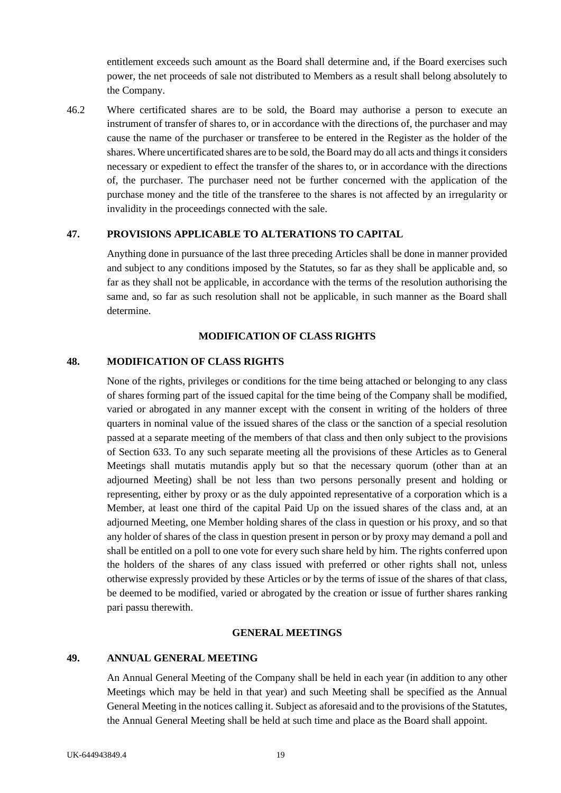entitlement exceeds such amount as the Board shall determine and, if the Board exercises such power, the net proceeds of sale not distributed to Members as a result shall belong absolutely to the Company.

46.2 Where certificated shares are to be sold, the Board may authorise a person to execute an instrument of transfer of shares to, or in accordance with the directions of, the purchaser and may cause the name of the purchaser or transferee to be entered in the Register as the holder of the shares. Where uncertificated shares are to be sold, the Board may do all acts and things it considers necessary or expedient to effect the transfer of the shares to, or in accordance with the directions of, the purchaser. The purchaser need not be further concerned with the application of the purchase money and the title of the transferee to the shares is not affected by an irregularity or invalidity in the proceedings connected with the sale.

## <span id="page-25-0"></span>**47. PROVISIONS APPLICABLE TO ALTERATIONS TO CAPITAL**

Anything done in pursuance of the last three preceding Articles shall be done in manner provided and subject to any conditions imposed by the Statutes, so far as they shall be applicable and, so far as they shall not be applicable, in accordance with the terms of the resolution authorising the same and, so far as such resolution shall not be applicable, in such manner as the Board shall determine.

### **MODIFICATION OF CLASS RIGHTS**

#### <span id="page-25-2"></span><span id="page-25-1"></span>**48. MODIFICATION OF CLASS RIGHTS**

None of the rights, privileges or conditions for the time being attached or belonging to any class of shares forming part of the issued capital for the time being of the Company shall be modified, varied or abrogated in any manner except with the consent in writing of the holders of three quarters in nominal value of the issued shares of the class or the sanction of a special resolution passed at a separate meeting of the members of that class and then only subject to the provisions of Section 633. To any such separate meeting all the provisions of these Articles as to General Meetings shall mutatis mutandis apply but so that the necessary quorum (other than at an adjourned Meeting) shall be not less than two persons personally present and holding or representing, either by proxy or as the duly appointed representative of a corporation which is a Member, at least one third of the capital Paid Up on the issued shares of the class and, at an adjourned Meeting, one Member holding shares of the class in question or his proxy, and so that any holder of shares of the class in question present in person or by proxy may demand a poll and shall be entitled on a poll to one vote for every such share held by him. The rights conferred upon the holders of the shares of any class issued with preferred or other rights shall not, unless otherwise expressly provided by these Articles or by the terms of issue of the shares of that class, be deemed to be modified, varied or abrogated by the creation or issue of further shares ranking pari passu therewith.

### **GENERAL MEETINGS**

#### <span id="page-25-4"></span><span id="page-25-3"></span>**49. ANNUAL GENERAL MEETING**

An Annual General Meeting of the Company shall be held in each year (in addition to any other Meetings which may be held in that year) and such Meeting shall be specified as the Annual General Meeting in the notices calling it. Subject as aforesaid and to the provisions of the Statutes, the Annual General Meeting shall be held at such time and place as the Board shall appoint.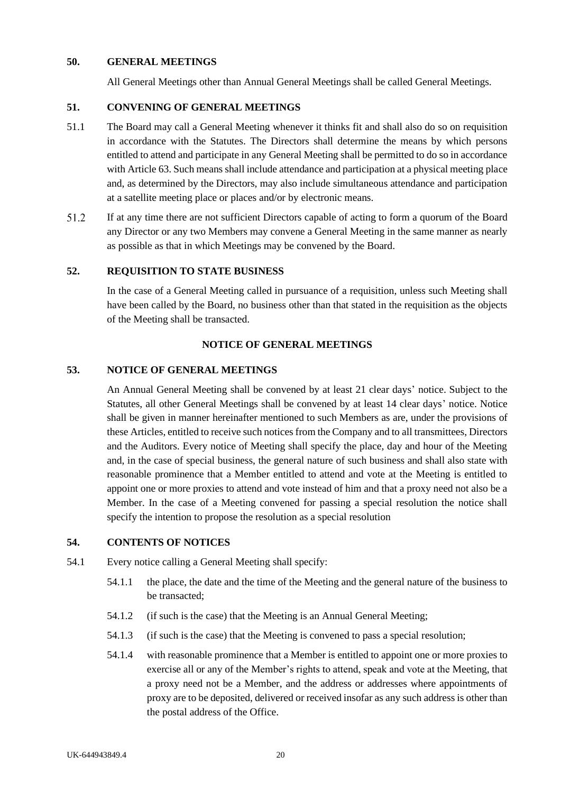#### <span id="page-26-0"></span>**50. GENERAL MEETINGS**

All General Meetings other than Annual General Meetings shall be called General Meetings.

#### <span id="page-26-1"></span>**51. CONVENING OF GENERAL MEETINGS**

- 51.1 The Board may call a General Meeting whenever it thinks fit and shall also do so on requisition in accordance with the Statutes. The Directors shall determine the means by which persons entitled to attend and participate in any General Meeting shall be permitted to do so in accordance with Article 63. Such means shall include attendance and participation at a physical meeting place and, as determined by the Directors, may also include simultaneous attendance and participation at a satellite meeting place or places and/or by electronic means.
- 51.2 If at any time there are not sufficient Directors capable of acting to form a quorum of the Board any Director or any two Members may convene a General Meeting in the same manner as nearly as possible as that in which Meetings may be convened by the Board.

#### <span id="page-26-2"></span>**52. REQUISITION TO STATE BUSINESS**

In the case of a General Meeting called in pursuance of a requisition, unless such Meeting shall have been called by the Board, no business other than that stated in the requisition as the objects of the Meeting shall be transacted.

#### **NOTICE OF GENERAL MEETINGS**

# <span id="page-26-4"></span><span id="page-26-3"></span>**53. NOTICE OF GENERAL MEETINGS**

An Annual General Meeting shall be convened by at least 21 clear days' notice. Subject to the Statutes, all other General Meetings shall be convened by at least 14 clear days' notice. Notice shall be given in manner hereinafter mentioned to such Members as are, under the provisions of these Articles, entitled to receive such notices from the Company and to all transmittees, Directors and the Auditors. Every notice of Meeting shall specify the place, day and hour of the Meeting and, in the case of special business, the general nature of such business and shall also state with reasonable prominence that a Member entitled to attend and vote at the Meeting is entitled to appoint one or more proxies to attend and vote instead of him and that a proxy need not also be a Member. In the case of a Meeting convened for passing a special resolution the notice shall specify the intention to propose the resolution as a special resolution

## <span id="page-26-5"></span>**54. CONTENTS OF NOTICES**

- 54.1 Every notice calling a General Meeting shall specify:
	- 54.1.1 the place, the date and the time of the Meeting and the general nature of the business to be transacted;
	- 54.1.2 (if such is the case) that the Meeting is an Annual General Meeting;
	- 54.1.3 (if such is the case) that the Meeting is convened to pass a special resolution;
	- 54.1.4 with reasonable prominence that a Member is entitled to appoint one or more proxies to exercise all or any of the Member's rights to attend, speak and vote at the Meeting, that a proxy need not be a Member, and the address or addresses where appointments of proxy are to be deposited, delivered or received insofar as any such address is other than the postal address of the Office.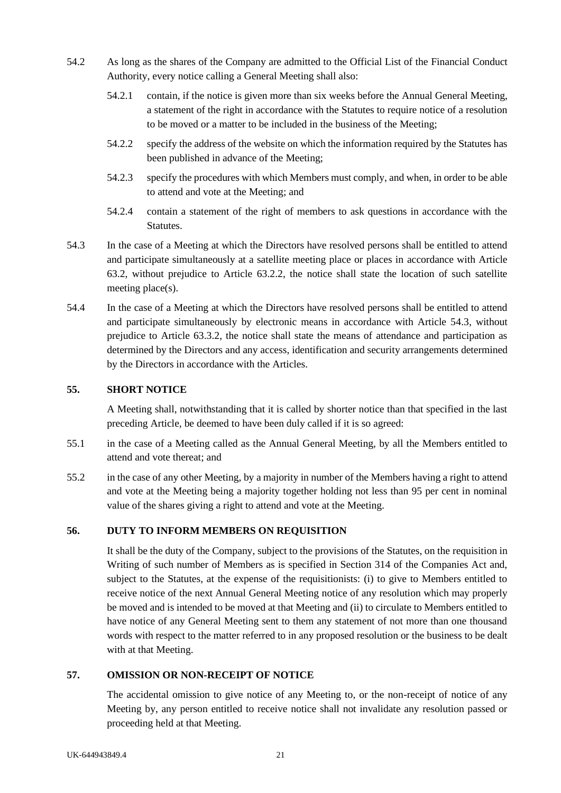- 54.2 As long as the shares of the Company are admitted to the Official List of the Financial Conduct Authority, every notice calling a General Meeting shall also:
	- 54.2.1 contain, if the notice is given more than six weeks before the Annual General Meeting, a statement of the right in accordance with the Statutes to require notice of a resolution to be moved or a matter to be included in the business of the Meeting;
	- 54.2.2 specify the address of the website on which the information required by the Statutes has been published in advance of the Meeting;
	- 54.2.3 specify the procedures with which Members must comply, and when, in order to be able to attend and vote at the Meeting; and
	- 54.2.4 contain a statement of the right of members to ask questions in accordance with the Statutes.
- 54.3 In the case of a Meeting at which the Directors have resolved persons shall be entitled to attend and participate simultaneously at a satellite meeting place or places in accordance with Article 63.2, without prejudice to Article 63.2.2, the notice shall state the location of such satellite meeting place(s).
- 54.4 In the case of a Meeting at which the Directors have resolved persons shall be entitled to attend and participate simultaneously by electronic means in accordance with Article 54.3, without prejudice to Article 63.3.2, the notice shall state the means of attendance and participation as determined by the Directors and any access, identification and security arrangements determined by the Directors in accordance with the Articles.

## <span id="page-27-0"></span>**55. SHORT NOTICE**

A Meeting shall, notwithstanding that it is called by shorter notice than that specified in the last preceding Article, be deemed to have been duly called if it is so agreed:

- 55.1 in the case of a Meeting called as the Annual General Meeting, by all the Members entitled to attend and vote thereat; and
- 55.2 in the case of any other Meeting, by a majority in number of the Members having a right to attend and vote at the Meeting being a majority together holding not less than 95 per cent in nominal value of the shares giving a right to attend and vote at the Meeting.

# <span id="page-27-1"></span>**56. DUTY TO INFORM MEMBERS ON REQUISITION**

It shall be the duty of the Company, subject to the provisions of the Statutes, on the requisition in Writing of such number of Members as is specified in Section 314 of the Companies Act and, subject to the Statutes, at the expense of the requisitionists: (i) to give to Members entitled to receive notice of the next Annual General Meeting notice of any resolution which may properly be moved and is intended to be moved at that Meeting and (ii) to circulate to Members entitled to have notice of any General Meeting sent to them any statement of not more than one thousand words with respect to the matter referred to in any proposed resolution or the business to be dealt with at that Meeting.

# <span id="page-27-2"></span>**57. OMISSION OR NON-RECEIPT OF NOTICE**

The accidental omission to give notice of any Meeting to, or the non-receipt of notice of any Meeting by, any person entitled to receive notice shall not invalidate any resolution passed or proceeding held at that Meeting.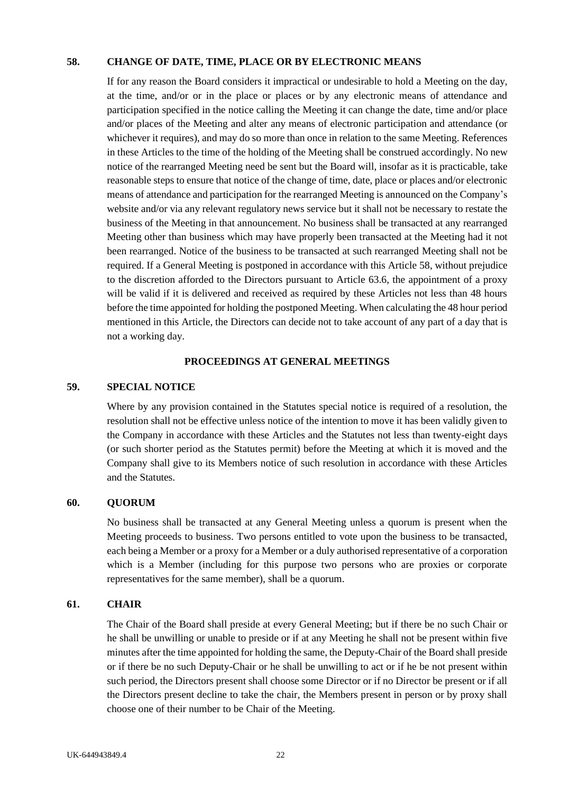#### <span id="page-28-0"></span>**58. CHANGE OF DATE, TIME, PLACE OR BY ELECTRONIC MEANS**

If for any reason the Board considers it impractical or undesirable to hold a Meeting on the day, at the time, and/or or in the place or places or by any electronic means of attendance and participation specified in the notice calling the Meeting it can change the date, time and/or place and/or places of the Meeting and alter any means of electronic participation and attendance (or whichever it requires), and may do so more than once in relation to the same Meeting. References in these Articles to the time of the holding of the Meeting shall be construed accordingly. No new notice of the rearranged Meeting need be sent but the Board will, insofar as it is practicable, take reasonable steps to ensure that notice of the change of time, date, place or places and/or electronic means of attendance and participation for the rearranged Meeting is announced on the Company's website and/or via any relevant regulatory news service but it shall not be necessary to restate the business of the Meeting in that announcement. No business shall be transacted at any rearranged Meeting other than business which may have properly been transacted at the Meeting had it not been rearranged. Notice of the business to be transacted at such rearranged Meeting shall not be required. If a General Meeting is postponed in accordance with this Article 58, without prejudice to the discretion afforded to the Directors pursuant to Article 63.6, the appointment of a proxy will be valid if it is delivered and received as required by these Articles not less than 48 hours before the time appointed for holding the postponed Meeting. When calculating the 48 hour period mentioned in this Article, the Directors can decide not to take account of any part of a day that is not a working day.

### **PROCEEDINGS AT GENERAL MEETINGS**

#### <span id="page-28-2"></span><span id="page-28-1"></span>**59. SPECIAL NOTICE**

Where by any provision contained in the Statutes special notice is required of a resolution, the resolution shall not be effective unless notice of the intention to move it has been validly given to the Company in accordance with these Articles and the Statutes not less than twenty-eight days (or such shorter period as the Statutes permit) before the Meeting at which it is moved and the Company shall give to its Members notice of such resolution in accordance with these Articles and the Statutes.

#### <span id="page-28-3"></span>**60. QUORUM**

No business shall be transacted at any General Meeting unless a quorum is present when the Meeting proceeds to business. Two persons entitled to vote upon the business to be transacted, each being a Member or a proxy for a Member or a duly authorised representative of a corporation which is a Member (including for this purpose two persons who are proxies or corporate representatives for the same member), shall be a quorum.

### <span id="page-28-4"></span>**61. CHAIR**

The Chair of the Board shall preside at every General Meeting; but if there be no such Chair or he shall be unwilling or unable to preside or if at any Meeting he shall not be present within five minutes after the time appointed for holding the same, the Deputy-Chair of the Board shall preside or if there be no such Deputy-Chair or he shall be unwilling to act or if he be not present within such period, the Directors present shall choose some Director or if no Director be present or if all the Directors present decline to take the chair, the Members present in person or by proxy shall choose one of their number to be Chair of the Meeting.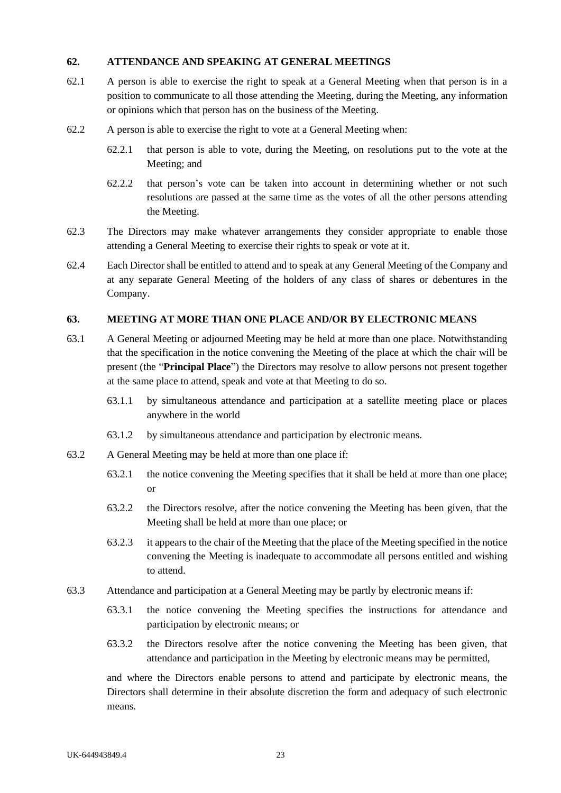### <span id="page-29-0"></span>**62. ATTENDANCE AND SPEAKING AT GENERAL MEETINGS**

- 62.1 A person is able to exercise the right to speak at a General Meeting when that person is in a position to communicate to all those attending the Meeting, during the Meeting, any information or opinions which that person has on the business of the Meeting.
- 62.2 A person is able to exercise the right to vote at a General Meeting when:
	- 62.2.1 that person is able to vote, during the Meeting, on resolutions put to the vote at the Meeting; and
	- 62.2.2 that person's vote can be taken into account in determining whether or not such resolutions are passed at the same time as the votes of all the other persons attending the Meeting.
- 62.3 The Directors may make whatever arrangements they consider appropriate to enable those attending a General Meeting to exercise their rights to speak or vote at it.
- 62.4 Each Director shall be entitled to attend and to speak at any General Meeting of the Company and at any separate General Meeting of the holders of any class of shares or debentures in the Company.

#### <span id="page-29-1"></span>**63. MEETING AT MORE THAN ONE PLACE AND/OR BY ELECTRONIC MEANS**

- 63.1 A General Meeting or adjourned Meeting may be held at more than one place. Notwithstanding that the specification in the notice convening the Meeting of the place at which the chair will be present (the "**Principal Place**") the Directors may resolve to allow persons not present together at the same place to attend, speak and vote at that Meeting to do so.
	- 63.1.1 by simultaneous attendance and participation at a satellite meeting place or places anywhere in the world
	- 63.1.2 by simultaneous attendance and participation by electronic means.
- 63.2 A General Meeting may be held at more than one place if:
	- 63.2.1 the notice convening the Meeting specifies that it shall be held at more than one place; or
	- 63.2.2 the Directors resolve, after the notice convening the Meeting has been given, that the Meeting shall be held at more than one place; or
	- 63.2.3 it appears to the chair of the Meeting that the place of the Meeting specified in the notice convening the Meeting is inadequate to accommodate all persons entitled and wishing to attend.
- 63.3 Attendance and participation at a General Meeting may be partly by electronic means if:
	- 63.3.1 the notice convening the Meeting specifies the instructions for attendance and participation by electronic means; or
	- 63.3.2 the Directors resolve after the notice convening the Meeting has been given, that attendance and participation in the Meeting by electronic means may be permitted,

and where the Directors enable persons to attend and participate by electronic means, the Directors shall determine in their absolute discretion the form and adequacy of such electronic means.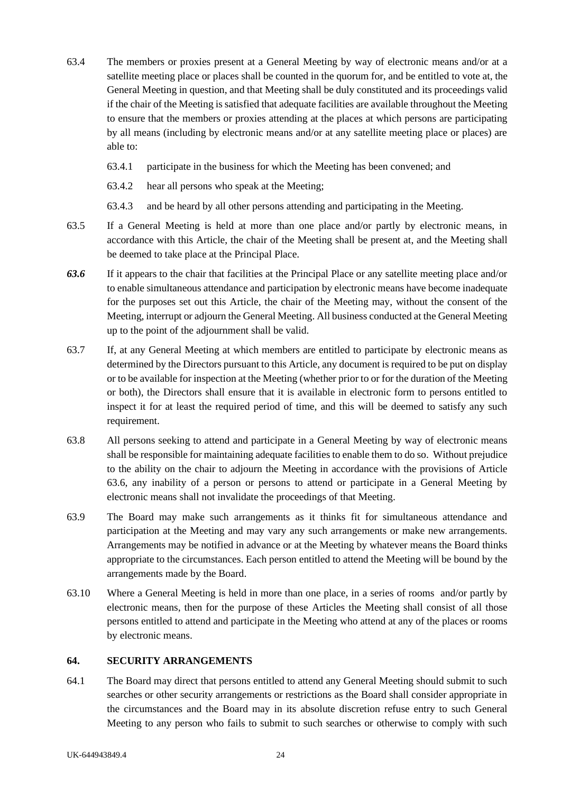- 63.4 The members or proxies present at a General Meeting by way of electronic means and/or at a satellite meeting place or places shall be counted in the quorum for, and be entitled to vote at, the General Meeting in question, and that Meeting shall be duly constituted and its proceedings valid if the chair of the Meeting is satisfied that adequate facilities are available throughout the Meeting to ensure that the members or proxies attending at the places at which persons are participating by all means (including by electronic means and/or at any satellite meeting place or places) are able to:
	- 63.4.1 participate in the business for which the Meeting has been convened; and
	- 63.4.2 hear all persons who speak at the Meeting;
	- 63.4.3 and be heard by all other persons attending and participating in the Meeting.
- 63.5 If a General Meeting is held at more than one place and/or partly by electronic means, in accordance with this Article, the chair of the Meeting shall be present at, and the Meeting shall be deemed to take place at the Principal Place.
- *63.6* If it appears to the chair that facilities at the Principal Place or any satellite meeting place and/or to enable simultaneous attendance and participation by electronic means have become inadequate for the purposes set out this Article, the chair of the Meeting may, without the consent of the Meeting, interrupt or adjourn the General Meeting. All business conducted at the General Meeting up to the point of the adjournment shall be valid.
- 63.7 If, at any General Meeting at which members are entitled to participate by electronic means as determined by the Directors pursuant to this Article, any document is required to be put on display or to be available for inspection at the Meeting (whether prior to or for the duration of the Meeting or both), the Directors shall ensure that it is available in electronic form to persons entitled to inspect it for at least the required period of time, and this will be deemed to satisfy any such requirement.
- 63.8 All persons seeking to attend and participate in a General Meeting by way of electronic means shall be responsible for maintaining adequate facilities to enable them to do so. Without prejudice to the ability on the chair to adjourn the Meeting in accordance with the provisions of Article 63.6, any inability of a person or persons to attend or participate in a General Meeting by electronic means shall not invalidate the proceedings of that Meeting.
- 63.9 The Board may make such arrangements as it thinks fit for simultaneous attendance and participation at the Meeting and may vary any such arrangements or make new arrangements. Arrangements may be notified in advance or at the Meeting by whatever means the Board thinks appropriate to the circumstances. Each person entitled to attend the Meeting will be bound by the arrangements made by the Board.
- 63.10 Where a General Meeting is held in more than one place, in a series of rooms and/or partly by electronic means, then for the purpose of these Articles the Meeting shall consist of all those persons entitled to attend and participate in the Meeting who attend at any of the places or rooms by electronic means.

#### <span id="page-30-0"></span>**64. SECURITY ARRANGEMENTS**

64.1 The Board may direct that persons entitled to attend any General Meeting should submit to such searches or other security arrangements or restrictions as the Board shall consider appropriate in the circumstances and the Board may in its absolute discretion refuse entry to such General Meeting to any person who fails to submit to such searches or otherwise to comply with such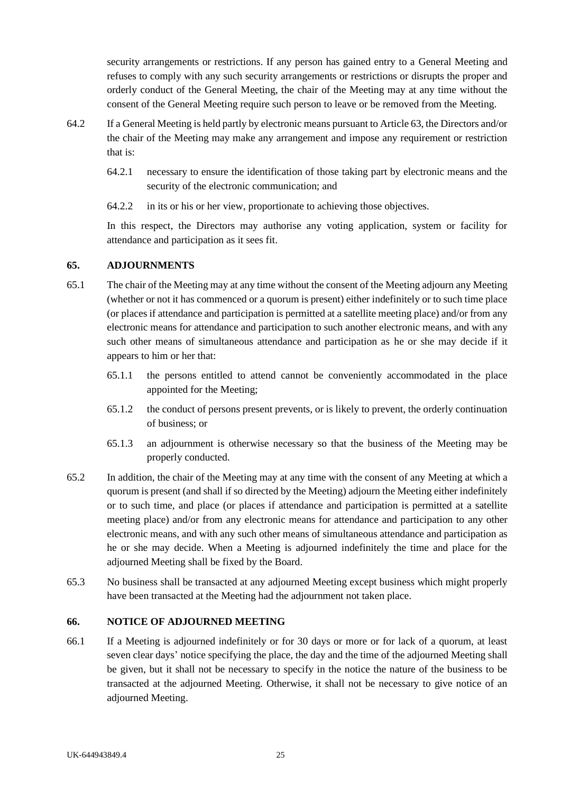security arrangements or restrictions. If any person has gained entry to a General Meeting and refuses to comply with any such security arrangements or restrictions or disrupts the proper and orderly conduct of the General Meeting, the chair of the Meeting may at any time without the consent of the General Meeting require such person to leave or be removed from the Meeting.

- 64.2 If a General Meeting is held partly by electronic means pursuant to Article 63, the Directors and/or the chair of the Meeting may make any arrangement and impose any requirement or restriction that is:
	- 64.2.1 necessary to ensure the identification of those taking part by electronic means and the security of the electronic communication; and
	- 64.2.2 in its or his or her view, proportionate to achieving those objectives.

In this respect, the Directors may authorise any voting application, system or facility for attendance and participation as it sees fit.

## <span id="page-31-0"></span>**65. ADJOURNMENTS**

- 65.1 The chair of the Meeting may at any time without the consent of the Meeting adjourn any Meeting (whether or not it has commenced or a quorum is present) either indefinitely or to such time place (or places if attendance and participation is permitted at a satellite meeting place) and/or from any electronic means for attendance and participation to such another electronic means, and with any such other means of simultaneous attendance and participation as he or she may decide if it appears to him or her that:
	- 65.1.1 the persons entitled to attend cannot be conveniently accommodated in the place appointed for the Meeting;
	- 65.1.2 the conduct of persons present prevents, or is likely to prevent, the orderly continuation of business; or
	- 65.1.3 an adjournment is otherwise necessary so that the business of the Meeting may be properly conducted.
- 65.2 In addition, the chair of the Meeting may at any time with the consent of any Meeting at which a quorum is present (and shall if so directed by the Meeting) adjourn the Meeting either indefinitely or to such time, and place (or places if attendance and participation is permitted at a satellite meeting place) and/or from any electronic means for attendance and participation to any other electronic means, and with any such other means of simultaneous attendance and participation as he or she may decide. When a Meeting is adjourned indefinitely the time and place for the adjourned Meeting shall be fixed by the Board.
- 65.3 No business shall be transacted at any adjourned Meeting except business which might properly have been transacted at the Meeting had the adjournment not taken place.

#### <span id="page-31-1"></span>**66. NOTICE OF ADJOURNED MEETING**

66.1 If a Meeting is adjourned indefinitely or for 30 days or more or for lack of a quorum, at least seven clear days' notice specifying the place, the day and the time of the adjourned Meeting shall be given, but it shall not be necessary to specify in the notice the nature of the business to be transacted at the adjourned Meeting. Otherwise, it shall not be necessary to give notice of an adjourned Meeting.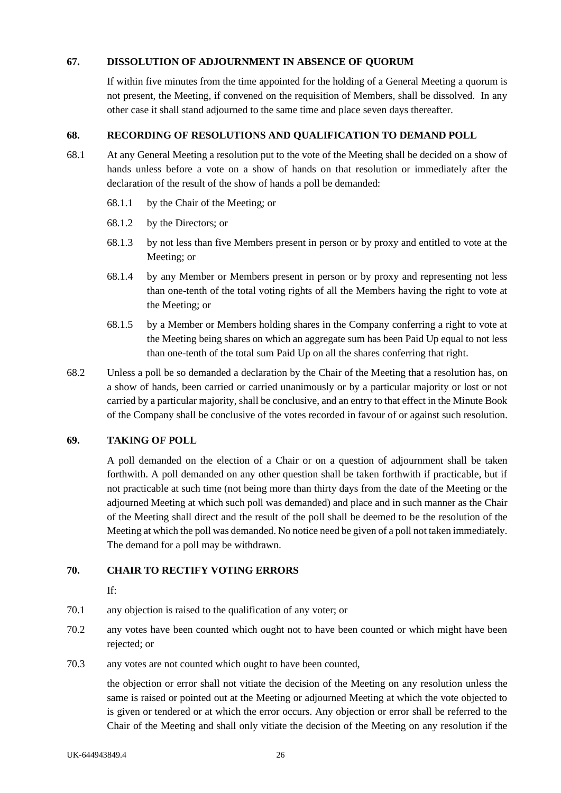## <span id="page-32-0"></span>**67. DISSOLUTION OF ADJOURNMENT IN ABSENCE OF QUORUM**

If within five minutes from the time appointed for the holding of a General Meeting a quorum is not present, the Meeting, if convened on the requisition of Members, shall be dissolved. In any other case it shall stand adjourned to the same time and place seven days thereafter.

### <span id="page-32-1"></span>**68. RECORDING OF RESOLUTIONS AND QUALIFICATION TO DEMAND POLL**

- 68.1 At any General Meeting a resolution put to the vote of the Meeting shall be decided on a show of hands unless before a vote on a show of hands on that resolution or immediately after the declaration of the result of the show of hands a poll be demanded:
	- 68.1.1 by the Chair of the Meeting; or
	- 68.1.2 by the Directors; or
	- 68.1.3 by not less than five Members present in person or by proxy and entitled to vote at the Meeting; or
	- 68.1.4 by any Member or Members present in person or by proxy and representing not less than one-tenth of the total voting rights of all the Members having the right to vote at the Meeting; or
	- 68.1.5 by a Member or Members holding shares in the Company conferring a right to vote at the Meeting being shares on which an aggregate sum has been Paid Up equal to not less than one-tenth of the total sum Paid Up on all the shares conferring that right.
- 68.2 Unless a poll be so demanded a declaration by the Chair of the Meeting that a resolution has, on a show of hands, been carried or carried unanimously or by a particular majority or lost or not carried by a particular majority, shall be conclusive, and an entry to that effect in the Minute Book of the Company shall be conclusive of the votes recorded in favour of or against such resolution.

# <span id="page-32-2"></span>**69. TAKING OF POLL**

A poll demanded on the election of a Chair or on a question of adjournment shall be taken forthwith. A poll demanded on any other question shall be taken forthwith if practicable, but if not practicable at such time (not being more than thirty days from the date of the Meeting or the adjourned Meeting at which such poll was demanded) and place and in such manner as the Chair of the Meeting shall direct and the result of the poll shall be deemed to be the resolution of the Meeting at which the poll was demanded. No notice need be given of a poll not taken immediately. The demand for a poll may be withdrawn.

# <span id="page-32-3"></span>**70. CHAIR TO RECTIFY VOTING ERRORS**

If:

- 70.1 any objection is raised to the qualification of any voter; or
- 70.2 any votes have been counted which ought not to have been counted or which might have been rejected; or
- 70.3 any votes are not counted which ought to have been counted,

the objection or error shall not vitiate the decision of the Meeting on any resolution unless the same is raised or pointed out at the Meeting or adjourned Meeting at which the vote objected to is given or tendered or at which the error occurs. Any objection or error shall be referred to the Chair of the Meeting and shall only vitiate the decision of the Meeting on any resolution if the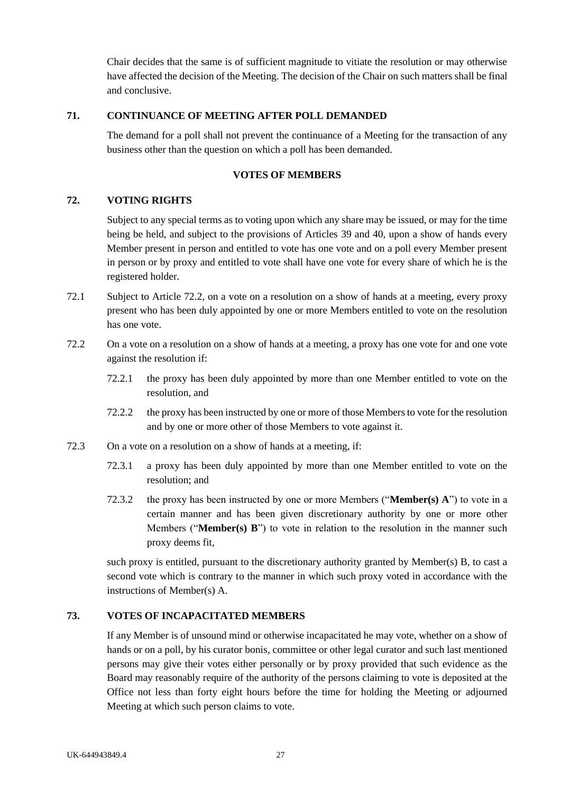Chair decides that the same is of sufficient magnitude to vitiate the resolution or may otherwise have affected the decision of the Meeting. The decision of the Chair on such matters shall be final and conclusive.

#### <span id="page-33-0"></span>**71. CONTINUANCE OF MEETING AFTER POLL DEMANDED**

The demand for a poll shall not prevent the continuance of a Meeting for the transaction of any business other than the question on which a poll has been demanded.

#### **VOTES OF MEMBERS**

## <span id="page-33-2"></span><span id="page-33-1"></span>**72. VOTING RIGHTS**

Subject to any special terms as to voting upon which any share may be issued, or may for the time being be held, and subject to the provisions of Articles [39](#page-20-3) and [40,](#page-20-4) upon a show of hands every Member present in person and entitled to vote has one vote and on a poll every Member present in person or by proxy and entitled to vote shall have one vote for every share of which he is the registered holder.

- 72.1 Subject to Article [72.2,](#page-33-4) on a vote on a resolution on a show of hands at a meeting, every proxy present who has been duly appointed by one or more Members entitled to vote on the resolution has one vote.
- <span id="page-33-4"></span>72.2 On a vote on a resolution on a show of hands at a meeting, a proxy has one vote for and one vote against the resolution if:
	- 72.2.1 the proxy has been duly appointed by more than one Member entitled to vote on the resolution, and
	- 72.2.2 the proxy has been instructed by one or more of those Members to vote for the resolution and by one or more other of those Members to vote against it.
- 72.3 On a vote on a resolution on a show of hands at a meeting, if:
	- 72.3.1 a proxy has been duly appointed by more than one Member entitled to vote on the resolution; and
	- 72.3.2 the proxy has been instructed by one or more Members ("**Member(s) A**") to vote in a certain manner and has been given discretionary authority by one or more other Members ("**Member(s) B**") to vote in relation to the resolution in the manner such proxy deems fit,

such proxy is entitled, pursuant to the discretionary authority granted by Member(s) B, to cast a second vote which is contrary to the manner in which such proxy voted in accordance with the instructions of Member(s) A.

## <span id="page-33-3"></span>**73. VOTES OF INCAPACITATED MEMBERS**

If any Member is of unsound mind or otherwise incapacitated he may vote, whether on a show of hands or on a poll, by his curator bonis, committee or other legal curator and such last mentioned persons may give their votes either personally or by proxy provided that such evidence as the Board may reasonably require of the authority of the persons claiming to vote is deposited at the Office not less than forty eight hours before the time for holding the Meeting or adjourned Meeting at which such person claims to vote.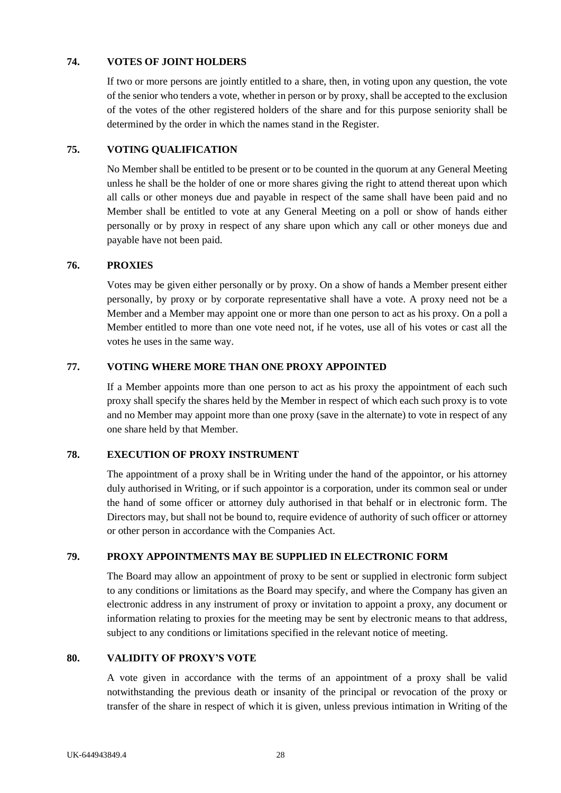### <span id="page-34-0"></span>**74. VOTES OF JOINT HOLDERS**

If two or more persons are jointly entitled to a share, then, in voting upon any question, the vote of the senior who tenders a vote, whether in person or by proxy, shall be accepted to the exclusion of the votes of the other registered holders of the share and for this purpose seniority shall be determined by the order in which the names stand in the Register.

# <span id="page-34-1"></span>**75. VOTING QUALIFICATION**

No Member shall be entitled to be present or to be counted in the quorum at any General Meeting unless he shall be the holder of one or more shares giving the right to attend thereat upon which all calls or other moneys due and payable in respect of the same shall have been paid and no Member shall be entitled to vote at any General Meeting on a poll or show of hands either personally or by proxy in respect of any share upon which any call or other moneys due and payable have not been paid.

## <span id="page-34-2"></span>**76. PROXIES**

Votes may be given either personally or by proxy. On a show of hands a Member present either personally, by proxy or by corporate representative shall have a vote. A proxy need not be a Member and a Member may appoint one or more than one person to act as his proxy. On a poll a Member entitled to more than one vote need not, if he votes, use all of his votes or cast all the votes he uses in the same way.

## <span id="page-34-3"></span>**77. VOTING WHERE MORE THAN ONE PROXY APPOINTED**

If a Member appoints more than one person to act as his proxy the appointment of each such proxy shall specify the shares held by the Member in respect of which each such proxy is to vote and no Member may appoint more than one proxy (save in the alternate) to vote in respect of any one share held by that Member.

#### <span id="page-34-4"></span>**78. EXECUTION OF PROXY INSTRUMENT**

The appointment of a proxy shall be in Writing under the hand of the appointor, or his attorney duly authorised in Writing, or if such appointor is a corporation, under its common seal or under the hand of some officer or attorney duly authorised in that behalf or in electronic form. The Directors may, but shall not be bound to, require evidence of authority of such officer or attorney or other person in accordance with the Companies Act.

#### <span id="page-34-5"></span>**79. PROXY APPOINTMENTS MAY BE SUPPLIED IN ELECTRONIC FORM**

The Board may allow an appointment of proxy to be sent or supplied in electronic form subject to any conditions or limitations as the Board may specify, and where the Company has given an electronic address in any instrument of proxy or invitation to appoint a proxy, any document or information relating to proxies for the meeting may be sent by electronic means to that address, subject to any conditions or limitations specified in the relevant notice of meeting.

#### <span id="page-34-6"></span>**80. VALIDITY OF PROXY'S VOTE**

A vote given in accordance with the terms of an appointment of a proxy shall be valid notwithstanding the previous death or insanity of the principal or revocation of the proxy or transfer of the share in respect of which it is given, unless previous intimation in Writing of the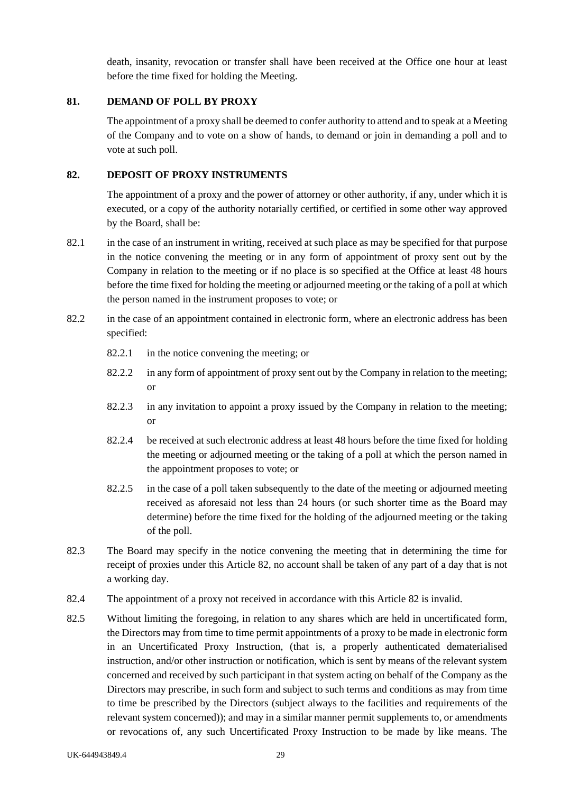death, insanity, revocation or transfer shall have been received at the Office one hour at least before the time fixed for holding the Meeting.

# <span id="page-35-0"></span>**81. DEMAND OF POLL BY PROXY**

The appointment of a proxy shall be deemed to confer authority to attend and to speak at a Meeting of the Company and to vote on a show of hands, to demand or join in demanding a poll and to vote at such poll.

## <span id="page-35-1"></span>**82. DEPOSIT OF PROXY INSTRUMENTS**

The appointment of a proxy and the power of attorney or other authority, if any, under which it is executed, or a copy of the authority notarially certified, or certified in some other way approved by the Board, shall be:

- 82.1 in the case of an instrument in writing, received at such place as may be specified for that purpose in the notice convening the meeting or in any form of appointment of proxy sent out by the Company in relation to the meeting or if no place is so specified at the Office at least 48 hours before the time fixed for holding the meeting or adjourned meeting or the taking of a poll at which the person named in the instrument proposes to vote; or
- 82.2 in the case of an appointment contained in electronic form, where an electronic address has been specified:
	- 82.2.1 in the notice convening the meeting; or
	- 82.2.2 in any form of appointment of proxy sent out by the Company in relation to the meeting; or
	- 82.2.3 in any invitation to appoint a proxy issued by the Company in relation to the meeting; or
	- 82.2.4 be received at such electronic address at least 48 hours before the time fixed for holding the meeting or adjourned meeting or the taking of a poll at which the person named in the appointment proposes to vote; or
	- 82.2.5 in the case of a poll taken subsequently to the date of the meeting or adjourned meeting received as aforesaid not less than 24 hours (or such shorter time as the Board may determine) before the time fixed for the holding of the adjourned meeting or the taking of the poll.
- 82.3 The Board may specify in the notice convening the meeting that in determining the time for receipt of proxies under this Article [82,](#page-35-1) no account shall be taken of any part of a day that is not a working day.
- 82.4 The appointment of a proxy not received in accordance with this Article [82](#page-35-1) is invalid.
- 82.5 Without limiting the foregoing, in relation to any shares which are held in uncertificated form, the Directors may from time to time permit appointments of a proxy to be made in electronic form in an Uncertificated Proxy Instruction, (that is, a properly authenticated dematerialised instruction, and/or other instruction or notification, which is sent by means of the relevant system concerned and received by such participant in that system acting on behalf of the Company as the Directors may prescribe, in such form and subject to such terms and conditions as may from time to time be prescribed by the Directors (subject always to the facilities and requirements of the relevant system concerned)); and may in a similar manner permit supplements to, or amendments or revocations of, any such Uncertificated Proxy Instruction to be made by like means. The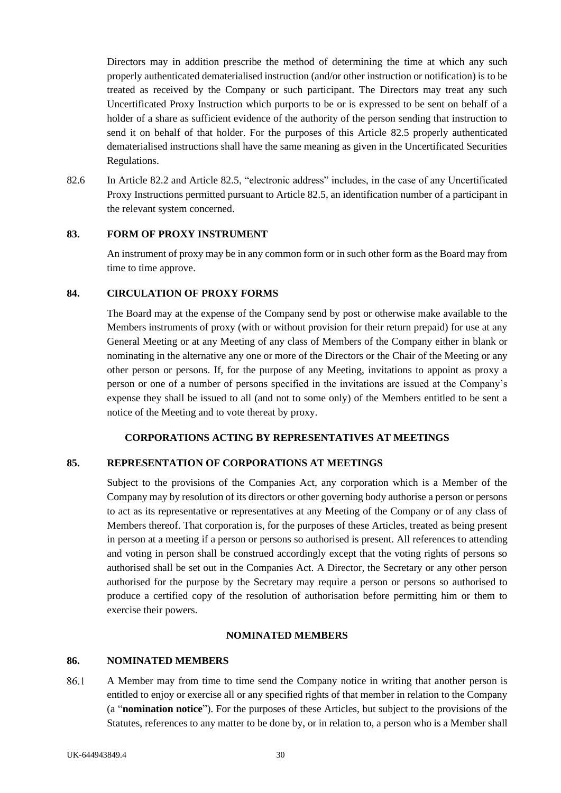Directors may in addition prescribe the method of determining the time at which any such properly authenticated dematerialised instruction (and/or other instruction or notification) is to be treated as received by the Company or such participant. The Directors may treat any such Uncertificated Proxy Instruction which purports to be or is expressed to be sent on behalf of a holder of a share as sufficient evidence of the authority of the person sending that instruction to send it on behalf of that holder. For the purposes of this Article [82.5](#page-35-0) properly authenticated dematerialised instructions shall have the same meaning as given in the Uncertificated Securities Regulations.

82.6 In Article [82.2](#page-35-1) and Article [82.5,](#page-35-0) "electronic address" includes, in the case of any Uncertificated Proxy Instructions permitted pursuant to Article [82.5,](#page-35-0) an identification number of a participant in the relevant system concerned.

## **83. FORM OF PROXY INSTRUMENT**

An instrument of proxy may be in any common form or in such other form as the Board may from time to time approve.

### **84. CIRCULATION OF PROXY FORMS**

The Board may at the expense of the Company send by post or otherwise make available to the Members instruments of proxy (with or without provision for their return prepaid) for use at any General Meeting or at any Meeting of any class of Members of the Company either in blank or nominating in the alternative any one or more of the Directors or the Chair of the Meeting or any other person or persons. If, for the purpose of any Meeting, invitations to appoint as proxy a person or one of a number of persons specified in the invitations are issued at the Company's expense they shall be issued to all (and not to some only) of the Members entitled to be sent a notice of the Meeting and to vote thereat by proxy.

## **CORPORATIONS ACTING BY REPRESENTATIVES AT MEETINGS**

#### **85. REPRESENTATION OF CORPORATIONS AT MEETINGS**

Subject to the provisions of the Companies Act, any corporation which is a Member of the Company may by resolution of its directors or other governing body authorise a person or persons to act as its representative or representatives at any Meeting of the Company or of any class of Members thereof. That corporation is, for the purposes of these Articles, treated as being present in person at a meeting if a person or persons so authorised is present. All references to attending and voting in person shall be construed accordingly except that the voting rights of persons so authorised shall be set out in the Companies Act. A Director, the Secretary or any other person authorised for the purpose by the Secretary may require a person or persons so authorised to produce a certified copy of the resolution of authorisation before permitting him or them to exercise their powers.

### **NOMINATED MEMBERS**

#### **86. NOMINATED MEMBERS**

86.1 A Member may from time to time send the Company notice in writing that another person is entitled to enjoy or exercise all or any specified rights of that member in relation to the Company (a "**nomination notice**"). For the purposes of these Articles, but subject to the provisions of the Statutes, references to any matter to be done by, or in relation to, a person who is a Member shall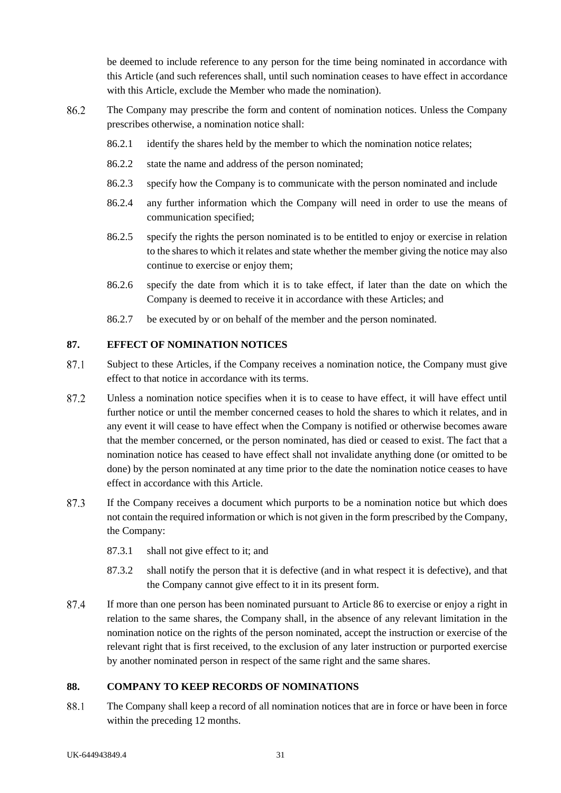be deemed to include reference to any person for the time being nominated in accordance with this Article (and such references shall, until such nomination ceases to have effect in accordance with this Article, exclude the Member who made the nomination).

- 86.2 The Company may prescribe the form and content of nomination notices. Unless the Company prescribes otherwise, a nomination notice shall:
	- 86.2.1 identify the shares held by the member to which the nomination notice relates;
	- 86.2.2 state the name and address of the person nominated;
	- 86.2.3 specify how the Company is to communicate with the person nominated and include
	- 86.2.4 any further information which the Company will need in order to use the means of communication specified;
	- 86.2.5 specify the rights the person nominated is to be entitled to enjoy or exercise in relation to the shares to which it relates and state whether the member giving the notice may also continue to exercise or enjoy them;
	- 86.2.6 specify the date from which it is to take effect, if later than the date on which the Company is deemed to receive it in accordance with these Articles; and
	- 86.2.7 be executed by or on behalf of the member and the person nominated.

## **87. EFFECT OF NOMINATION NOTICES**

- 87.1 Subject to these Articles, if the Company receives a nomination notice, the Company must give effect to that notice in accordance with its terms.
- 87.2 Unless a nomination notice specifies when it is to cease to have effect, it will have effect until further notice or until the member concerned ceases to hold the shares to which it relates, and in any event it will cease to have effect when the Company is notified or otherwise becomes aware that the member concerned, or the person nominated, has died or ceased to exist. The fact that a nomination notice has ceased to have effect shall not invalidate anything done (or omitted to be done) by the person nominated at any time prior to the date the nomination notice ceases to have effect in accordance with this Article.
- 87.3 If the Company receives a document which purports to be a nomination notice but which does not contain the required information or which is not given in the form prescribed by the Company, the Company:
	- 87.3.1 shall not give effect to it; and
	- 87.3.2 shall notify the person that it is defective (and in what respect it is defective), and that the Company cannot give effect to it in its present form.
- 87.4 If more than one person has been nominated pursuant to Article 86 to exercise or enjoy a right in relation to the same shares, the Company shall, in the absence of any relevant limitation in the nomination notice on the rights of the person nominated, accept the instruction or exercise of the relevant right that is first received, to the exclusion of any later instruction or purported exercise by another nominated person in respect of the same right and the same shares.

## **88. COMPANY TO KEEP RECORDS OF NOMINATIONS**

88.1 The Company shall keep a record of all nomination notices that are in force or have been in force within the preceding 12 months.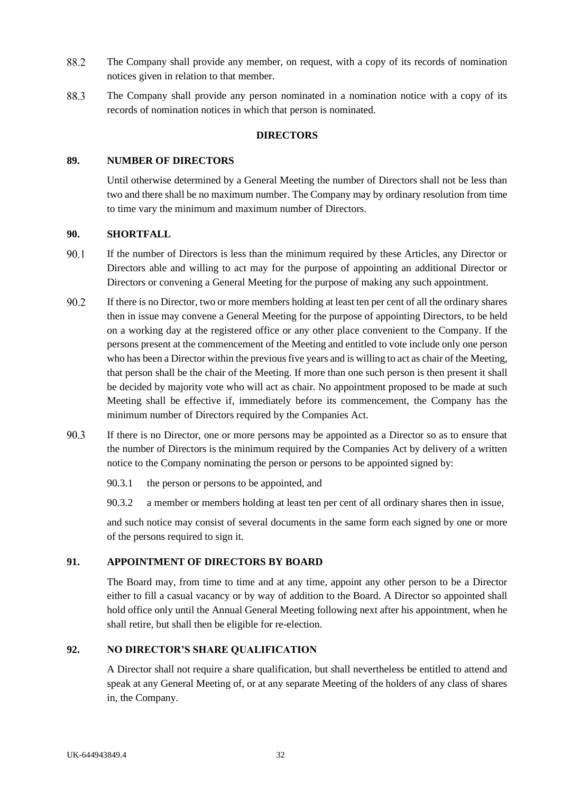- 88.2 The Company shall provide any member, on request, with a copy of its records of nomination notices given in relation to that member.
- 88.3 The Company shall provide any person nominated in a nomination notice with a copy of its records of nomination notices in which that person is nominated.

## **DIRECTORS**

### **89. NUMBER OF DIRECTORS**

Until otherwise determined by a General Meeting the number of Directors shall not be less than two and there shall be no maximum number. The Company may by ordinary resolution from time to time vary the minimum and maximum number of Directors.

## **90. SHORTFALL**

- $90.1$ If the number of Directors is less than the minimum required by these Articles, any Director or Directors able and willing to act may for the purpose of appointing an additional Director or Directors or convening a General Meeting for the purpose of making any such appointment.
- 90.2 If there is no Director, two or more members holding at least ten per cent of all the ordinary shares then in issue may convene a General Meeting for the purpose of appointing Directors, to be held on a working day at the registered office or any other place convenient to the Company. If the persons present at the commencement of the Meeting and entitled to vote include only one person who has been a Director within the previous five years and is willing to act as chair of the Meeting, that person shall be the chair of the Meeting. If more than one such person is then present it shall be decided by majority vote who will act as chair. No appointment proposed to be made at such Meeting shall be effective if, immediately before its commencement, the Company has the minimum number of Directors required by the Companies Act.
- 90.3 If there is no Director, one or more persons may be appointed as a Director so as to ensure that the number of Directors is the minimum required by the Companies Act by delivery of a written notice to the Company nominating the person or persons to be appointed signed by:
	- 90.3.1 the person or persons to be appointed, and
	- 90.3.2 a member or members holding at least ten per cent of all ordinary shares then in issue,

and such notice may consist of several documents in the same form each signed by one or more of the persons required to sign it.

## **91. APPOINTMENT OF DIRECTORS BY BOARD**

The Board may, from time to time and at any time, appoint any other person to be a Director either to fill a casual vacancy or by way of addition to the Board. A Director so appointed shall hold office only until the Annual General Meeting following next after his appointment, when he shall retire, but shall then be eligible for re-election.

## **92. NO DIRECTOR'S SHARE QUALIFICATION**

A Director shall not require a share qualification, but shall nevertheless be entitled to attend and speak at any General Meeting of, or at any separate Meeting of the holders of any class of shares in, the Company.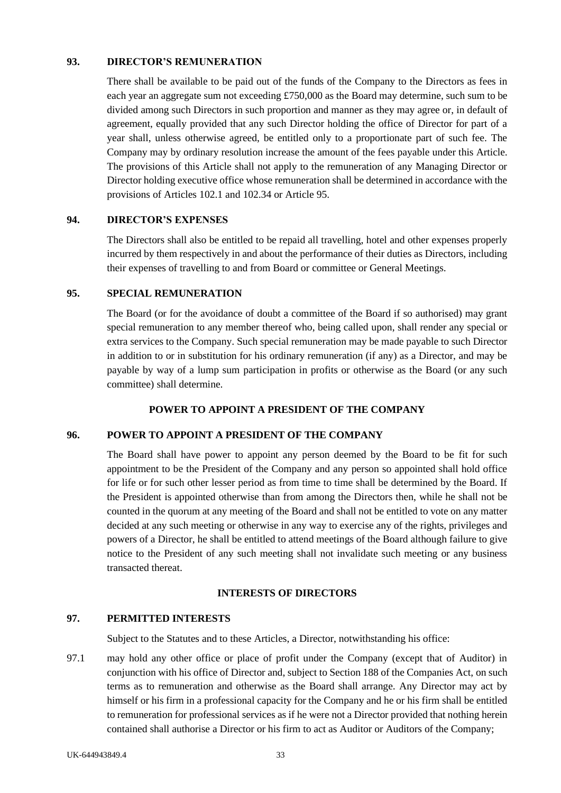### **93. DIRECTOR'S REMUNERATION**

There shall be available to be paid out of the funds of the Company to the Directors as fees in each year an aggregate sum not exceeding £750,000 as the Board may determine, such sum to be divided among such Directors in such proportion and manner as they may agree or, in default of agreement, equally provided that any such Director holding the office of Director for part of a year shall, unless otherwise agreed, be entitled only to a proportionate part of such fee. The Company may by ordinary resolution increase the amount of the fees payable under this Article. The provisions of this Article shall not apply to the remuneration of any Managing Director or Director holding executive office whose remuneration shall be determined in accordance with the provisions of Articles [102.1](#page-43-0) an[d 102.34](#page-43-1) or Article [95.](#page-39-0)

## **94. DIRECTOR'S EXPENSES**

The Directors shall also be entitled to be repaid all travelling, hotel and other expenses properly incurred by them respectively in and about the performance of their duties as Directors, including their expenses of travelling to and from Board or committee or General Meetings.

### <span id="page-39-0"></span>**95. SPECIAL REMUNERATION**

The Board (or for the avoidance of doubt a committee of the Board if so authorised) may grant special remuneration to any member thereof who, being called upon, shall render any special or extra services to the Company. Such special remuneration may be made payable to such Director in addition to or in substitution for his ordinary remuneration (if any) as a Director, and may be payable by way of a lump sum participation in profits or otherwise as the Board (or any such committee) shall determine.

### **POWER TO APPOINT A PRESIDENT OF THE COMPANY**

### **96. POWER TO APPOINT A PRESIDENT OF THE COMPANY**

The Board shall have power to appoint any person deemed by the Board to be fit for such appointment to be the President of the Company and any person so appointed shall hold office for life or for such other lesser period as from time to time shall be determined by the Board. If the President is appointed otherwise than from among the Directors then, while he shall not be counted in the quorum at any meeting of the Board and shall not be entitled to vote on any matter decided at any such meeting or otherwise in any way to exercise any of the rights, privileges and powers of a Director, he shall be entitled to attend meetings of the Board although failure to give notice to the President of any such meeting shall not invalidate such meeting or any business transacted thereat.

## **INTERESTS OF DIRECTORS**

## <span id="page-39-1"></span>**97. PERMITTED INTERESTS**

Subject to the Statutes and to these Articles, a Director, notwithstanding his office:

97.1 may hold any other office or place of profit under the Company (except that of Auditor) in conjunction with his office of Director and, subject to Section 188 of the Companies Act, on such terms as to remuneration and otherwise as the Board shall arrange. Any Director may act by himself or his firm in a professional capacity for the Company and he or his firm shall be entitled to remuneration for professional services as if he were not a Director provided that nothing herein contained shall authorise a Director or his firm to act as Auditor or Auditors of the Company;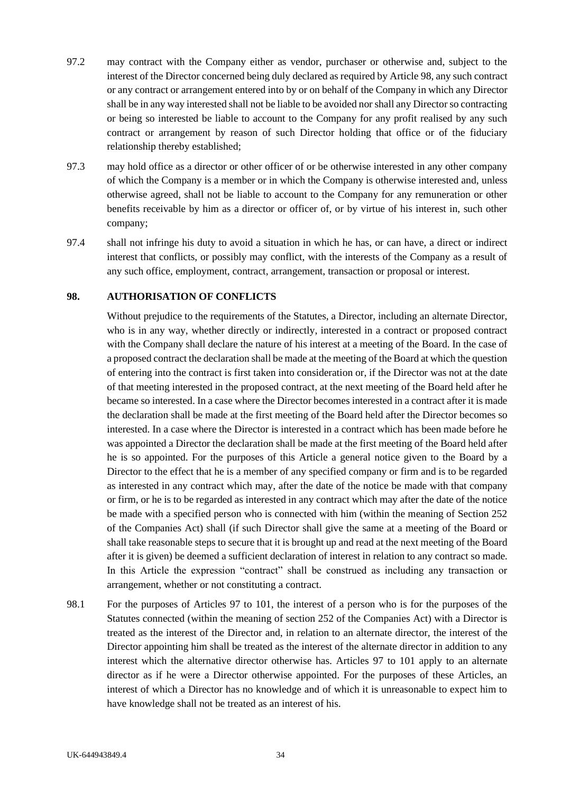- 97.2 may contract with the Company either as vendor, purchaser or otherwise and, subject to the interest of the Director concerned being duly declared as required by Articl[e 98,](#page-40-0) any such contract or any contract or arrangement entered into by or on behalf of the Company in which any Director shall be in any way interested shall not be liable to be avoided nor shall any Director so contracting or being so interested be liable to account to the Company for any profit realised by any such contract or arrangement by reason of such Director holding that office or of the fiduciary relationship thereby established;
- 97.3 may hold office as a director or other officer of or be otherwise interested in any other company of which the Company is a member or in which the Company is otherwise interested and, unless otherwise agreed, shall not be liable to account to the Company for any remuneration or other benefits receivable by him as a director or officer of, or by virtue of his interest in, such other company;
- 97.4 shall not infringe his duty to avoid a situation in which he has, or can have, a direct or indirect interest that conflicts, or possibly may conflict, with the interests of the Company as a result of any such office, employment, contract, arrangement, transaction or proposal or interest.

## <span id="page-40-0"></span>**98. AUTHORISATION OF CONFLICTS**

Without prejudice to the requirements of the Statutes, a Director, including an alternate Director, who is in any way, whether directly or indirectly, interested in a contract or proposed contract with the Company shall declare the nature of his interest at a meeting of the Board. In the case of a proposed contract the declaration shall be made at the meeting of the Board at which the question of entering into the contract is first taken into consideration or, if the Director was not at the date of that meeting interested in the proposed contract, at the next meeting of the Board held after he became so interested. In a case where the Director becomes interested in a contract after it is made the declaration shall be made at the first meeting of the Board held after the Director becomes so interested. In a case where the Director is interested in a contract which has been made before he was appointed a Director the declaration shall be made at the first meeting of the Board held after he is so appointed. For the purposes of this Article a general notice given to the Board by a Director to the effect that he is a member of any specified company or firm and is to be regarded as interested in any contract which may, after the date of the notice be made with that company or firm, or he is to be regarded as interested in any contract which may after the date of the notice be made with a specified person who is connected with him (within the meaning of Section 252 of the Companies Act) shall (if such Director shall give the same at a meeting of the Board or shall take reasonable steps to secure that it is brought up and read at the next meeting of the Board after it is given) be deemed a sufficient declaration of interest in relation to any contract so made. In this Article the expression "contract" shall be construed as including any transaction or arrangement, whether or not constituting a contract.

98.1 For the purposes of Articles [97](#page-39-1) to 101, the interest of a person who is for the purposes of the Statutes connected (within the meaning of section 252 of the Companies Act) with a Director is treated as the interest of the Director and, in relation to an alternate director, the interest of the Director appointing him shall be treated as the interest of the alternate director in addition to any interest which the alternative director otherwise has. Articles 97 to 101 apply to an alternate director as if he were a Director otherwise appointed. For the purposes of these Articles, an interest of which a Director has no knowledge and of which it is unreasonable to expect him to have knowledge shall not be treated as an interest of his.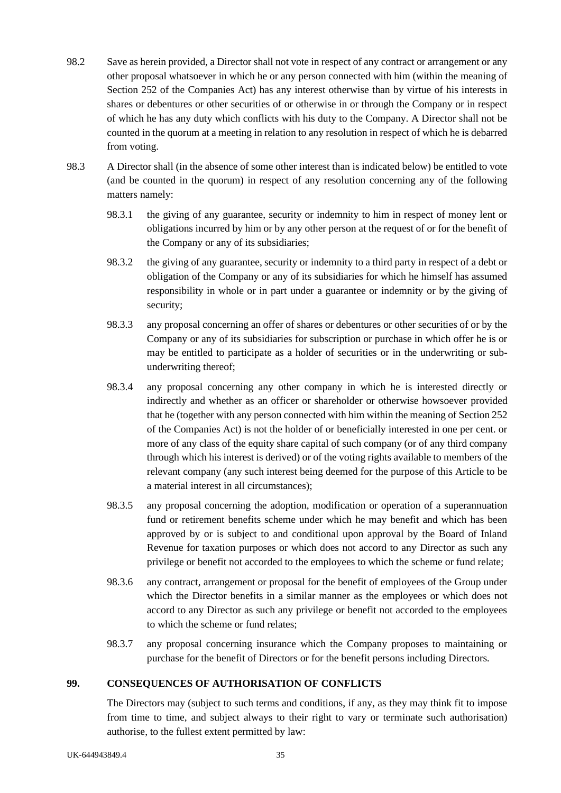- <span id="page-41-1"></span>98.2 Save as herein provided, a Director shall not vote in respect of any contract or arrangement or any other proposal whatsoever in which he or any person connected with him (within the meaning of Section 252 of the Companies Act) has any interest otherwise than by virtue of his interests in shares or debentures or other securities of or otherwise in or through the Company or in respect of which he has any duty which conflicts with his duty to the Company. A Director shall not be counted in the quorum at a meeting in relation to any resolution in respect of which he is debarred from voting.
- <span id="page-41-0"></span>98.3 A Director shall (in the absence of some other interest than is indicated below) be entitled to vote (and be counted in the quorum) in respect of any resolution concerning any of the following matters namely:
	- 98.3.1 the giving of any guarantee, security or indemnity to him in respect of money lent or obligations incurred by him or by any other person at the request of or for the benefit of the Company or any of its subsidiaries;
	- 98.3.2 the giving of any guarantee, security or indemnity to a third party in respect of a debt or obligation of the Company or any of its subsidiaries for which he himself has assumed responsibility in whole or in part under a guarantee or indemnity or by the giving of security;
	- 98.3.3 any proposal concerning an offer of shares or debentures or other securities of or by the Company or any of its subsidiaries for subscription or purchase in which offer he is or may be entitled to participate as a holder of securities or in the underwriting or subunderwriting thereof;
	- 98.3.4 any proposal concerning any other company in which he is interested directly or indirectly and whether as an officer or shareholder or otherwise howsoever provided that he (together with any person connected with him within the meaning of Section 252 of the Companies Act) is not the holder of or beneficially interested in one per cent. or more of any class of the equity share capital of such company (or of any third company through which his interest is derived) or of the voting rights available to members of the relevant company (any such interest being deemed for the purpose of this Article to be a material interest in all circumstances);
	- 98.3.5 any proposal concerning the adoption, modification or operation of a superannuation fund or retirement benefits scheme under which he may benefit and which has been approved by or is subject to and conditional upon approval by the Board of Inland Revenue for taxation purposes or which does not accord to any Director as such any privilege or benefit not accorded to the employees to which the scheme or fund relate;
	- 98.3.6 any contract, arrangement or proposal for the benefit of employees of the Group under which the Director benefits in a similar manner as the employees or which does not accord to any Director as such any privilege or benefit not accorded to the employees to which the scheme or fund relates;
	- 98.3.7 any proposal concerning insurance which the Company proposes to maintaining or purchase for the benefit of Directors or for the benefit persons including Directors.

## **99. CONSEQUENCES OF AUTHORISATION OF CONFLICTS**

The Directors may (subject to such terms and conditions, if any, as they may think fit to impose from time to time, and subject always to their right to vary or terminate such authorisation) authorise, to the fullest extent permitted by law: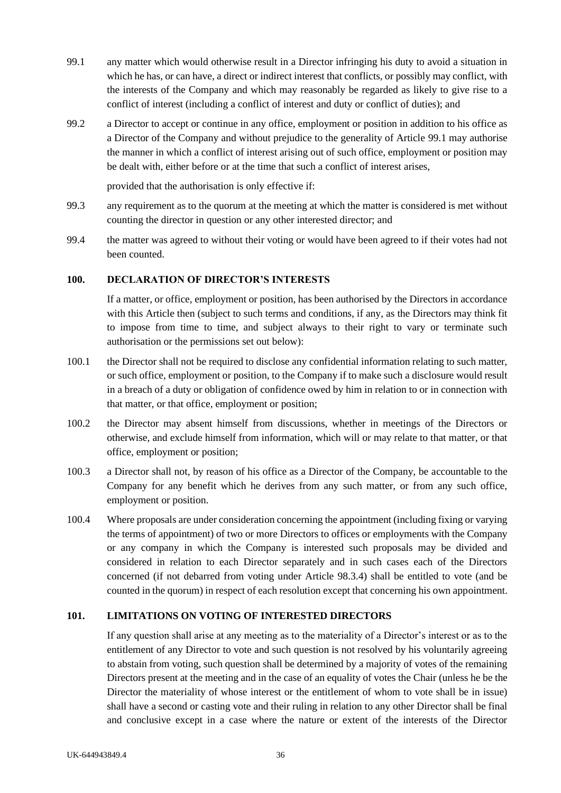- <span id="page-42-0"></span>99.1 any matter which would otherwise result in a Director infringing his duty to avoid a situation in which he has, or can have, a direct or indirect interest that conflicts, or possibly may conflict, with the interests of the Company and which may reasonably be regarded as likely to give rise to a conflict of interest (including a conflict of interest and duty or conflict of duties); and
- 99.2 a Director to accept or continue in any office, employment or position in addition to his office as a Director of the Company and without prejudice to the generality of Article [99.1](#page-42-0) may authorise the manner in which a conflict of interest arising out of such office, employment or position may be dealt with, either before or at the time that such a conflict of interest arises,

provided that the authorisation is only effective if:

- 99.3 any requirement as to the quorum at the meeting at which the matter is considered is met without counting the director in question or any other interested director; and
- 99.4 the matter was agreed to without their voting or would have been agreed to if their votes had not been counted.

## **100. DECLARATION OF DIRECTOR'S INTERESTS**

If a matter, or office, employment or position, has been authorised by the Directors in accordance with this Article then (subject to such terms and conditions, if any, as the Directors may think fit to impose from time to time, and subject always to their right to vary or terminate such authorisation or the permissions set out below):

- 100.1 the Director shall not be required to disclose any confidential information relating to such matter, or such office, employment or position, to the Company if to make such a disclosure would result in a breach of a duty or obligation of confidence owed by him in relation to or in connection with that matter, or that office, employment or position;
- 100.2 the Director may absent himself from discussions, whether in meetings of the Directors or otherwise, and exclude himself from information, which will or may relate to that matter, or that office, employment or position;
- 100.3 a Director shall not, by reason of his office as a Director of the Company, be accountable to the Company for any benefit which he derives from any such matter, or from any such office, employment or position.
- 100.4 Where proposals are under consideration concerning the appointment (including fixing or varying the terms of appointment) of two or more Directors to offices or employments with the Company or any company in which the Company is interested such proposals may be divided and considered in relation to each Director separately and in such cases each of the Directors concerned (if not debarred from voting under Article [98.3.4\)](#page-41-0) shall be entitled to vote (and be counted in the quorum) in respect of each resolution except that concerning his own appointment.

## **101. LIMITATIONS ON VOTING OF INTERESTED DIRECTORS**

If any question shall arise at any meeting as to the materiality of a Director's interest or as to the entitlement of any Director to vote and such question is not resolved by his voluntarily agreeing to abstain from voting, such question shall be determined by a majority of votes of the remaining Directors present at the meeting and in the case of an equality of votes the Chair (unless he be the Director the materiality of whose interest or the entitlement of whom to vote shall be in issue) shall have a second or casting vote and their ruling in relation to any other Director shall be final and conclusive except in a case where the nature or extent of the interests of the Director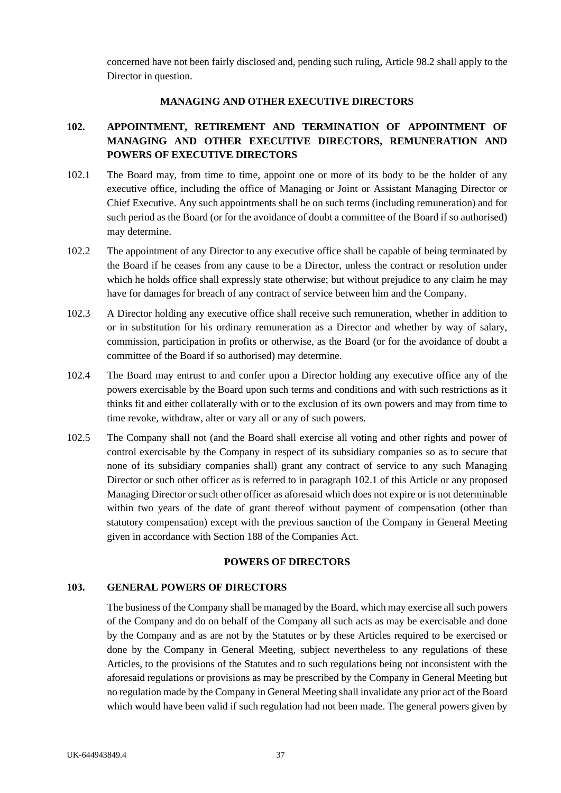concerned have not been fairly disclosed and, pending such ruling, Articl[e 98.2](#page-41-1) shall apply to the Director in question.

### **MANAGING AND OTHER EXECUTIVE DIRECTORS**

# **102. APPOINTMENT, RETIREMENT AND TERMINATION OF APPOINTMENT OF MANAGING AND OTHER EXECUTIVE DIRECTORS, REMUNERATION AND POWERS OF EXECUTIVE DIRECTORS**

- <span id="page-43-0"></span>102.1 The Board may, from time to time, appoint one or more of its body to be the holder of any executive office, including the office of Managing or Joint or Assistant Managing Director or Chief Executive. Any such appointments shall be on such terms (including remuneration) and for such period as the Board (or for the avoidance of doubt a committee of the Board if so authorised) may determine.
- 102.2 The appointment of any Director to any executive office shall be capable of being terminated by the Board if he ceases from any cause to be a Director, unless the contract or resolution under which he holds office shall expressly state otherwise; but without prejudice to any claim he may have for damages for breach of any contract of service between him and the Company.
- <span id="page-43-1"></span>102.3 A Director holding any executive office shall receive such remuneration, whether in addition to or in substitution for his ordinary remuneration as a Director and whether by way of salary, commission, participation in profits or otherwise, as the Board (or for the avoidance of doubt a committee of the Board if so authorised) may determine.
- 102.4 The Board may entrust to and confer upon a Director holding any executive office any of the powers exercisable by the Board upon such terms and conditions and with such restrictions as it thinks fit and either collaterally with or to the exclusion of its own powers and may from time to time revoke, withdraw, alter or vary all or any of such powers.
- 102.5 The Company shall not (and the Board shall exercise all voting and other rights and power of control exercisable by the Company in respect of its subsidiary companies so as to secure that none of its subsidiary companies shall) grant any contract of service to any such Managing Director or such other officer as is referred to in paragraph [102.1](#page-43-0) of this Article or any proposed Managing Director or such other officer as aforesaid which does not expire or is not determinable within two years of the date of grant thereof without payment of compensation (other than statutory compensation) except with the previous sanction of the Company in General Meeting given in accordance with Section 188 of the Companies Act.

# **POWERS OF DIRECTORS**

### **103. GENERAL POWERS OF DIRECTORS**

The business of the Company shall be managed by the Board, which may exercise all such powers of the Company and do on behalf of the Company all such acts as may be exercisable and done by the Company and as are not by the Statutes or by these Articles required to be exercised or done by the Company in General Meeting, subject nevertheless to any regulations of these Articles, to the provisions of the Statutes and to such regulations being not inconsistent with the aforesaid regulations or provisions as may be prescribed by the Company in General Meeting but no regulation made by the Company in General Meeting shall invalidate any prior act of the Board which would have been valid if such regulation had not been made. The general powers given by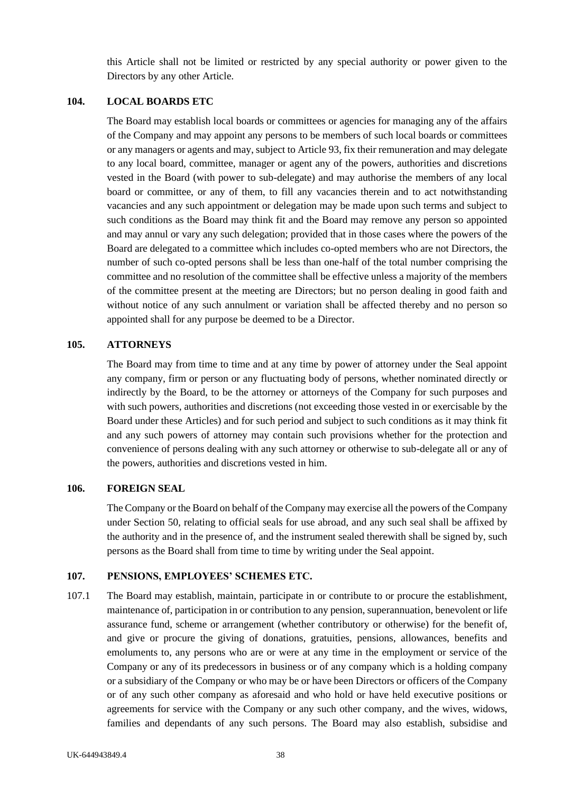this Article shall not be limited or restricted by any special authority or power given to the Directors by any other Article.

### **104. LOCAL BOARDS ETC**

The Board may establish local boards or committees or agencies for managing any of the affairs of the Company and may appoint any persons to be members of such local boards or committees or any managers or agents and may, subject to Article 93, fix their remuneration and may delegate to any local board, committee, manager or agent any of the powers, authorities and discretions vested in the Board (with power to sub-delegate) and may authorise the members of any local board or committee, or any of them, to fill any vacancies therein and to act notwithstanding vacancies and any such appointment or delegation may be made upon such terms and subject to such conditions as the Board may think fit and the Board may remove any person so appointed and may annul or vary any such delegation; provided that in those cases where the powers of the Board are delegated to a committee which includes co-opted members who are not Directors, the number of such co-opted persons shall be less than one-half of the total number comprising the committee and no resolution of the committee shall be effective unless a majority of the members of the committee present at the meeting are Directors; but no person dealing in good faith and without notice of any such annulment or variation shall be affected thereby and no person so appointed shall for any purpose be deemed to be a Director.

### **105. ATTORNEYS**

The Board may from time to time and at any time by power of attorney under the Seal appoint any company, firm or person or any fluctuating body of persons, whether nominated directly or indirectly by the Board, to be the attorney or attorneys of the Company for such purposes and with such powers, authorities and discretions (not exceeding those vested in or exercisable by the Board under these Articles) and for such period and subject to such conditions as it may think fit and any such powers of attorney may contain such provisions whether for the protection and convenience of persons dealing with any such attorney or otherwise to sub-delegate all or any of the powers, authorities and discretions vested in him.

### **106. FOREIGN SEAL**

The Company or the Board on behalf of the Company may exercise all the powers of the Company under Section 50, relating to official seals for use abroad, and any such seal shall be affixed by the authority and in the presence of, and the instrument sealed therewith shall be signed by, such persons as the Board shall from time to time by writing under the Seal appoint.

### **107. PENSIONS, EMPLOYEES' SCHEMES ETC.**

107.1 The Board may establish, maintain, participate in or contribute to or procure the establishment, maintenance of, participation in or contribution to any pension, superannuation, benevolent or life assurance fund, scheme or arrangement (whether contributory or otherwise) for the benefit of, and give or procure the giving of donations, gratuities, pensions, allowances, benefits and emoluments to, any persons who are or were at any time in the employment or service of the Company or any of its predecessors in business or of any company which is a holding company or a subsidiary of the Company or who may be or have been Directors or officers of the Company or of any such other company as aforesaid and who hold or have held executive positions or agreements for service with the Company or any such other company, and the wives, widows, families and dependants of any such persons. The Board may also establish, subsidise and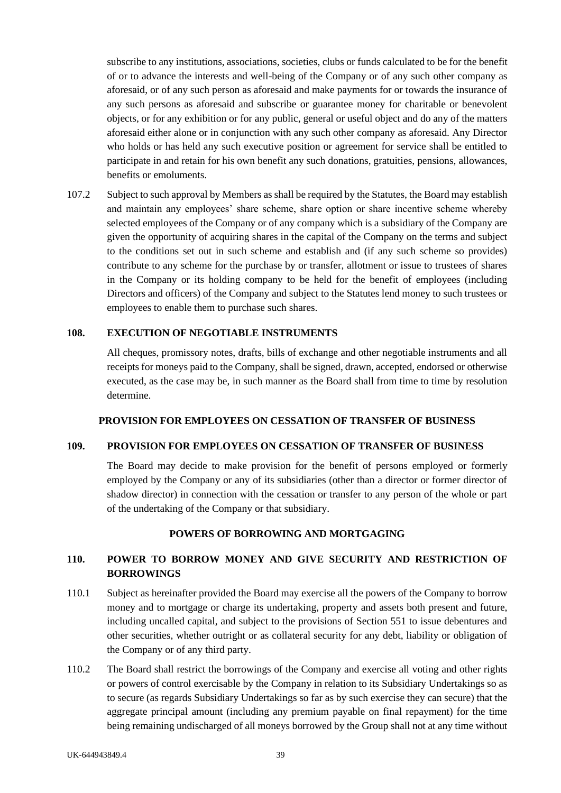subscribe to any institutions, associations, societies, clubs or funds calculated to be for the benefit of or to advance the interests and well-being of the Company or of any such other company as aforesaid, or of any such person as aforesaid and make payments for or towards the insurance of any such persons as aforesaid and subscribe or guarantee money for charitable or benevolent objects, or for any exhibition or for any public, general or useful object and do any of the matters aforesaid either alone or in conjunction with any such other company as aforesaid. Any Director who holds or has held any such executive position or agreement for service shall be entitled to participate in and retain for his own benefit any such donations, gratuities, pensions, allowances, benefits or emoluments.

107.2 Subject to such approval by Members as shall be required by the Statutes, the Board may establish and maintain any employees' share scheme, share option or share incentive scheme whereby selected employees of the Company or of any company which is a subsidiary of the Company are given the opportunity of acquiring shares in the capital of the Company on the terms and subject to the conditions set out in such scheme and establish and (if any such scheme so provides) contribute to any scheme for the purchase by or transfer, allotment or issue to trustees of shares in the Company or its holding company to be held for the benefit of employees (including Directors and officers) of the Company and subject to the Statutes lend money to such trustees or employees to enable them to purchase such shares.

### **108. EXECUTION OF NEGOTIABLE INSTRUMENTS**

All cheques, promissory notes, drafts, bills of exchange and other negotiable instruments and all receipts for moneys paid to the Company, shall be signed, drawn, accepted, endorsed or otherwise executed, as the case may be, in such manner as the Board shall from time to time by resolution determine.

### **PROVISION FOR EMPLOYEES ON CESSATION OF TRANSFER OF BUSINESS**

## **109. PROVISION FOR EMPLOYEES ON CESSATION OF TRANSFER OF BUSINESS**

The Board may decide to make provision for the benefit of persons employed or formerly employed by the Company or any of its subsidiaries (other than a director or former director of shadow director) in connection with the cessation or transfer to any person of the whole or part of the undertaking of the Company or that subsidiary.

### **POWERS OF BORROWING AND MORTGAGING**

## **110. POWER TO BORROW MONEY AND GIVE SECURITY AND RESTRICTION OF BORROWINGS**

- 110.1 Subject as hereinafter provided the Board may exercise all the powers of the Company to borrow money and to mortgage or charge its undertaking, property and assets both present and future, including uncalled capital, and subject to the provisions of Section 551 to issue debentures and other securities, whether outright or as collateral security for any debt, liability or obligation of the Company or of any third party.
- 110.2 The Board shall restrict the borrowings of the Company and exercise all voting and other rights or powers of control exercisable by the Company in relation to its Subsidiary Undertakings so as to secure (as regards Subsidiary Undertakings so far as by such exercise they can secure) that the aggregate principal amount (including any premium payable on final repayment) for the time being remaining undischarged of all moneys borrowed by the Group shall not at any time without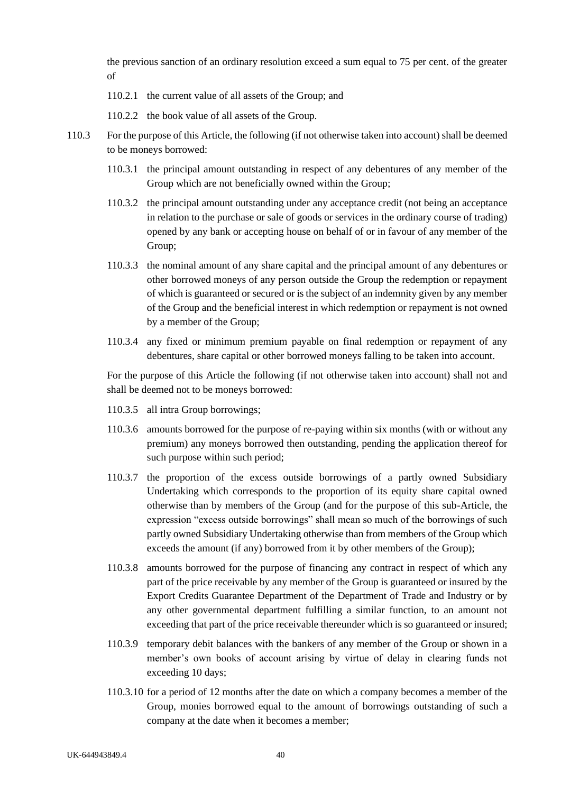the previous sanction of an ordinary resolution exceed a sum equal to 75 per cent. of the greater of

- 110.2.1 the current value of all assets of the Group; and
- 110.2.2 the book value of all assets of the Group.
- 110.3 For the purpose of this Article, the following (if not otherwise taken into account) shall be deemed to be moneys borrowed:
	- 110.3.1 the principal amount outstanding in respect of any debentures of any member of the Group which are not beneficially owned within the Group;
	- 110.3.2 the principal amount outstanding under any acceptance credit (not being an acceptance in relation to the purchase or sale of goods or services in the ordinary course of trading) opened by any bank or accepting house on behalf of or in favour of any member of the Group;
	- 110.3.3 the nominal amount of any share capital and the principal amount of any debentures or other borrowed moneys of any person outside the Group the redemption or repayment of which is guaranteed or secured or is the subject of an indemnity given by any member of the Group and the beneficial interest in which redemption or repayment is not owned by a member of the Group;
	- 110.3.4 any fixed or minimum premium payable on final redemption or repayment of any debentures, share capital or other borrowed moneys falling to be taken into account.

For the purpose of this Article the following (if not otherwise taken into account) shall not and shall be deemed not to be moneys borrowed:

- 110.3.5 all intra Group borrowings;
- 110.3.6 amounts borrowed for the purpose of re-paying within six months (with or without any premium) any moneys borrowed then outstanding, pending the application thereof for such purpose within such period;
- 110.3.7 the proportion of the excess outside borrowings of a partly owned Subsidiary Undertaking which corresponds to the proportion of its equity share capital owned otherwise than by members of the Group (and for the purpose of this sub-Article, the expression "excess outside borrowings" shall mean so much of the borrowings of such partly owned Subsidiary Undertaking otherwise than from members of the Group which exceeds the amount (if any) borrowed from it by other members of the Group);
- 110.3.8 amounts borrowed for the purpose of financing any contract in respect of which any part of the price receivable by any member of the Group is guaranteed or insured by the Export Credits Guarantee Department of the Department of Trade and Industry or by any other governmental department fulfilling a similar function, to an amount not exceeding that part of the price receivable thereunder which is so guaranteed or insured;
- 110.3.9 temporary debit balances with the bankers of any member of the Group or shown in a member's own books of account arising by virtue of delay in clearing funds not exceeding 10 days;
- 110.3.10 for a period of 12 months after the date on which a company becomes a member of the Group, monies borrowed equal to the amount of borrowings outstanding of such a company at the date when it becomes a member;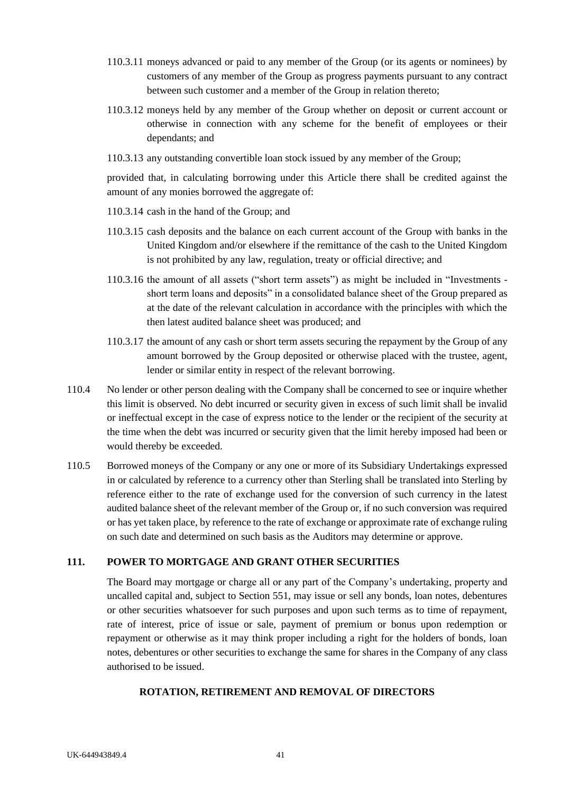- 110.3.11 moneys advanced or paid to any member of the Group (or its agents or nominees) by customers of any member of the Group as progress payments pursuant to any contract between such customer and a member of the Group in relation thereto;
- 110.3.12 moneys held by any member of the Group whether on deposit or current account or otherwise in connection with any scheme for the benefit of employees or their dependants; and
- 110.3.13 any outstanding convertible loan stock issued by any member of the Group;

provided that, in calculating borrowing under this Article there shall be credited against the amount of any monies borrowed the aggregate of:

- 110.3.14 cash in the hand of the Group; and
- 110.3.15 cash deposits and the balance on each current account of the Group with banks in the United Kingdom and/or elsewhere if the remittance of the cash to the United Kingdom is not prohibited by any law, regulation, treaty or official directive; and
- 110.3.16 the amount of all assets ("short term assets") as might be included in "Investments short term loans and deposits" in a consolidated balance sheet of the Group prepared as at the date of the relevant calculation in accordance with the principles with which the then latest audited balance sheet was produced; and
- 110.3.17 the amount of any cash or short term assets securing the repayment by the Group of any amount borrowed by the Group deposited or otherwise placed with the trustee, agent, lender or similar entity in respect of the relevant borrowing.
- 110.4 No lender or other person dealing with the Company shall be concerned to see or inquire whether this limit is observed. No debt incurred or security given in excess of such limit shall be invalid or ineffectual except in the case of express notice to the lender or the recipient of the security at the time when the debt was incurred or security given that the limit hereby imposed had been or would thereby be exceeded.
- 110.5 Borrowed moneys of the Company or any one or more of its Subsidiary Undertakings expressed in or calculated by reference to a currency other than Sterling shall be translated into Sterling by reference either to the rate of exchange used for the conversion of such currency in the latest audited balance sheet of the relevant member of the Group or, if no such conversion was required or has yet taken place, by reference to the rate of exchange or approximate rate of exchange ruling on such date and determined on such basis as the Auditors may determine or approve.

## **111. POWER TO MORTGAGE AND GRANT OTHER SECURITIES**

The Board may mortgage or charge all or any part of the Company's undertaking, property and uncalled capital and, subject to Section 551, may issue or sell any bonds, loan notes, debentures or other securities whatsoever for such purposes and upon such terms as to time of repayment, rate of interest, price of issue or sale, payment of premium or bonus upon redemption or repayment or otherwise as it may think proper including a right for the holders of bonds, loan notes, debentures or other securities to exchange the same for shares in the Company of any class authorised to be issued.

### **ROTATION, RETIREMENT AND REMOVAL OF DIRECTORS**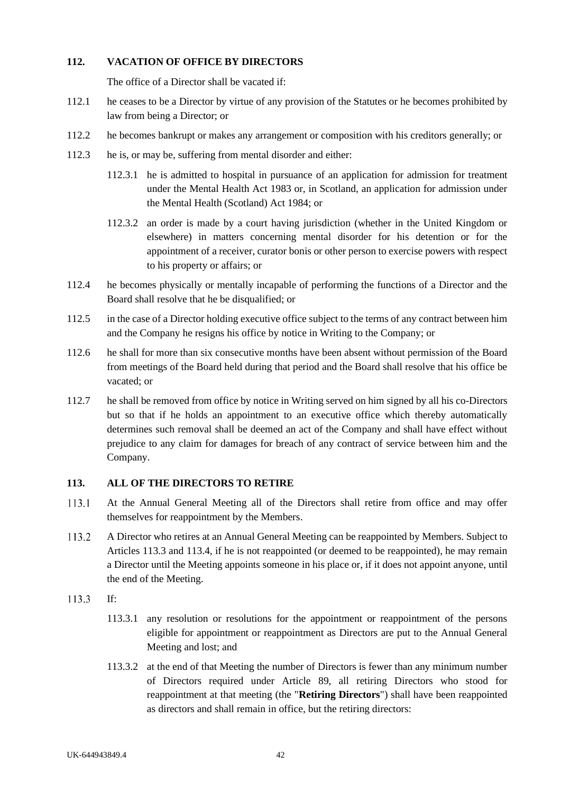## **112. VACATION OF OFFICE BY DIRECTORS**

The office of a Director shall be vacated if:

- 112.1 he ceases to be a Director by virtue of any provision of the Statutes or he becomes prohibited by law from being a Director; or
- 112.2 he becomes bankrupt or makes any arrangement or composition with his creditors generally; or
- 112.3 he is, or may be, suffering from mental disorder and either:
	- 112.3.1 he is admitted to hospital in pursuance of an application for admission for treatment under the Mental Health Act 1983 or, in Scotland, an application for admission under the Mental Health (Scotland) Act 1984; or
	- 112.3.2 an order is made by a court having jurisdiction (whether in the United Kingdom or elsewhere) in matters concerning mental disorder for his detention or for the appointment of a receiver, curator bonis or other person to exercise powers with respect to his property or affairs; or
- 112.4 he becomes physically or mentally incapable of performing the functions of a Director and the Board shall resolve that he be disqualified; or
- 112.5 in the case of a Director holding executive office subject to the terms of any contract between him and the Company he resigns his office by notice in Writing to the Company; or
- 112.6 he shall for more than six consecutive months have been absent without permission of the Board from meetings of the Board held during that period and the Board shall resolve that his office be vacated; or
- 112.7 he shall be removed from office by notice in Writing served on him signed by all his co-Directors but so that if he holds an appointment to an executive office which thereby automatically determines such removal shall be deemed an act of the Company and shall have effect without prejudice to any claim for damages for breach of any contract of service between him and the Company.

### **113. ALL OF THE DIRECTORS TO RETIRE**

- 113.1 At the Annual General Meeting all of the Directors shall retire from office and may offer themselves for reappointment by the Members.
- 113.2 A Director who retires at an Annual General Meeting can be reappointed by Members. Subject to Articles 113.3 and 113.4, if he is not reappointed (or deemed to be reappointed), he may remain a Director until the Meeting appoints someone in his place or, if it does not appoint anyone, until the end of the Meeting.
- 113.3 If:
	- 113.3.1 any resolution or resolutions for the appointment or reappointment of the persons eligible for appointment or reappointment as Directors are put to the Annual General Meeting and lost; and
	- 113.3.2 at the end of that Meeting the number of Directors is fewer than any minimum number of Directors required under Article 89, all retiring Directors who stood for reappointment at that meeting (the "**Retiring Directors**") shall have been reappointed as directors and shall remain in office, but the retiring directors: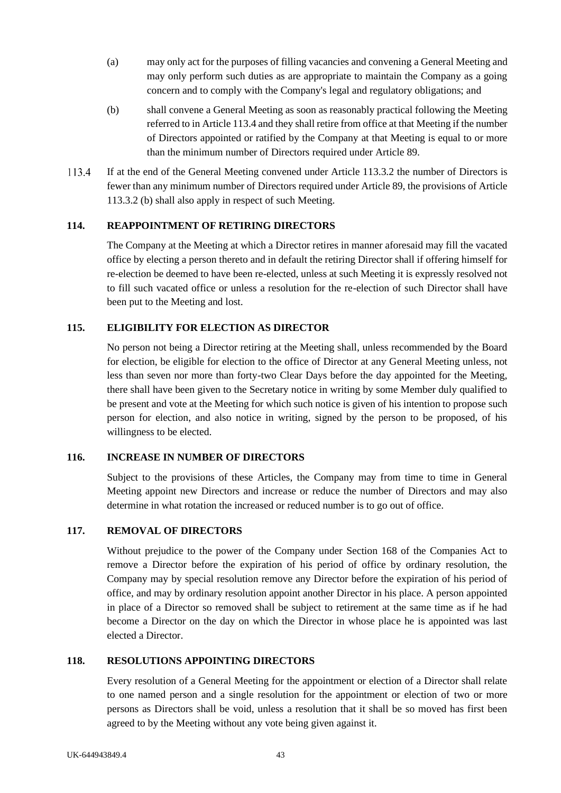- (a) may only act for the purposes of filling vacancies and convening a General Meeting and may only perform such duties as are appropriate to maintain the Company as a going concern and to comply with the Company's legal and regulatory obligations; and
- (b) shall convene a General Meeting as soon as reasonably practical following the Meeting referred to in Article 113.4 and they shall retire from office at that Meeting if the number of Directors appointed or ratified by the Company at that Meeting is equal to or more than the minimum number of Directors required under Article 89.
- If at the end of the General Meeting convened under Article 113.3.2 the number of Directors is 113.4 fewer than any minimum number of Directors required under Article 89, the provisions of Article 113.3.2 (b) shall also apply in respect of such Meeting.

## **114. REAPPOINTMENT OF RETIRING DIRECTORS**

The Company at the Meeting at which a Director retires in manner aforesaid may fill the vacated office by electing a person thereto and in default the retiring Director shall if offering himself for re-election be deemed to have been re-elected, unless at such Meeting it is expressly resolved not to fill such vacated office or unless a resolution for the re-election of such Director shall have been put to the Meeting and lost.

## **115. ELIGIBILITY FOR ELECTION AS DIRECTOR**

No person not being a Director retiring at the Meeting shall, unless recommended by the Board for election, be eligible for election to the office of Director at any General Meeting unless, not less than seven nor more than forty-two Clear Days before the day appointed for the Meeting, there shall have been given to the Secretary notice in writing by some Member duly qualified to be present and vote at the Meeting for which such notice is given of his intention to propose such person for election, and also notice in writing, signed by the person to be proposed, of his willingness to be elected.

### **116. INCREASE IN NUMBER OF DIRECTORS**

Subject to the provisions of these Articles, the Company may from time to time in General Meeting appoint new Directors and increase or reduce the number of Directors and may also determine in what rotation the increased or reduced number is to go out of office.

## **117. REMOVAL OF DIRECTORS**

Without prejudice to the power of the Company under Section 168 of the Companies Act to remove a Director before the expiration of his period of office by ordinary resolution, the Company may by special resolution remove any Director before the expiration of his period of office, and may by ordinary resolution appoint another Director in his place. A person appointed in place of a Director so removed shall be subject to retirement at the same time as if he had become a Director on the day on which the Director in whose place he is appointed was last elected a Director.

### **118. RESOLUTIONS APPOINTING DIRECTORS**

Every resolution of a General Meeting for the appointment or election of a Director shall relate to one named person and a single resolution for the appointment or election of two or more persons as Directors shall be void, unless a resolution that it shall be so moved has first been agreed to by the Meeting without any vote being given against it.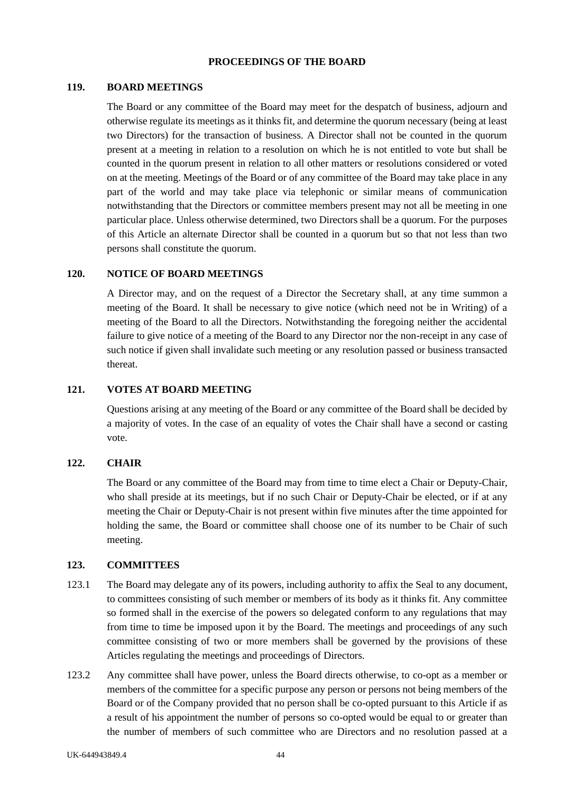### **PROCEEDINGS OF THE BOARD**

#### **119. BOARD MEETINGS**

The Board or any committee of the Board may meet for the despatch of business, adjourn and otherwise regulate its meetings as it thinks fit, and determine the quorum necessary (being at least two Directors) for the transaction of business. A Director shall not be counted in the quorum present at a meeting in relation to a resolution on which he is not entitled to vote but shall be counted in the quorum present in relation to all other matters or resolutions considered or voted on at the meeting. Meetings of the Board or of any committee of the Board may take place in any part of the world and may take place via telephonic or similar means of communication notwithstanding that the Directors or committee members present may not all be meeting in one particular place. Unless otherwise determined, two Directors shall be a quorum. For the purposes of this Article an alternate Director shall be counted in a quorum but so that not less than two persons shall constitute the quorum.

## **120. NOTICE OF BOARD MEETINGS**

A Director may, and on the request of a Director the Secretary shall, at any time summon a meeting of the Board. It shall be necessary to give notice (which need not be in Writing) of a meeting of the Board to all the Directors. Notwithstanding the foregoing neither the accidental failure to give notice of a meeting of the Board to any Director nor the non-receipt in any case of such notice if given shall invalidate such meeting or any resolution passed or business transacted thereat.

## **121. VOTES AT BOARD MEETING**

Questions arising at any meeting of the Board or any committee of the Board shall be decided by a majority of votes. In the case of an equality of votes the Chair shall have a second or casting vote.

#### **122. CHAIR**

The Board or any committee of the Board may from time to time elect a Chair or Deputy-Chair, who shall preside at its meetings, but if no such Chair or Deputy-Chair be elected, or if at any meeting the Chair or Deputy-Chair is not present within five minutes after the time appointed for holding the same, the Board or committee shall choose one of its number to be Chair of such meeting.

#### **123. COMMITTEES**

- 123.1 The Board may delegate any of its powers, including authority to affix the Seal to any document, to committees consisting of such member or members of its body as it thinks fit. Any committee so formed shall in the exercise of the powers so delegated conform to any regulations that may from time to time be imposed upon it by the Board. The meetings and proceedings of any such committee consisting of two or more members shall be governed by the provisions of these Articles regulating the meetings and proceedings of Directors.
- 123.2 Any committee shall have power, unless the Board directs otherwise, to co-opt as a member or members of the committee for a specific purpose any person or persons not being members of the Board or of the Company provided that no person shall be co-opted pursuant to this Article if as a result of his appointment the number of persons so co-opted would be equal to or greater than the number of members of such committee who are Directors and no resolution passed at a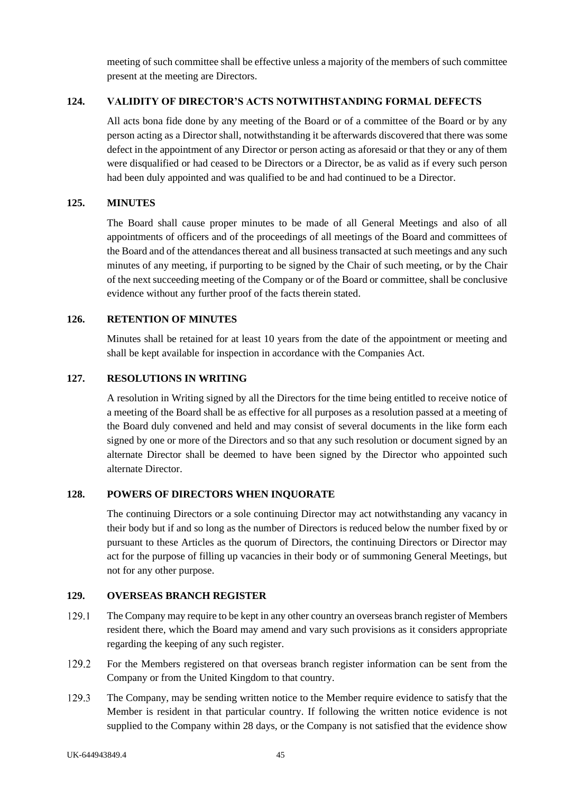meeting of such committee shall be effective unless a majority of the members of such committee present at the meeting are Directors.

## **124. VALIDITY OF DIRECTOR'S ACTS NOTWITHSTANDING FORMAL DEFECTS**

All acts bona fide done by any meeting of the Board or of a committee of the Board or by any person acting as a Director shall, notwithstanding it be afterwards discovered that there was some defect in the appointment of any Director or person acting as aforesaid or that they or any of them were disqualified or had ceased to be Directors or a Director, be as valid as if every such person had been duly appointed and was qualified to be and had continued to be a Director.

## **125. MINUTES**

The Board shall cause proper minutes to be made of all General Meetings and also of all appointments of officers and of the proceedings of all meetings of the Board and committees of the Board and of the attendances thereat and all business transacted at such meetings and any such minutes of any meeting, if purporting to be signed by the Chair of such meeting, or by the Chair of the next succeeding meeting of the Company or of the Board or committee, shall be conclusive evidence without any further proof of the facts therein stated.

## **126. RETENTION OF MINUTES**

Minutes shall be retained for at least 10 years from the date of the appointment or meeting and shall be kept available for inspection in accordance with the Companies Act.

## **127. RESOLUTIONS IN WRITING**

A resolution in Writing signed by all the Directors for the time being entitled to receive notice of a meeting of the Board shall be as effective for all purposes as a resolution passed at a meeting of the Board duly convened and held and may consist of several documents in the like form each signed by one or more of the Directors and so that any such resolution or document signed by an alternate Director shall be deemed to have been signed by the Director who appointed such alternate Director.

### **128. POWERS OF DIRECTORS WHEN INQUORATE**

The continuing Directors or a sole continuing Director may act notwithstanding any vacancy in their body but if and so long as the number of Directors is reduced below the number fixed by or pursuant to these Articles as the quorum of Directors, the continuing Directors or Director may act for the purpose of filling up vacancies in their body or of summoning General Meetings, but not for any other purpose.

### **129. OVERSEAS BRANCH REGISTER**

- 129.1 The Company may require to be kept in any other country an overseas branch register of Members resident there, which the Board may amend and vary such provisions as it considers appropriate regarding the keeping of any such register.
- 129.2 For the Members registered on that overseas branch register information can be sent from the Company or from the United Kingdom to that country.
- 129.3 The Company, may be sending written notice to the Member require evidence to satisfy that the Member is resident in that particular country. If following the written notice evidence is not supplied to the Company within 28 days, or the Company is not satisfied that the evidence show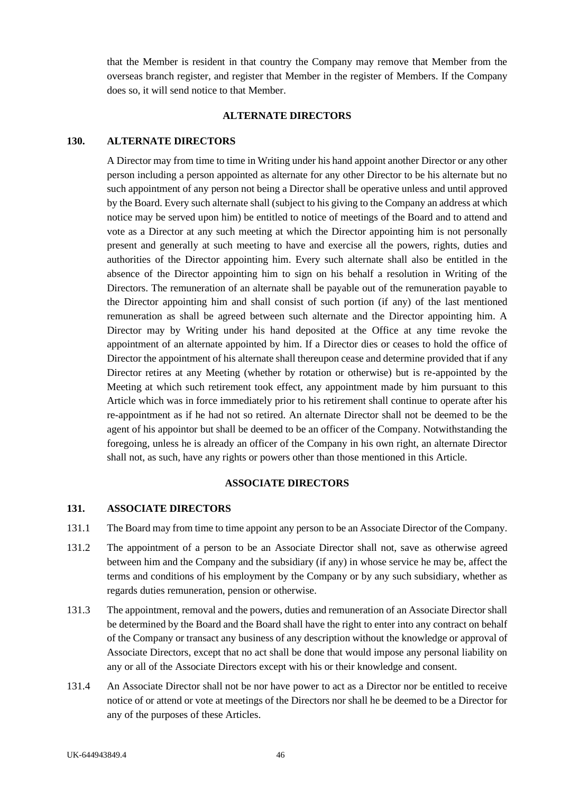that the Member is resident in that country the Company may remove that Member from the overseas branch register, and register that Member in the register of Members. If the Company does so, it will send notice to that Member.

### **ALTERNATE DIRECTORS**

#### **130. ALTERNATE DIRECTORS**

A Director may from time to time in Writing under his hand appoint another Director or any other person including a person appointed as alternate for any other Director to be his alternate but no such appointment of any person not being a Director shall be operative unless and until approved by the Board. Every such alternate shall (subject to his giving to the Company an address at which notice may be served upon him) be entitled to notice of meetings of the Board and to attend and vote as a Director at any such meeting at which the Director appointing him is not personally present and generally at such meeting to have and exercise all the powers, rights, duties and authorities of the Director appointing him. Every such alternate shall also be entitled in the absence of the Director appointing him to sign on his behalf a resolution in Writing of the Directors. The remuneration of an alternate shall be payable out of the remuneration payable to the Director appointing him and shall consist of such portion (if any) of the last mentioned remuneration as shall be agreed between such alternate and the Director appointing him. A Director may by Writing under his hand deposited at the Office at any time revoke the appointment of an alternate appointed by him. If a Director dies or ceases to hold the office of Director the appointment of his alternate shall thereupon cease and determine provided that if any Director retires at any Meeting (whether by rotation or otherwise) but is re-appointed by the Meeting at which such retirement took effect, any appointment made by him pursuant to this Article which was in force immediately prior to his retirement shall continue to operate after his re-appointment as if he had not so retired. An alternate Director shall not be deemed to be the agent of his appointor but shall be deemed to be an officer of the Company. Notwithstanding the foregoing, unless he is already an officer of the Company in his own right, an alternate Director shall not, as such, have any rights or powers other than those mentioned in this Article.

#### **ASSOCIATE DIRECTORS**

#### **131. ASSOCIATE DIRECTORS**

- 131.1 The Board may from time to time appoint any person to be an Associate Director of the Company.
- 131.2 The appointment of a person to be an Associate Director shall not, save as otherwise agreed between him and the Company and the subsidiary (if any) in whose service he may be, affect the terms and conditions of his employment by the Company or by any such subsidiary, whether as regards duties remuneration, pension or otherwise.
- 131.3 The appointment, removal and the powers, duties and remuneration of an Associate Director shall be determined by the Board and the Board shall have the right to enter into any contract on behalf of the Company or transact any business of any description without the knowledge or approval of Associate Directors, except that no act shall be done that would impose any personal liability on any or all of the Associate Directors except with his or their knowledge and consent.
- 131.4 An Associate Director shall not be nor have power to act as a Director nor be entitled to receive notice of or attend or vote at meetings of the Directors nor shall he be deemed to be a Director for any of the purposes of these Articles.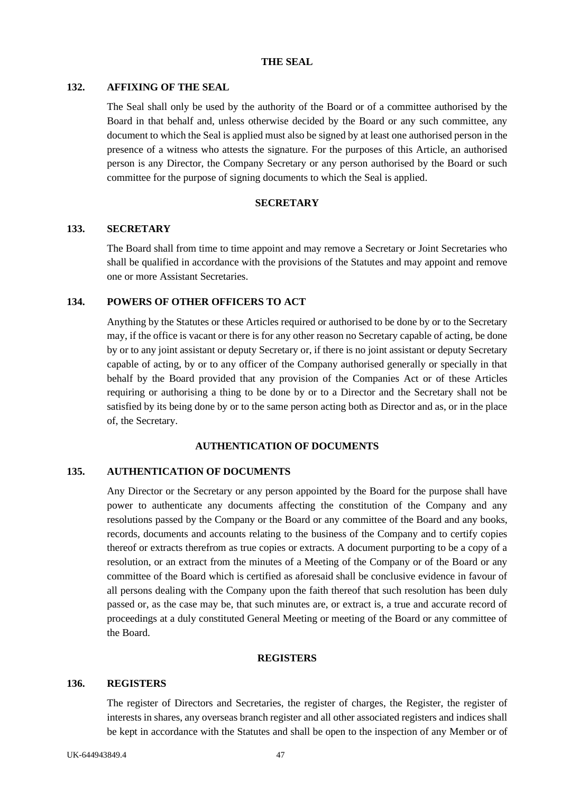#### **THE SEAL**

### **132. AFFIXING OF THE SEAL**

The Seal shall only be used by the authority of the Board or of a committee authorised by the Board in that behalf and, unless otherwise decided by the Board or any such committee, any document to which the Seal is applied must also be signed by at least one authorised person in the presence of a witness who attests the signature. For the purposes of this Article, an authorised person is any Director, the Company Secretary or any person authorised by the Board or such committee for the purpose of signing documents to which the Seal is applied.

#### **SECRETARY**

### **133. SECRETARY**

The Board shall from time to time appoint and may remove a Secretary or Joint Secretaries who shall be qualified in accordance with the provisions of the Statutes and may appoint and remove one or more Assistant Secretaries.

#### **134. POWERS OF OTHER OFFICERS TO ACT**

Anything by the Statutes or these Articles required or authorised to be done by or to the Secretary may, if the office is vacant or there is for any other reason no Secretary capable of acting, be done by or to any joint assistant or deputy Secretary or, if there is no joint assistant or deputy Secretary capable of acting, by or to any officer of the Company authorised generally or specially in that behalf by the Board provided that any provision of the Companies Act or of these Articles requiring or authorising a thing to be done by or to a Director and the Secretary shall not be satisfied by its being done by or to the same person acting both as Director and as, or in the place of, the Secretary.

### **AUTHENTICATION OF DOCUMENTS**

## **135. AUTHENTICATION OF DOCUMENTS**

Any Director or the Secretary or any person appointed by the Board for the purpose shall have power to authenticate any documents affecting the constitution of the Company and any resolutions passed by the Company or the Board or any committee of the Board and any books, records, documents and accounts relating to the business of the Company and to certify copies thereof or extracts therefrom as true copies or extracts. A document purporting to be a copy of a resolution, or an extract from the minutes of a Meeting of the Company or of the Board or any committee of the Board which is certified as aforesaid shall be conclusive evidence in favour of all persons dealing with the Company upon the faith thereof that such resolution has been duly passed or, as the case may be, that such minutes are, or extract is, a true and accurate record of proceedings at a duly constituted General Meeting or meeting of the Board or any committee of the Board.

#### **REGISTERS**

#### **136. REGISTERS**

The register of Directors and Secretaries, the register of charges, the Register, the register of interests in shares, any overseas branch register and all other associated registers and indices shall be kept in accordance with the Statutes and shall be open to the inspection of any Member or of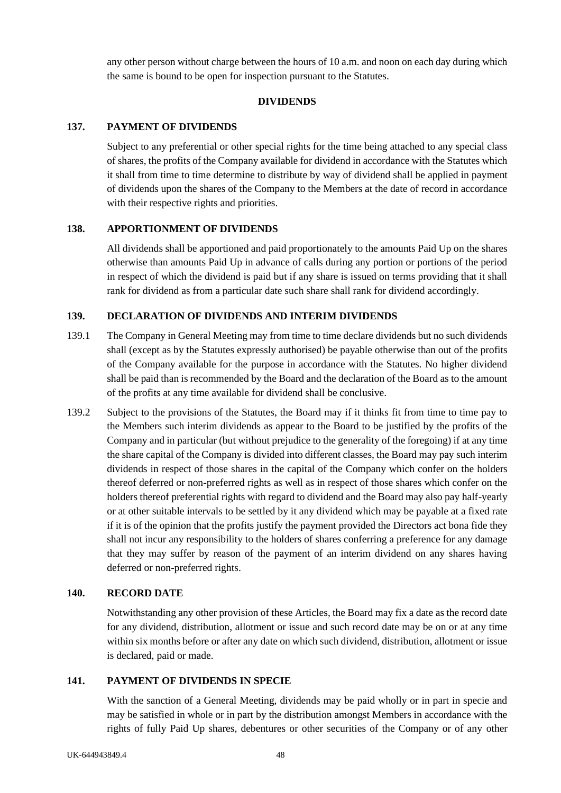any other person without charge between the hours of 10 a.m. and noon on each day during which the same is bound to be open for inspection pursuant to the Statutes.

## **DIVIDENDS**

## <span id="page-54-0"></span>**137. PAYMENT OF DIVIDENDS**

Subject to any preferential or other special rights for the time being attached to any special class of shares, the profits of the Company available for dividend in accordance with the Statutes which it shall from time to time determine to distribute by way of dividend shall be applied in payment of dividends upon the shares of the Company to the Members at the date of record in accordance with their respective rights and priorities.

## **138. APPORTIONMENT OF DIVIDENDS**

All dividends shall be apportioned and paid proportionately to the amounts Paid Up on the shares otherwise than amounts Paid Up in advance of calls during any portion or portions of the period in respect of which the dividend is paid but if any share is issued on terms providing that it shall rank for dividend as from a particular date such share shall rank for dividend accordingly.

## **139. DECLARATION OF DIVIDENDS AND INTERIM DIVIDENDS**

- 139.1 The Company in General Meeting may from time to time declare dividends but no such dividends shall (except as by the Statutes expressly authorised) be payable otherwise than out of the profits of the Company available for the purpose in accordance with the Statutes. No higher dividend shall be paid than is recommended by the Board and the declaration of the Board as to the amount of the profits at any time available for dividend shall be conclusive.
- 139.2 Subject to the provisions of the Statutes, the Board may if it thinks fit from time to time pay to the Members such interim dividends as appear to the Board to be justified by the profits of the Company and in particular (but without prejudice to the generality of the foregoing) if at any time the share capital of the Company is divided into different classes, the Board may pay such interim dividends in respect of those shares in the capital of the Company which confer on the holders thereof deferred or non-preferred rights as well as in respect of those shares which confer on the holders thereof preferential rights with regard to dividend and the Board may also pay half-yearly or at other suitable intervals to be settled by it any dividend which may be payable at a fixed rate if it is of the opinion that the profits justify the payment provided the Directors act bona fide they shall not incur any responsibility to the holders of shares conferring a preference for any damage that they may suffer by reason of the payment of an interim dividend on any shares having deferred or non-preferred rights.

## **140. RECORD DATE**

Notwithstanding any other provision of these Articles, the Board may fix a date as the record date for any dividend, distribution, allotment or issue and such record date may be on or at any time within six months before or after any date on which such dividend, distribution, allotment or issue is declared, paid or made.

## **141. PAYMENT OF DIVIDENDS IN SPECIE**

With the sanction of a General Meeting, dividends may be paid wholly or in part in specie and may be satisfied in whole or in part by the distribution amongst Members in accordance with the rights of fully Paid Up shares, debentures or other securities of the Company or of any other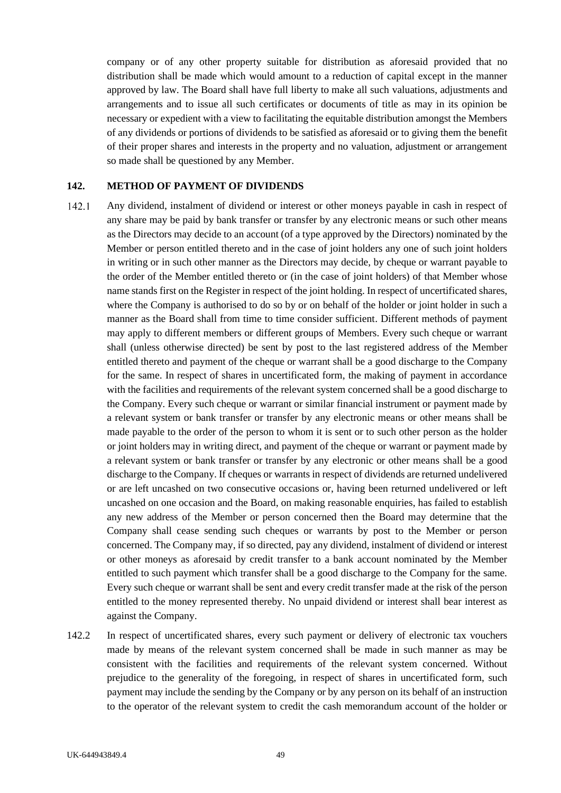company or of any other property suitable for distribution as aforesaid provided that no distribution shall be made which would amount to a reduction of capital except in the manner approved by law. The Board shall have full liberty to make all such valuations, adjustments and arrangements and to issue all such certificates or documents of title as may in its opinion be necessary or expedient with a view to facilitating the equitable distribution amongst the Members of any dividends or portions of dividends to be satisfied as aforesaid or to giving them the benefit of their proper shares and interests in the property and no valuation, adjustment or arrangement so made shall be questioned by any Member.

#### **142. METHOD OF PAYMENT OF DIVIDENDS**

- $142.1$ Any dividend, instalment of dividend or interest or other moneys payable in cash in respect of any share may be paid by bank transfer or transfer by any electronic means or such other means as the Directors may decide to an account (of a type approved by the Directors) nominated by the Member or person entitled thereto and in the case of joint holders any one of such joint holders in writing or in such other manner as the Directors may decide, by cheque or warrant payable to the order of the Member entitled thereto or (in the case of joint holders) of that Member whose name stands first on the Register in respect of the joint holding. In respect of uncertificated shares, where the Company is authorised to do so by or on behalf of the holder or joint holder in such a manner as the Board shall from time to time consider sufficient. Different methods of payment may apply to different members or different groups of Members. Every such cheque or warrant shall (unless otherwise directed) be sent by post to the last registered address of the Member entitled thereto and payment of the cheque or warrant shall be a good discharge to the Company for the same. In respect of shares in uncertificated form, the making of payment in accordance with the facilities and requirements of the relevant system concerned shall be a good discharge to the Company. Every such cheque or warrant or similar financial instrument or payment made by a relevant system or bank transfer or transfer by any electronic means or other means shall be made payable to the order of the person to whom it is sent or to such other person as the holder or joint holders may in writing direct, and payment of the cheque or warrant or payment made by a relevant system or bank transfer or transfer by any electronic or other means shall be a good discharge to the Company. If cheques or warrants in respect of dividends are returned undelivered or are left uncashed on two consecutive occasions or, having been returned undelivered or left uncashed on one occasion and the Board, on making reasonable enquiries, has failed to establish any new address of the Member or person concerned then the Board may determine that the Company shall cease sending such cheques or warrants by post to the Member or person concerned. The Company may, if so directed, pay any dividend, instalment of dividend or interest or other moneys as aforesaid by credit transfer to a bank account nominated by the Member entitled to such payment which transfer shall be a good discharge to the Company for the same. Every such cheque or warrant shall be sent and every credit transfer made at the risk of the person entitled to the money represented thereby. No unpaid dividend or interest shall bear interest as against the Company.
- 142.2 In respect of uncertificated shares, every such payment or delivery of electronic tax vouchers made by means of the relevant system concerned shall be made in such manner as may be consistent with the facilities and requirements of the relevant system concerned. Without prejudice to the generality of the foregoing, in respect of shares in uncertificated form, such payment may include the sending by the Company or by any person on its behalf of an instruction to the operator of the relevant system to credit the cash memorandum account of the holder or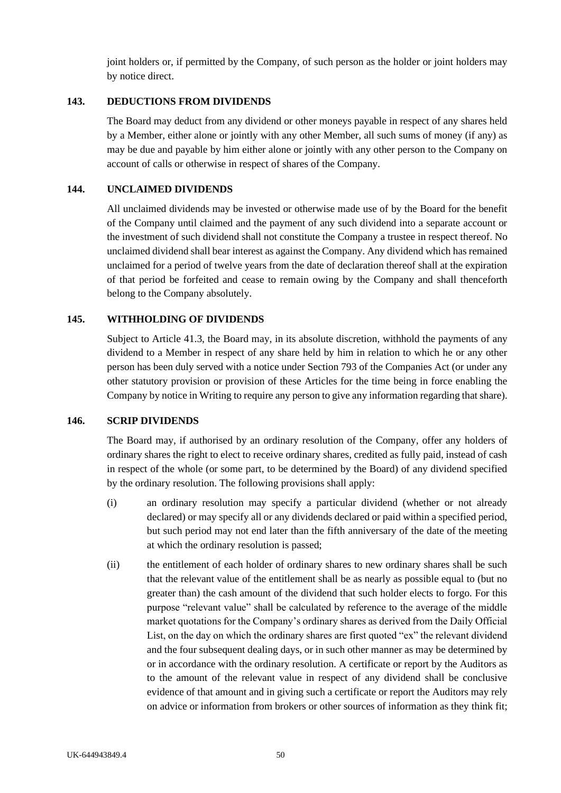joint holders or, if permitted by the Company, of such person as the holder or joint holders may by notice direct.

### **143. DEDUCTIONS FROM DIVIDENDS**

The Board may deduct from any dividend or other moneys payable in respect of any shares held by a Member, either alone or jointly with any other Member, all such sums of money (if any) as may be due and payable by him either alone or jointly with any other person to the Company on account of calls or otherwise in respect of shares of the Company.

### **144. UNCLAIMED DIVIDENDS**

All unclaimed dividends may be invested or otherwise made use of by the Board for the benefit of the Company until claimed and the payment of any such dividend into a separate account or the investment of such dividend shall not constitute the Company a trustee in respect thereof. No unclaimed dividend shall bear interest as against the Company. Any dividend which has remained unclaimed for a period of twelve years from the date of declaration thereof shall at the expiration of that period be forfeited and cease to remain owing by the Company and shall thenceforth belong to the Company absolutely.

### **145. WITHHOLDING OF DIVIDENDS**

Subject to Article [41.3,](#page-22-0) the Board may, in its absolute discretion, withhold the payments of any dividend to a Member in respect of any share held by him in relation to which he or any other person has been duly served with a notice under Section 793 of the Companies Act (or under any other statutory provision or provision of these Articles for the time being in force enabling the Company by notice in Writing to require any person to give any information regarding that share).

#### <span id="page-56-0"></span>**146. SCRIP DIVIDENDS**

The Board may, if authorised by an ordinary resolution of the Company, offer any holders of ordinary shares the right to elect to receive ordinary shares, credited as fully paid, instead of cash in respect of the whole (or some part, to be determined by the Board) of any dividend specified by the ordinary resolution. The following provisions shall apply:

- (i) an ordinary resolution may specify a particular dividend (whether or not already declared) or may specify all or any dividends declared or paid within a specified period, but such period may not end later than the fifth anniversary of the date of the meeting at which the ordinary resolution is passed;
- (ii) the entitlement of each holder of ordinary shares to new ordinary shares shall be such that the relevant value of the entitlement shall be as nearly as possible equal to (but no greater than) the cash amount of the dividend that such holder elects to forgo. For this purpose "relevant value" shall be calculated by reference to the average of the middle market quotations for the Company's ordinary shares as derived from the Daily Official List, on the day on which the ordinary shares are first quoted "ex" the relevant dividend and the four subsequent dealing days, or in such other manner as may be determined by or in accordance with the ordinary resolution. A certificate or report by the Auditors as to the amount of the relevant value in respect of any dividend shall be conclusive evidence of that amount and in giving such a certificate or report the Auditors may rely on advice or information from brokers or other sources of information as they think fit;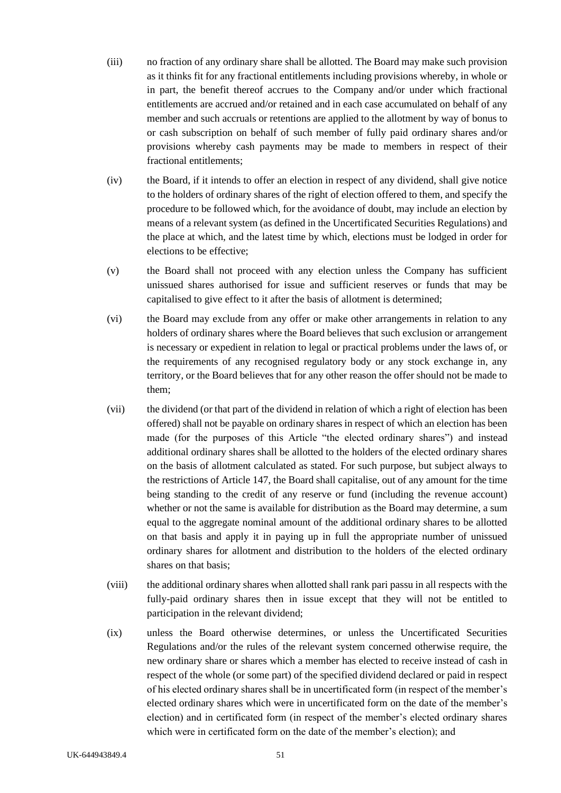- (iii) no fraction of any ordinary share shall be allotted. The Board may make such provision as it thinks fit for any fractional entitlements including provisions whereby, in whole or in part, the benefit thereof accrues to the Company and/or under which fractional entitlements are accrued and/or retained and in each case accumulated on behalf of any member and such accruals or retentions are applied to the allotment by way of bonus to or cash subscription on behalf of such member of fully paid ordinary shares and/or provisions whereby cash payments may be made to members in respect of their fractional entitlements;
- (iv) the Board, if it intends to offer an election in respect of any dividend, shall give notice to the holders of ordinary shares of the right of election offered to them, and specify the procedure to be followed which, for the avoidance of doubt, may include an election by means of a relevant system (as defined in the Uncertificated Securities Regulations) and the place at which, and the latest time by which, elections must be lodged in order for elections to be effective;
- (v) the Board shall not proceed with any election unless the Company has sufficient unissued shares authorised for issue and sufficient reserves or funds that may be capitalised to give effect to it after the basis of allotment is determined;
- (vi) the Board may exclude from any offer or make other arrangements in relation to any holders of ordinary shares where the Board believes that such exclusion or arrangement is necessary or expedient in relation to legal or practical problems under the laws of, or the requirements of any recognised regulatory body or any stock exchange in, any territory, or the Board believes that for any other reason the offer should not be made to them;
- (vii) the dividend (or that part of the dividend in relation of which a right of election has been offered) shall not be payable on ordinary shares in respect of which an election has been made (for the purposes of this Article "the elected ordinary shares") and instead additional ordinary shares shall be allotted to the holders of the elected ordinary shares on the basis of allotment calculated as stated. For such purpose, but subject always to the restrictions of Article [147,](#page-58-0) the Board shall capitalise, out of any amount for the time being standing to the credit of any reserve or fund (including the revenue account) whether or not the same is available for distribution as the Board may determine, a sum equal to the aggregate nominal amount of the additional ordinary shares to be allotted on that basis and apply it in paying up in full the appropriate number of unissued ordinary shares for allotment and distribution to the holders of the elected ordinary shares on that basis;
- (viii) the additional ordinary shares when allotted shall rank pari passu in all respects with the fully-paid ordinary shares then in issue except that they will not be entitled to participation in the relevant dividend;
- (ix) unless the Board otherwise determines, or unless the Uncertificated Securities Regulations and/or the rules of the relevant system concerned otherwise require, the new ordinary share or shares which a member has elected to receive instead of cash in respect of the whole (or some part) of the specified dividend declared or paid in respect of his elected ordinary shares shall be in uncertificated form (in respect of the member's elected ordinary shares which were in uncertificated form on the date of the member's election) and in certificated form (in respect of the member's elected ordinary shares which were in certificated form on the date of the member's election); and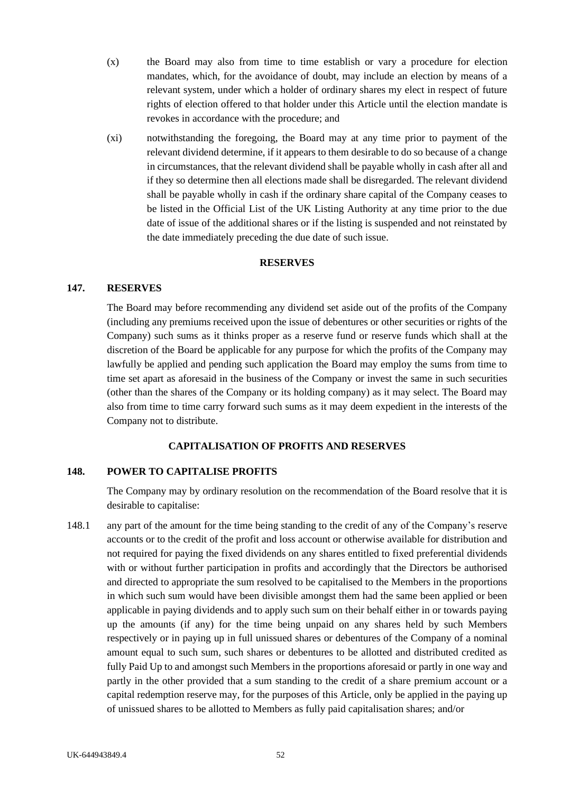- (x) the Board may also from time to time establish or vary a procedure for election mandates, which, for the avoidance of doubt, may include an election by means of a relevant system, under which a holder of ordinary shares my elect in respect of future rights of election offered to that holder under this Article until the election mandate is revokes in accordance with the procedure; and
- (xi) notwithstanding the foregoing, the Board may at any time prior to payment of the relevant dividend determine, if it appears to them desirable to do so because of a change in circumstances, that the relevant dividend shall be payable wholly in cash after all and if they so determine then all elections made shall be disregarded. The relevant dividend shall be payable wholly in cash if the ordinary share capital of the Company ceases to be listed in the Official List of the UK Listing Authority at any time prior to the due date of issue of the additional shares or if the listing is suspended and not reinstated by the date immediately preceding the due date of such issue.

### **RESERVES**

#### <span id="page-58-0"></span>**147. RESERVES**

The Board may before recommending any dividend set aside out of the profits of the Company (including any premiums received upon the issue of debentures or other securities or rights of the Company) such sums as it thinks proper as a reserve fund or reserve funds which shall at the discretion of the Board be applicable for any purpose for which the profits of the Company may lawfully be applied and pending such application the Board may employ the sums from time to time set apart as aforesaid in the business of the Company or invest the same in such securities (other than the shares of the Company or its holding company) as it may select. The Board may also from time to time carry forward such sums as it may deem expedient in the interests of the Company not to distribute.

#### **CAPITALISATION OF PROFITS AND RESERVES**

### **148. POWER TO CAPITALISE PROFITS**

The Company may by ordinary resolution on the recommendation of the Board resolve that it is desirable to capitalise:

148.1 any part of the amount for the time being standing to the credit of any of the Company's reserve accounts or to the credit of the profit and loss account or otherwise available for distribution and not required for paying the fixed dividends on any shares entitled to fixed preferential dividends with or without further participation in profits and accordingly that the Directors be authorised and directed to appropriate the sum resolved to be capitalised to the Members in the proportions in which such sum would have been divisible amongst them had the same been applied or been applicable in paying dividends and to apply such sum on their behalf either in or towards paying up the amounts (if any) for the time being unpaid on any shares held by such Members respectively or in paying up in full unissued shares or debentures of the Company of a nominal amount equal to such sum, such shares or debentures to be allotted and distributed credited as fully Paid Up to and amongst such Members in the proportions aforesaid or partly in one way and partly in the other provided that a sum standing to the credit of a share premium account or a capital redemption reserve may, for the purposes of this Article, only be applied in the paying up of unissued shares to be allotted to Members as fully paid capitalisation shares; and/or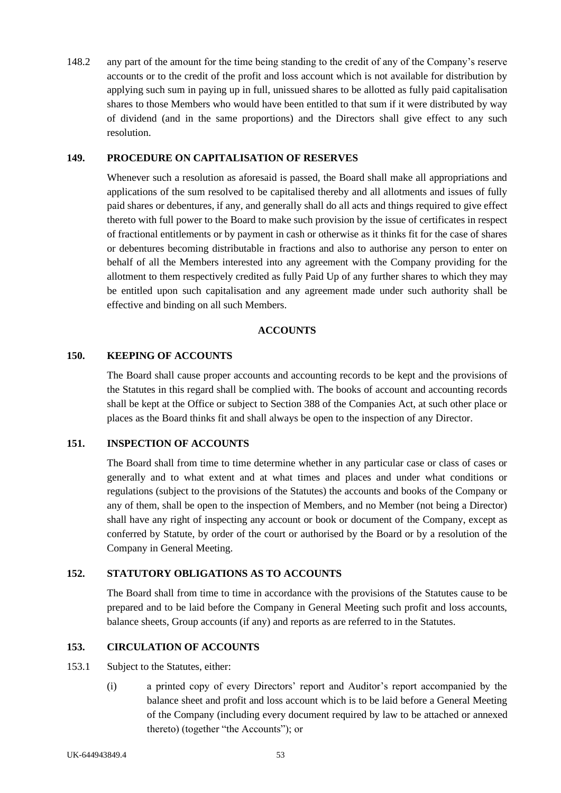148.2 any part of the amount for the time being standing to the credit of any of the Company's reserve accounts or to the credit of the profit and loss account which is not available for distribution by applying such sum in paying up in full, unissued shares to be allotted as fully paid capitalisation shares to those Members who would have been entitled to that sum if it were distributed by way of dividend (and in the same proportions) and the Directors shall give effect to any such resolution.

### **149. PROCEDURE ON CAPITALISATION OF RESERVES**

Whenever such a resolution as aforesaid is passed, the Board shall make all appropriations and applications of the sum resolved to be capitalised thereby and all allotments and issues of fully paid shares or debentures, if any, and generally shall do all acts and things required to give effect thereto with full power to the Board to make such provision by the issue of certificates in respect of fractional entitlements or by payment in cash or otherwise as it thinks fit for the case of shares or debentures becoming distributable in fractions and also to authorise any person to enter on behalf of all the Members interested into any agreement with the Company providing for the allotment to them respectively credited as fully Paid Up of any further shares to which they may be entitled upon such capitalisation and any agreement made under such authority shall be effective and binding on all such Members.

#### **ACCOUNTS**

### **150. KEEPING OF ACCOUNTS**

The Board shall cause proper accounts and accounting records to be kept and the provisions of the Statutes in this regard shall be complied with. The books of account and accounting records shall be kept at the Office or subject to Section 388 of the Companies Act, at such other place or places as the Board thinks fit and shall always be open to the inspection of any Director.

## **151. INSPECTION OF ACCOUNTS**

The Board shall from time to time determine whether in any particular case or class of cases or generally and to what extent and at what times and places and under what conditions or regulations (subject to the provisions of the Statutes) the accounts and books of the Company or any of them, shall be open to the inspection of Members, and no Member (not being a Director) shall have any right of inspecting any account or book or document of the Company, except as conferred by Statute, by order of the court or authorised by the Board or by a resolution of the Company in General Meeting.

### **152. STATUTORY OBLIGATIONS AS TO ACCOUNTS**

The Board shall from time to time in accordance with the provisions of the Statutes cause to be prepared and to be laid before the Company in General Meeting such profit and loss accounts, balance sheets, Group accounts (if any) and reports as are referred to in the Statutes.

### **153. CIRCULATION OF ACCOUNTS**

#### 153.1 Subject to the Statutes, either:

(i) a printed copy of every Directors' report and Auditor's report accompanied by the balance sheet and profit and loss account which is to be laid before a General Meeting of the Company (including every document required by law to be attached or annexed thereto) (together "the Accounts"); or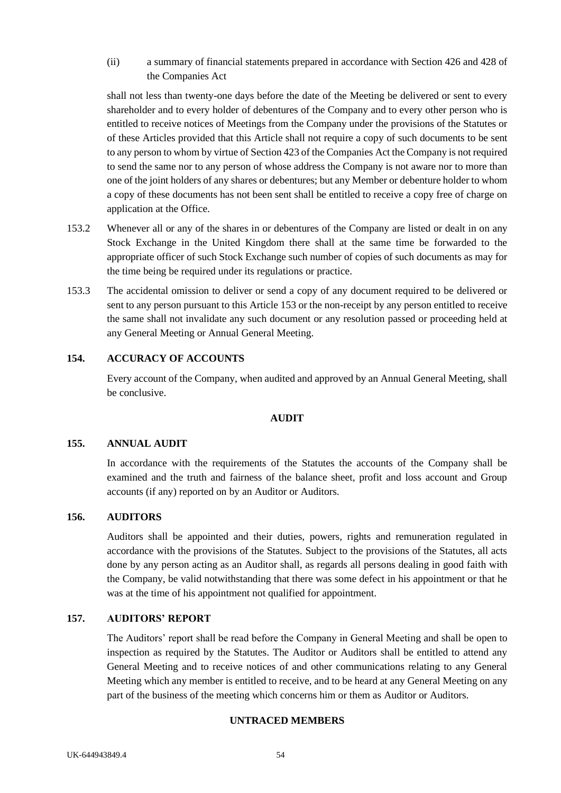# (ii) a summary of financial statements prepared in accordance with Section 426 and 428 of the Companies Act

shall not less than twenty-one days before the date of the Meeting be delivered or sent to every shareholder and to every holder of debentures of the Company and to every other person who is entitled to receive notices of Meetings from the Company under the provisions of the Statutes or of these Articles provided that this Article shall not require a copy of such documents to be sent to any person to whom by virtue of Section 423 of the Companies Act the Company is not required to send the same nor to any person of whose address the Company is not aware nor to more than one of the joint holders of any shares or debentures; but any Member or debenture holder to whom a copy of these documents has not been sent shall be entitled to receive a copy free of charge on application at the Office.

- 153.2 Whenever all or any of the shares in or debentures of the Company are listed or dealt in on any Stock Exchange in the United Kingdom there shall at the same time be forwarded to the appropriate officer of such Stock Exchange such number of copies of such documents as may for the time being be required under its regulations or practice.
- 153.3 The accidental omission to deliver or send a copy of any document required to be delivered or sent to any person pursuant to this Article 153 or the non-receipt by any person entitled to receive the same shall not invalidate any such document or any resolution passed or proceeding held at any General Meeting or Annual General Meeting.

## **154. ACCURACY OF ACCOUNTS**

Every account of the Company, when audited and approved by an Annual General Meeting, shall be conclusive.

### **AUDIT**

### **155. ANNUAL AUDIT**

In accordance with the requirements of the Statutes the accounts of the Company shall be examined and the truth and fairness of the balance sheet, profit and loss account and Group accounts (if any) reported on by an Auditor or Auditors.

### **156. AUDITORS**

Auditors shall be appointed and their duties, powers, rights and remuneration regulated in accordance with the provisions of the Statutes. Subject to the provisions of the Statutes, all acts done by any person acting as an Auditor shall, as regards all persons dealing in good faith with the Company, be valid notwithstanding that there was some defect in his appointment or that he was at the time of his appointment not qualified for appointment.

### **157. AUDITORS' REPORT**

The Auditors' report shall be read before the Company in General Meeting and shall be open to inspection as required by the Statutes. The Auditor or Auditors shall be entitled to attend any General Meeting and to receive notices of and other communications relating to any General Meeting which any member is entitled to receive, and to be heard at any General Meeting on any part of the business of the meeting which concerns him or them as Auditor or Auditors.

### **UNTRACED MEMBERS**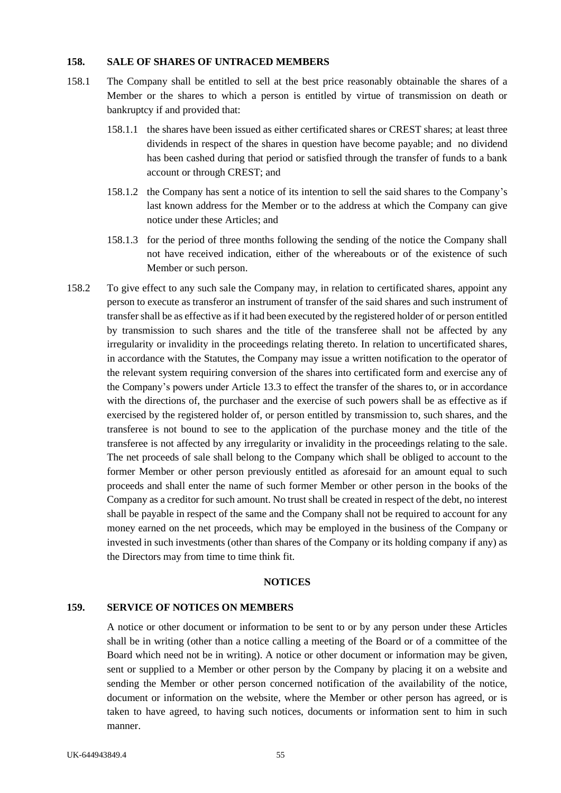### **158. SALE OF SHARES OF UNTRACED MEMBERS**

- 158.1 The Company shall be entitled to sell at the best price reasonably obtainable the shares of a Member or the shares to which a person is entitled by virtue of transmission on death or bankruptcy if and provided that:
	- 158.1.1 the shares have been issued as either certificated shares or CREST shares; at least three dividends in respect of the shares in question have become payable; and no dividend has been cashed during that period or satisfied through the transfer of funds to a bank account or through CREST; and
	- 158.1.2 the Company has sent a notice of its intention to sell the said shares to the Company's last known address for the Member or to the address at which the Company can give notice under these Articles; and
	- 158.1.3 for the period of three months following the sending of the notice the Company shall not have received indication, either of the whereabouts or of the existence of such Member or such person.
- 158.2 To give effect to any such sale the Company may, in relation to certificated shares, appoint any person to execute as transferor an instrument of transfer of the said shares and such instrument of transfer shall be as effective as if it had been executed by the registered holder of or person entitled by transmission to such shares and the title of the transferee shall not be affected by any irregularity or invalidity in the proceedings relating thereto. In relation to uncertificated shares, in accordance with the Statutes, the Company may issue a written notification to the operator of the relevant system requiring conversion of the shares into certificated form and exercise any of the Company's powers under Article [13.3](#page-13-0) to effect the transfer of the shares to, or in accordance with the directions of, the purchaser and the exercise of such powers shall be as effective as if exercised by the registered holder of, or person entitled by transmission to, such shares, and the transferee is not bound to see to the application of the purchase money and the title of the transferee is not affected by any irregularity or invalidity in the proceedings relating to the sale. The net proceeds of sale shall belong to the Company which shall be obliged to account to the former Member or other person previously entitled as aforesaid for an amount equal to such proceeds and shall enter the name of such former Member or other person in the books of the Company as a creditor for such amount. No trust shall be created in respect of the debt, no interest shall be payable in respect of the same and the Company shall not be required to account for any money earned on the net proceeds, which may be employed in the business of the Company or invested in such investments (other than shares of the Company or its holding company if any) as the Directors may from time to time think fit.

#### **NOTICES**

#### <span id="page-61-0"></span>**159. SERVICE OF NOTICES ON MEMBERS**

A notice or other document or information to be sent to or by any person under these Articles shall be in writing (other than a notice calling a meeting of the Board or of a committee of the Board which need not be in writing). A notice or other document or information may be given, sent or supplied to a Member or other person by the Company by placing it on a website and sending the Member or other person concerned notification of the availability of the notice, document or information on the website, where the Member or other person has agreed, or is taken to have agreed, to having such notices, documents or information sent to him in such manner.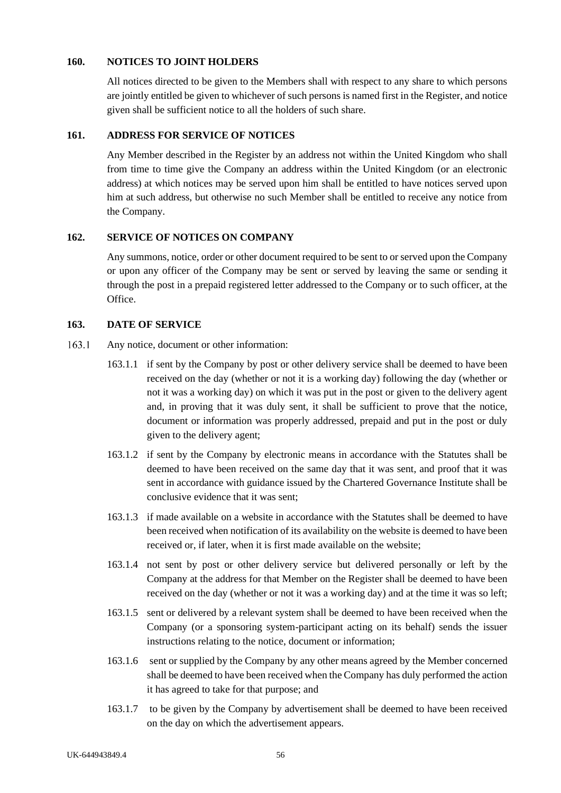### **160. NOTICES TO JOINT HOLDERS**

All notices directed to be given to the Members shall with respect to any share to which persons are jointly entitled be given to whichever of such persons is named first in the Register, and notice given shall be sufficient notice to all the holders of such share.

## <span id="page-62-0"></span>**161. ADDRESS FOR SERVICE OF NOTICES**

Any Member described in the Register by an address not within the United Kingdom who shall from time to time give the Company an address within the United Kingdom (or an electronic address) at which notices may be served upon him shall be entitled to have notices served upon him at such address, but otherwise no such Member shall be entitled to receive any notice from the Company.

## **162. SERVICE OF NOTICES ON COMPANY**

Any summons, notice, order or other document required to be sent to or served upon the Company or upon any officer of the Company may be sent or served by leaving the same or sending it through the post in a prepaid registered letter addressed to the Company or to such officer, at the Office.

## **163. DATE OF SERVICE**

- 163.1 Any notice, document or other information:
	- 163.1.1 if sent by the Company by post or other delivery service shall be deemed to have been received on the day (whether or not it is a working day) following the day (whether or not it was a working day) on which it was put in the post or given to the delivery agent and, in proving that it was duly sent, it shall be sufficient to prove that the notice, document or information was properly addressed, prepaid and put in the post or duly given to the delivery agent;
	- 163.1.2 if sent by the Company by electronic means in accordance with the Statutes shall be deemed to have been received on the same day that it was sent, and proof that it was sent in accordance with guidance issued by the Chartered Governance Institute shall be conclusive evidence that it was sent;
	- 163.1.3 if made available on a website in accordance with the Statutes shall be deemed to have been received when notification of its availability on the website is deemed to have been received or, if later, when it is first made available on the website;
	- 163.1.4 not sent by post or other delivery service but delivered personally or left by the Company at the address for that Member on the Register shall be deemed to have been received on the day (whether or not it was a working day) and at the time it was so left;
	- 163.1.5 sent or delivered by a relevant system shall be deemed to have been received when the Company (or a sponsoring system-participant acting on its behalf) sends the issuer instructions relating to the notice, document or information;
	- 163.1.6 sent or supplied by the Company by any other means agreed by the Member concerned shall be deemed to have been received when the Company has duly performed the action it has agreed to take for that purpose; and
	- 163.1.7 to be given by the Company by advertisement shall be deemed to have been received on the day on which the advertisement appears.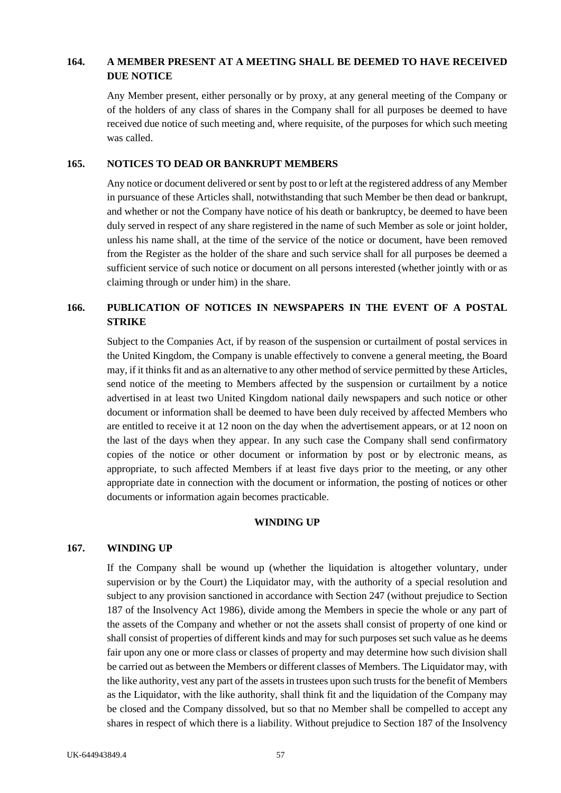## **164. A MEMBER PRESENT AT A MEETING SHALL BE DEEMED TO HAVE RECEIVED DUE NOTICE**

Any Member present, either personally or by proxy, at any general meeting of the Company or of the holders of any class of shares in the Company shall for all purposes be deemed to have received due notice of such meeting and, where requisite, of the purposes for which such meeting was called.

#### **165. NOTICES TO DEAD OR BANKRUPT MEMBERS**

Any notice or document delivered or sent by post to or left at the registered address of any Member in pursuance of these Articles shall, notwithstanding that such Member be then dead or bankrupt, and whether or not the Company have notice of his death or bankruptcy, be deemed to have been duly served in respect of any share registered in the name of such Member as sole or joint holder, unless his name shall, at the time of the service of the notice or document, have been removed from the Register as the holder of the share and such service shall for all purposes be deemed a sufficient service of such notice or document on all persons interested (whether jointly with or as claiming through or under him) in the share.

# <span id="page-63-0"></span>**166. PUBLICATION OF NOTICES IN NEWSPAPERS IN THE EVENT OF A POSTAL STRIKE**

Subject to the Companies Act, if by reason of the suspension or curtailment of postal services in the United Kingdom, the Company is unable effectively to convene a general meeting, the Board may, if it thinks fit and as an alternative to any other method of service permitted by these Articles, send notice of the meeting to Members affected by the suspension or curtailment by a notice advertised in at least two United Kingdom national daily newspapers and such notice or other document or information shall be deemed to have been duly received by affected Members who are entitled to receive it at 12 noon on the day when the advertisement appears, or at 12 noon on the last of the days when they appear. In any such case the Company shall send confirmatory copies of the notice or other document or information by post or by electronic means, as appropriate, to such affected Members if at least five days prior to the meeting, or any other appropriate date in connection with the document or information, the posting of notices or other documents or information again becomes practicable.

#### **WINDING UP**

### **167. WINDING UP**

If the Company shall be wound up (whether the liquidation is altogether voluntary, under supervision or by the Court) the Liquidator may, with the authority of a special resolution and subject to any provision sanctioned in accordance with Section 247 (without prejudice to Section 187 of the Insolvency Act 1986), divide among the Members in specie the whole or any part of the assets of the Company and whether or not the assets shall consist of property of one kind or shall consist of properties of different kinds and may for such purposes set such value as he deems fair upon any one or more class or classes of property and may determine how such division shall be carried out as between the Members or different classes of Members. The Liquidator may, with the like authority, vest any part of the assets in trustees upon such trusts for the benefit of Members as the Liquidator, with the like authority, shall think fit and the liquidation of the Company may be closed and the Company dissolved, but so that no Member shall be compelled to accept any shares in respect of which there is a liability. Without prejudice to Section 187 of the Insolvency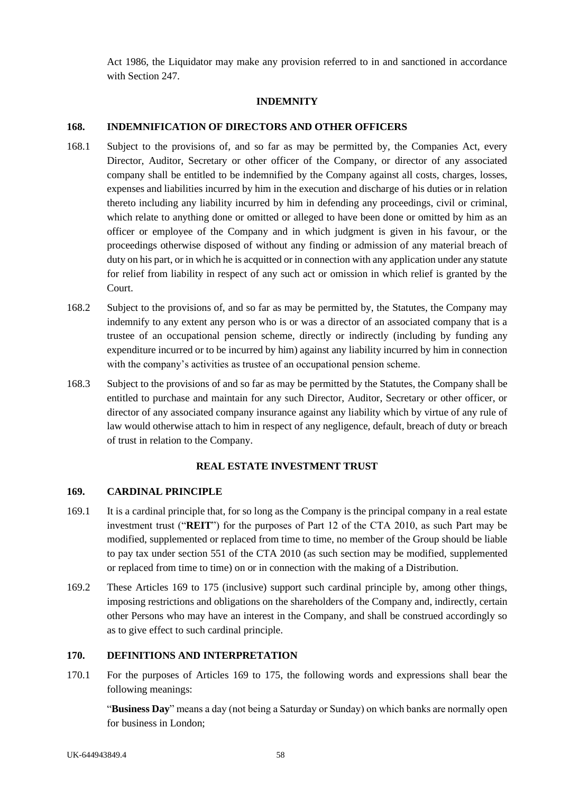Act 1986, the Liquidator may make any provision referred to in and sanctioned in accordance with Section 247.

## **INDEMNITY**

## **168. INDEMNIFICATION OF DIRECTORS AND OTHER OFFICERS**

- 168.1 Subject to the provisions of, and so far as may be permitted by, the Companies Act, every Director, Auditor, Secretary or other officer of the Company, or director of any associated company shall be entitled to be indemnified by the Company against all costs, charges, losses, expenses and liabilities incurred by him in the execution and discharge of his duties or in relation thereto including any liability incurred by him in defending any proceedings, civil or criminal, which relate to anything done or omitted or alleged to have been done or omitted by him as an officer or employee of the Company and in which judgment is given in his favour, or the proceedings otherwise disposed of without any finding or admission of any material breach of duty on his part, or in which he is acquitted or in connection with any application under any statute for relief from liability in respect of any such act or omission in which relief is granted by the Court.
- 168.2 Subject to the provisions of, and so far as may be permitted by, the Statutes, the Company may indemnify to any extent any person who is or was a director of an associated company that is a trustee of an occupational pension scheme, directly or indirectly (including by funding any expenditure incurred or to be incurred by him) against any liability incurred by him in connection with the company's activities as trustee of an occupational pension scheme.
- 168.3 Subject to the provisions of and so far as may be permitted by the Statutes, the Company shall be entitled to purchase and maintain for any such Director, Auditor, Secretary or other officer, or director of any associated company insurance against any liability which by virtue of any rule of law would otherwise attach to him in respect of any negligence, default, breach of duty or breach of trust in relation to the Company.

## **REAL ESTATE INVESTMENT TRUST**

### <span id="page-64-0"></span>**169. CARDINAL PRINCIPLE**

- 169.1 It is a cardinal principle that, for so long as the Company is the principal company in a real estate investment trust ("**REIT**") for the purposes of Part 12 of the CTA 2010, as such Part may be modified, supplemented or replaced from time to time, no member of the Group should be liable to pay tax under section 551 of the CTA 2010 (as such section may be modified, supplemented or replaced from time to time) on or in connection with the making of a Distribution.
- 169.2 These Articles 169 to 175 (inclusive) support such cardinal principle by, among other things, imposing restrictions and obligations on the shareholders of the Company and, indirectly, certain other Persons who may have an interest in the Company, and shall be construed accordingly so as to give effect to such cardinal principle.

## **170. DEFINITIONS AND INTERPRETATION**

170.1 For the purposes of Articles 169 to 175, the following words and expressions shall bear the following meanings:

"**Business Day**" means a day (not being a Saturday or Sunday) on which banks are normally open for business in London;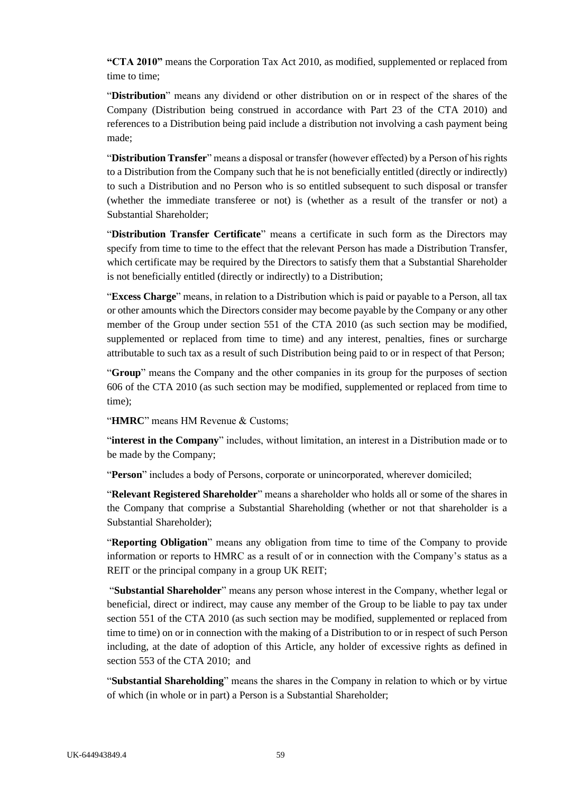**"CTA 2010"** means the Corporation Tax Act 2010, as modified, supplemented or replaced from time to time;

"**Distribution**" means any dividend or other distribution on or in respect of the shares of the Company (Distribution being construed in accordance with Part 23 of the CTA 2010) and references to a Distribution being paid include a distribution not involving a cash payment being made;

"**Distribution Transfer**" means a disposal or transfer (however effected) by a Person of his rights to a Distribution from the Company such that he is not beneficially entitled (directly or indirectly) to such a Distribution and no Person who is so entitled subsequent to such disposal or transfer (whether the immediate transferee or not) is (whether as a result of the transfer or not) a Substantial Shareholder;

"**Distribution Transfer Certificate**" means a certificate in such form as the Directors may specify from time to time to the effect that the relevant Person has made a Distribution Transfer, which certificate may be required by the Directors to satisfy them that a Substantial Shareholder is not beneficially entitled (directly or indirectly) to a Distribution;

"**Excess Charge**" means, in relation to a Distribution which is paid or payable to a Person, all tax or other amounts which the Directors consider may become payable by the Company or any other member of the Group under section 551 of the CTA 2010 (as such section may be modified, supplemented or replaced from time to time) and any interest, penalties, fines or surcharge attributable to such tax as a result of such Distribution being paid to or in respect of that Person;

"**Group**" means the Company and the other companies in its group for the purposes of section 606 of the CTA 2010 (as such section may be modified, supplemented or replaced from time to time);

"**HMRC**" means HM Revenue & Customs;

"**interest in the Company**" includes, without limitation, an interest in a Distribution made or to be made by the Company;

"Person" includes a body of Persons, corporate or unincorporated, wherever domiciled;

"**Relevant Registered Shareholder**" means a shareholder who holds all or some of the shares in the Company that comprise a Substantial Shareholding (whether or not that shareholder is a Substantial Shareholder);

"**Reporting Obligation**" means any obligation from time to time of the Company to provide information or reports to HMRC as a result of or in connection with the Company's status as a REIT or the principal company in a group UK REIT;

"**Substantial Shareholder**" means any person whose interest in the Company, whether legal or beneficial, direct or indirect, may cause any member of the Group to be liable to pay tax under section 551 of the CTA 2010 (as such section may be modified, supplemented or replaced from time to time) on or in connection with the making of a Distribution to or in respect of such Person including, at the date of adoption of this Article, any holder of excessive rights as defined in section 553 of the CTA 2010; and

"**Substantial Shareholding**" means the shares in the Company in relation to which or by virtue of which (in whole or in part) a Person is a Substantial Shareholder;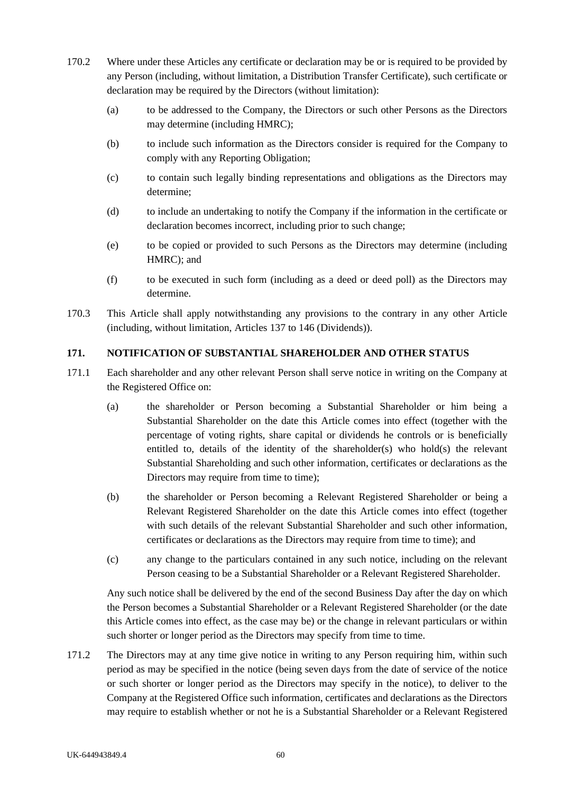- 170.2 Where under these Articles any certificate or declaration may be or is required to be provided by any Person (including, without limitation, a Distribution Transfer Certificate), such certificate or declaration may be required by the Directors (without limitation):
	- (a) to be addressed to the Company, the Directors or such other Persons as the Directors may determine (including HMRC);
	- (b) to include such information as the Directors consider is required for the Company to comply with any Reporting Obligation;
	- (c) to contain such legally binding representations and obligations as the Directors may determine;
	- (d) to include an undertaking to notify the Company if the information in the certificate or declaration becomes incorrect, including prior to such change;
	- (e) to be copied or provided to such Persons as the Directors may determine (including HMRC); and
	- (f) to be executed in such form (including as a deed or deed poll) as the Directors may determine.
- 170.3 This Article shall apply notwithstanding any provisions to the contrary in any other Article (including, without limitation, Articles [137](#page-54-0) to [146](#page-56-0) (Dividends)).

## **171. NOTIFICATION OF SUBSTANTIAL SHAREHOLDER AND OTHER STATUS**

- 171.1 Each shareholder and any other relevant Person shall serve notice in writing on the Company at the Registered Office on:
	- (a) the shareholder or Person becoming a Substantial Shareholder or him being a Substantial Shareholder on the date this Article comes into effect (together with the percentage of voting rights, share capital or dividends he controls or is beneficially entitled to, details of the identity of the shareholder(s) who hold(s) the relevant Substantial Shareholding and such other information, certificates or declarations as the Directors may require from time to time);
	- (b) the shareholder or Person becoming a Relevant Registered Shareholder or being a Relevant Registered Shareholder on the date this Article comes into effect (together with such details of the relevant Substantial Shareholder and such other information, certificates or declarations as the Directors may require from time to time); and
	- (c) any change to the particulars contained in any such notice, including on the relevant Person ceasing to be a Substantial Shareholder or a Relevant Registered Shareholder.

Any such notice shall be delivered by the end of the second Business Day after the day on which the Person becomes a Substantial Shareholder or a Relevant Registered Shareholder (or the date this Article comes into effect, as the case may be) or the change in relevant particulars or within such shorter or longer period as the Directors may specify from time to time.

<span id="page-66-0"></span>171.2 The Directors may at any time give notice in writing to any Person requiring him, within such period as may be specified in the notice (being seven days from the date of service of the notice or such shorter or longer period as the Directors may specify in the notice), to deliver to the Company at the Registered Office such information, certificates and declarations as the Directors may require to establish whether or not he is a Substantial Shareholder or a Relevant Registered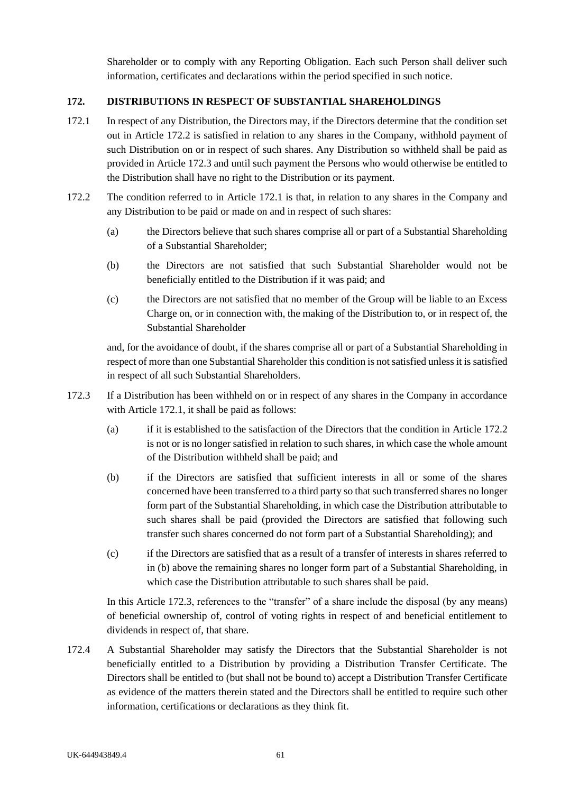Shareholder or to comply with any Reporting Obligation. Each such Person shall deliver such information, certificates and declarations within the period specified in such notice.

## **172. DISTRIBUTIONS IN RESPECT OF SUBSTANTIAL SHAREHOLDINGS**

- <span id="page-67-2"></span>172.1 In respect of any Distribution, the Directors may, if the Directors determine that the condition set out in Article [172.2](#page-67-0) is satisfied in relation to any shares in the Company, withhold payment of such Distribution on or in respect of such shares. Any Distribution so withheld shall be paid as provided in Articl[e 172.3](#page-67-1) and until such payment the Persons who would otherwise be entitled to the Distribution shall have no right to the Distribution or its payment.
- <span id="page-67-0"></span>172.2 The condition referred to in Article [172.1](#page-67-2) is that, in relation to any shares in the Company and any Distribution to be paid or made on and in respect of such shares:
	- (a) the Directors believe that such shares comprise all or part of a Substantial Shareholding of a Substantial Shareholder;
	- (b) the Directors are not satisfied that such Substantial Shareholder would not be beneficially entitled to the Distribution if it was paid; and
	- (c) the Directors are not satisfied that no member of the Group will be liable to an Excess Charge on, or in connection with, the making of the Distribution to, or in respect of, the Substantial Shareholder

and, for the avoidance of doubt, if the shares comprise all or part of a Substantial Shareholding in respect of more than one Substantial Shareholder this condition is not satisfied unless it is satisfied in respect of all such Substantial Shareholders.

- <span id="page-67-1"></span>172.3 If a Distribution has been withheld on or in respect of any shares in the Company in accordance with Article [172.1,](#page-67-2) it shall be paid as follows:
	- (a) if it is established to the satisfaction of the Directors that the condition in Article [172.2](#page-67-0) is not or is no longer satisfied in relation to such shares, in which case the whole amount of the Distribution withheld shall be paid; and
	- (b) if the Directors are satisfied that sufficient interests in all or some of the shares concerned have been transferred to a third party so that such transferred shares no longer form part of the Substantial Shareholding, in which case the Distribution attributable to such shares shall be paid (provided the Directors are satisfied that following such transfer such shares concerned do not form part of a Substantial Shareholding); and
	- (c) if the Directors are satisfied that as a result of a transfer of interests in shares referred to in (b) above the remaining shares no longer form part of a Substantial Shareholding, in which case the Distribution attributable to such shares shall be paid.

In this Article [172.3,](#page-67-1) references to the "transfer" of a share include the disposal (by any means) of beneficial ownership of, control of voting rights in respect of and beneficial entitlement to dividends in respect of, that share.

172.4 A Substantial Shareholder may satisfy the Directors that the Substantial Shareholder is not beneficially entitled to a Distribution by providing a Distribution Transfer Certificate. The Directors shall be entitled to (but shall not be bound to) accept a Distribution Transfer Certificate as evidence of the matters therein stated and the Directors shall be entitled to require such other information, certifications or declarations as they think fit.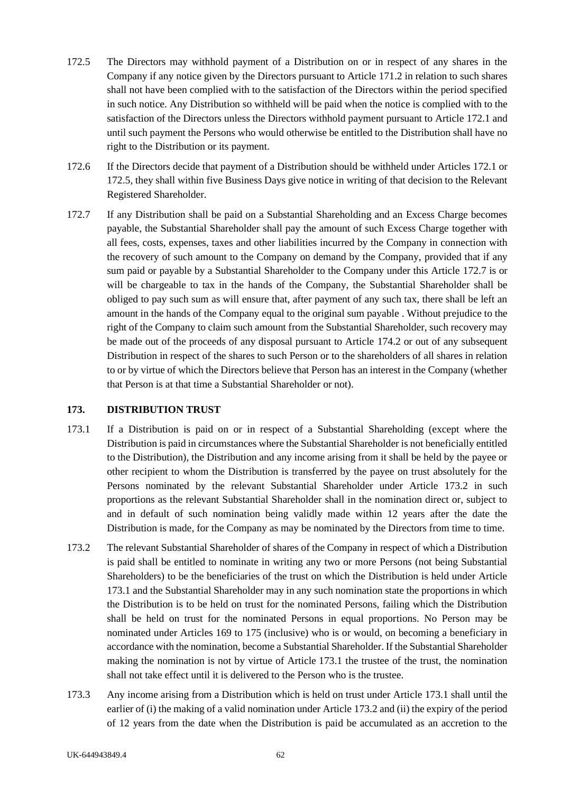- <span id="page-68-0"></span>172.5 The Directors may withhold payment of a Distribution on or in respect of any shares in the Company if any notice given by the Directors pursuant to Article [171.2](#page-66-0) in relation to such shares shall not have been complied with to the satisfaction of the Directors within the period specified in such notice. Any Distribution so withheld will be paid when the notice is complied with to the satisfaction of the Directors unless the Directors withhold payment pursuant to Article [172.1](#page-67-2) and until such payment the Persons who would otherwise be entitled to the Distribution shall have no right to the Distribution or its payment.
- 172.6 If the Directors decide that payment of a Distribution should be withheld under Articles [172.1](#page-67-2) or [172.5,](#page-68-0) they shall within five Business Days give notice in writing of that decision to the Relevant Registered Shareholder.
- <span id="page-68-3"></span>172.7 If any Distribution shall be paid on a Substantial Shareholding and an Excess Charge becomes payable, the Substantial Shareholder shall pay the amount of such Excess Charge together with all fees, costs, expenses, taxes and other liabilities incurred by the Company in connection with the recovery of such amount to the Company on demand by the Company, provided that if any sum paid or payable by a Substantial Shareholder to the Company under this Article 172.7 is or will be chargeable to tax in the hands of the Company, the Substantial Shareholder shall be obliged to pay such sum as will ensure that, after payment of any such tax, there shall be left an amount in the hands of the Company equal to the original sum payable . Without prejudice to the right of the Company to claim such amount from the Substantial Shareholder, such recovery may be made out of the proceeds of any disposal pursuant to Article [174.2](#page-69-0) or out of any subsequent Distribution in respect of the shares to such Person or to the shareholders of all shares in relation to or by virtue of which the Directors believe that Person has an interest in the Company (whether that Person is at that time a Substantial Shareholder or not).

## **173. DISTRIBUTION TRUST**

- <span id="page-68-2"></span>173.1 If a Distribution is paid on or in respect of a Substantial Shareholding (except where the Distribution is paid in circumstances where the Substantial Shareholder is not beneficially entitled to the Distribution), the Distribution and any income arising from it shall be held by the payee or other recipient to whom the Distribution is transferred by the payee on trust absolutely for the Persons nominated by the relevant Substantial Shareholder under Article [173.2](#page-68-1) in such proportions as the relevant Substantial Shareholder shall in the nomination direct or, subject to and in default of such nomination being validly made within 12 years after the date the Distribution is made, for the Company as may be nominated by the Directors from time to time.
- <span id="page-68-1"></span>173.2 The relevant Substantial Shareholder of shares of the Company in respect of which a Distribution is paid shall be entitled to nominate in writing any two or more Persons (not being Substantial Shareholders) to be the beneficiaries of the trust on which the Distribution is held under Article [173.1](#page-68-2) and the Substantial Shareholder may in any such nomination state the proportions in which the Distribution is to be held on trust for the nominated Persons, failing which the Distribution shall be held on trust for the nominated Persons in equal proportions. No Person may be nominated under Articles 169 to [175](#page-70-0) (inclusive) who is or would, on becoming a beneficiary in accordance with the nomination, become a Substantial Shareholder. If the Substantial Shareholder making the nomination is not by virtue of Article [173.1](#page-68-2) the trustee of the trust, the nomination shall not take effect until it is delivered to the Person who is the trustee.
- 173.3 Any income arising from a Distribution which is held on trust under Article [173.1](#page-68-2) shall until the earlier of (i) the making of a valid nomination under Articl[e 173.2](#page-68-1) and (ii) the expiry of the period of 12 years from the date when the Distribution is paid be accumulated as an accretion to the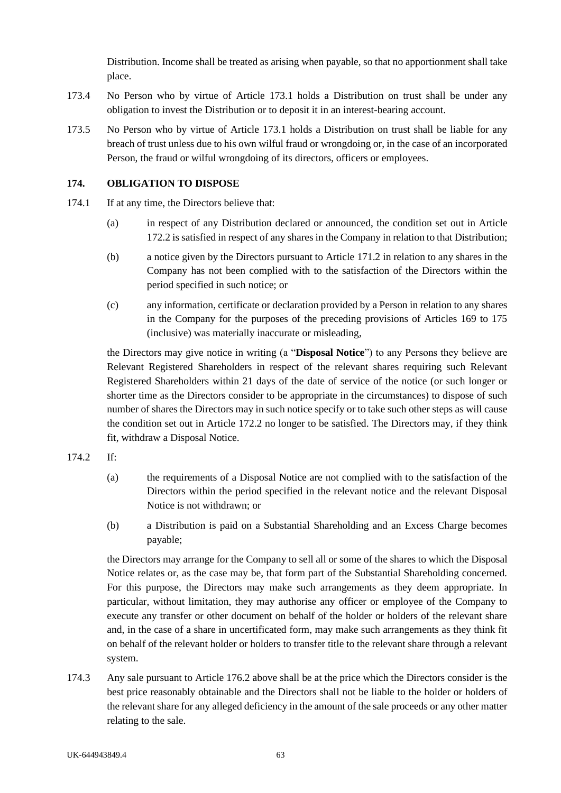Distribution. Income shall be treated as arising when payable, so that no apportionment shall take place.

- 173.4 No Person who by virtue of Article [173.1](#page-68-2) holds a Distribution on trust shall be under any obligation to invest the Distribution or to deposit it in an interest-bearing account.
- 173.5 No Person who by virtue of Article [173.1](#page-68-2) holds a Distribution on trust shall be liable for any breach of trust unless due to his own wilful fraud or wrongdoing or, in the case of an incorporated Person, the fraud or wilful wrongdoing of its directors, officers or employees.

## **174. OBLIGATION TO DISPOSE**

- 174.1 If at any time, the Directors believe that:
	- (a) in respect of any Distribution declared or announced, the condition set out in Article [172.2](#page-67-0) is satisfied in respect of any shares in the Company in relation to that Distribution;
	- (b) a notice given by the Directors pursuant to Article [171.2](#page-66-0) in relation to any shares in the Company has not been complied with to the satisfaction of the Directors within the period specified in such notice; or
	- (c) any information, certificate or declaration provided by a Person in relation to any shares in the Company for the purposes of the preceding provisions of Articles 169 to 175 (inclusive) was materially inaccurate or misleading,

the Directors may give notice in writing (a "**Disposal Notice**") to any Persons they believe are Relevant Registered Shareholders in respect of the relevant shares requiring such Relevant Registered Shareholders within 21 days of the date of service of the notice (or such longer or shorter time as the Directors consider to be appropriate in the circumstances) to dispose of such number of shares the Directors may in such notice specify or to take such other steps as will cause the condition set out in Article [172.2](#page-67-0) no longer to be satisfied. The Directors may, if they think fit, withdraw a Disposal Notice.

- <span id="page-69-0"></span>174.2 If:
	- (a) the requirements of a Disposal Notice are not complied with to the satisfaction of the Directors within the period specified in the relevant notice and the relevant Disposal Notice is not withdrawn; or
	- (b) a Distribution is paid on a Substantial Shareholding and an Excess Charge becomes payable;

the Directors may arrange for the Company to sell all or some of the shares to which the Disposal Notice relates or, as the case may be, that form part of the Substantial Shareholding concerned. For this purpose, the Directors may make such arrangements as they deem appropriate. In particular, without limitation, they may authorise any officer or employee of the Company to execute any transfer or other document on behalf of the holder or holders of the relevant share and, in the case of a share in uncertificated form, may make such arrangements as they think fit on behalf of the relevant holder or holders to transfer title to the relevant share through a relevant system.

174.3 Any sale pursuant to Article 176.2 above shall be at the price which the Directors consider is the best price reasonably obtainable and the Directors shall not be liable to the holder or holders of the relevant share for any alleged deficiency in the amount of the sale proceeds or any other matter relating to the sale.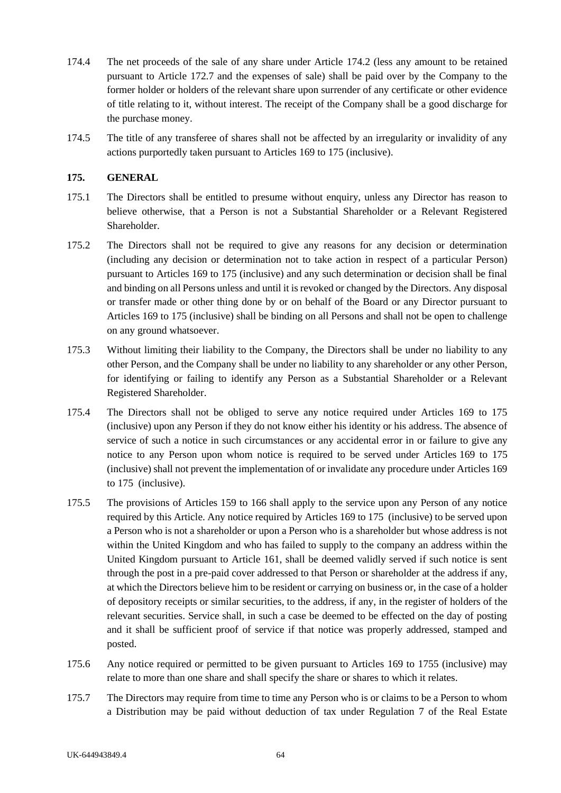- 174.4 The net proceeds of the sale of any share under Article [174.2](#page-69-0) (less any amount to be retained pursuant to Article [172.7](#page-68-3) and the expenses of sale) shall be paid over by the Company to the former holder or holders of the relevant share upon surrender of any certificate or other evidence of title relating to it, without interest. The receipt of the Company shall be a good discharge for the purchase money.
- 174.5 The title of any transferee of shares shall not be affected by an irregularity or invalidity of any actions purportedly taken pursuant to Articles [169](#page-64-0) to [175](#page-70-0) (inclusive).

### <span id="page-70-0"></span>**175. GENERAL**

- 175.1 The Directors shall be entitled to presume without enquiry, unless any Director has reason to believe otherwise, that a Person is not a Substantial Shareholder or a Relevant Registered Shareholder.
- 175.2 The Directors shall not be required to give any reasons for any decision or determination (including any decision or determination not to take action in respect of a particular Person) pursuant to Articles 169 to 175 (inclusive) and any such determination or decision shall be final and binding on all Persons unless and until it is revoked or changed by the Directors. Any disposal or transfer made or other thing done by or on behalf of the Board or any Director pursuant to Articles 169 to 175 (inclusive) shall be binding on all Persons and shall not be open to challenge on any ground whatsoever.
- 175.3 Without limiting their liability to the Company, the Directors shall be under no liability to any other Person, and the Company shall be under no liability to any shareholder or any other Person, for identifying or failing to identify any Person as a Substantial Shareholder or a Relevant Registered Shareholder.
- 175.4 The Directors shall not be obliged to serve any notice required under Articles 169 to 175 (inclusive) upon any Person if they do not know either his identity or his address. The absence of service of such a notice in such circumstances or any accidental error in or failure to give any notice to any Person upon whom notice is required to be served under Articles 169 to 175 (inclusive) shall not prevent the implementation of or invalidate any procedure under Articles 169 to 175 (inclusive).
- 175.5 The provisions of Articles [159](#page-61-0) to [166](#page-63-0) shall apply to the service upon any Person of any notice required by this Article. Any notice required by Articles 169 to 175 (inclusive) to be served upon a Person who is not a shareholder or upon a Person who is a shareholder but whose address is not within the United Kingdom and who has failed to supply to the company an address within the United Kingdom pursuant to Article [161,](#page-62-0) shall be deemed validly served if such notice is sent through the post in a pre-paid cover addressed to that Person or shareholder at the address if any, at which the Directors believe him to be resident or carrying on business or, in the case of a holder of depository receipts or similar securities, to the address, if any, in the register of holders of the relevant securities. Service shall, in such a case be deemed to be effected on the day of posting and it shall be sufficient proof of service if that notice was properly addressed, stamped and posted.
- 175.6 Any notice required or permitted to be given pursuant to Articles [169](#page-64-0) to [1755](#page-70-0) (inclusive) may relate to more than one share and shall specify the share or shares to which it relates.
- 175.7 The Directors may require from time to time any Person who is or claims to be a Person to whom a Distribution may be paid without deduction of tax under Regulation 7 of the Real Estate